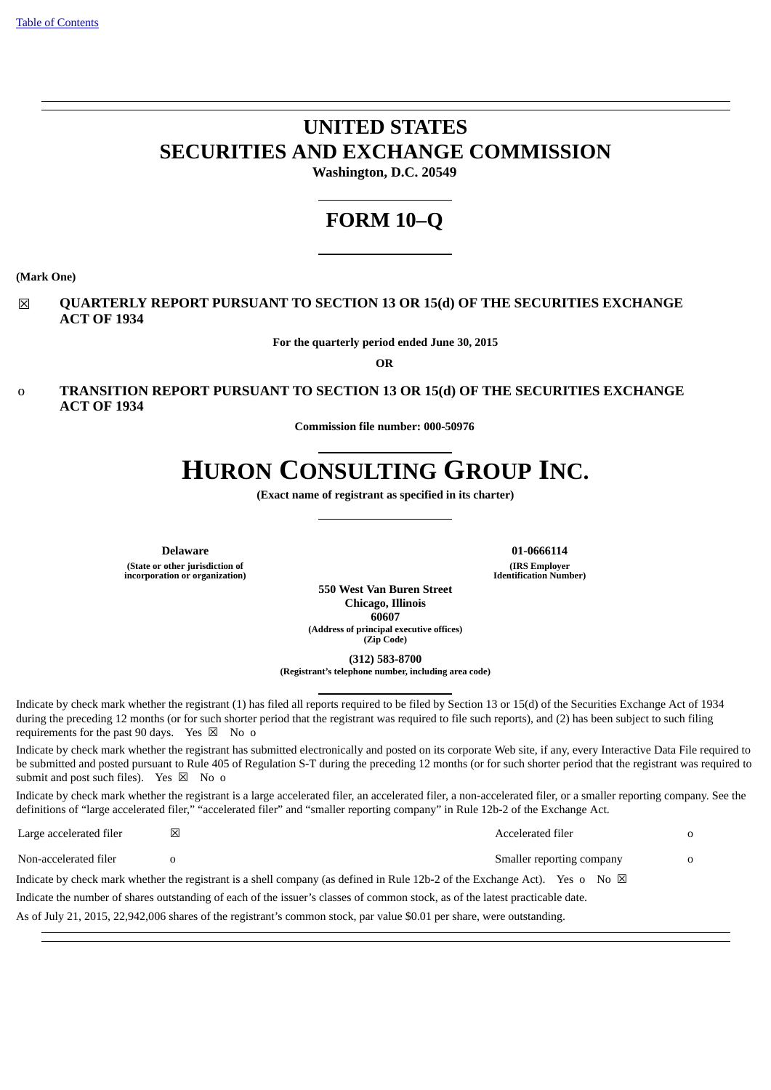# **UNITED STATES SECURITIES AND EXCHANGE COMMISSION**

**Washington, D.C. 20549**

## **FORM 10–Q**

**(Mark One)**

## ☒ **QUARTERLY REPORT PURSUANT TO SECTION 13 OR 15(d) OF THE SECURITIES EXCHANGE ACT OF 1934**

**For the quarterly period ended June 30, 2015**

**OR**

o **TRANSITION REPORT PURSUANT TO SECTION 13 OR 15(d) OF THE SECURITIES EXCHANGE ACT OF 1934**

**Commission file number: 000-50976**

# **HURON CONSULTING GROUP INC.**

**(Exact name of registrant as specified in its charter)**

**(State or other jurisdiction of incorporation or organization)**

**Delaware 01-0666114**

**(IRS Employer Identification Number)**

**550 West Van Buren Street Chicago, Illinois 60607 (Address of principal executive offices) (Zip Code)**

**(312) 583-8700**

**(Registrant's telephone number, including area code)**

Indicate by check mark whether the registrant (1) has filed all reports required to be filed by Section 13 or 15(d) of the Securities Exchange Act of 1934 during the preceding 12 months (or for such shorter period that the registrant was required to file such reports), and (2) has been subject to such filing requirements for the past 90 days. Yes  $\boxtimes$  No o

Indicate by check mark whether the registrant has submitted electronically and posted on its corporate Web site, if any, every Interactive Data File required to be submitted and posted pursuant to Rule 405 of Regulation S-T during the preceding 12 months (or for such shorter period that the registrant was required to submit and post such files). Yes  $\boxtimes$  No o

Indicate by check mark whether the registrant is a large accelerated filer, an accelerated filer, a non-accelerated filer, or a smaller reporting company. See the definitions of "large accelerated filer," "accelerated filer" and "smaller reporting company" in Rule 12b-2 of the Exchange Act.

<span id="page-0-0"></span>

| Large accelerated filer                                                                                                       | ⊠                                                                                                                                     | Accelerated filer         |          |  |  |  |  |
|-------------------------------------------------------------------------------------------------------------------------------|---------------------------------------------------------------------------------------------------------------------------------------|---------------------------|----------|--|--|--|--|
| Non-accelerated filer                                                                                                         |                                                                                                                                       | Smaller reporting company | $\Omega$ |  |  |  |  |
|                                                                                                                               | Indicate by check mark whether the registrant is a shell company (as defined in Rule 12b-2 of the Exchange Act). Yes o No $\boxtimes$ |                           |          |  |  |  |  |
| Indicate the number of shares outstanding of each of the issuer's classes of common stock, as of the latest practicable date. |                                                                                                                                       |                           |          |  |  |  |  |
|                                                                                                                               | As of July 21, 2015, 22,942,006 shares of the registrant's common stock, par value \$0.01 per share, were outstanding.                |                           |          |  |  |  |  |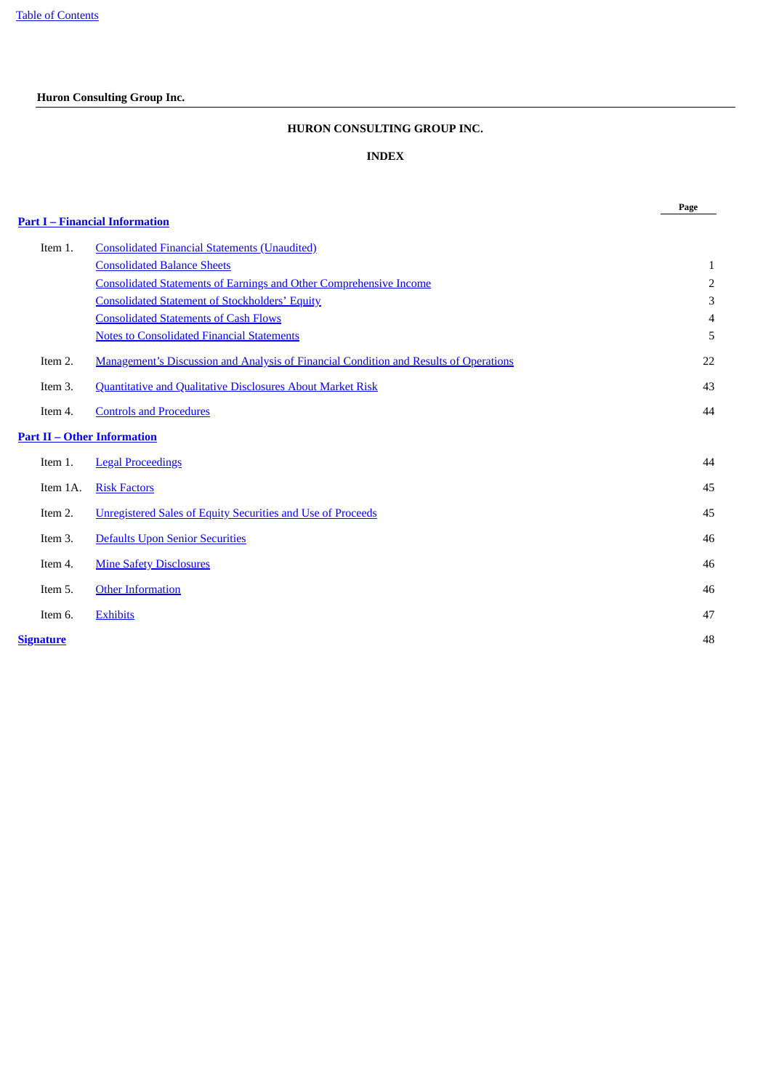## **Huron Consulting Group Inc.**

## **HURON CONSULTING GROUP INC.**

## **INDEX**

**Page**

<span id="page-1-0"></span>

|           |                                                                                       | Page         |
|-----------|---------------------------------------------------------------------------------------|--------------|
|           | <b>Part I – Financial Information</b>                                                 |              |
| Item 1.   | <b>Consolidated Financial Statements (Unaudited)</b>                                  |              |
|           | <b>Consolidated Balance Sheets</b>                                                    | $\mathbf{1}$ |
|           | <b>Consolidated Statements of Earnings and Other Comprehensive Income</b>             | 2            |
|           | <b>Consolidated Statement of Stockholders' Equity</b>                                 | 3            |
|           | <b>Consolidated Statements of Cash Flows</b>                                          | 4            |
|           | <b>Notes to Consolidated Financial Statements</b>                                     | 5            |
| Item 2.   | Management's Discussion and Analysis of Financial Condition and Results of Operations | 22           |
| Item 3.   | <b>Quantitative and Qualitative Disclosures About Market Risk</b>                     | 43           |
| Item 4.   | <b>Controls and Procedures</b>                                                        | 44           |
|           | <u> Part II – Other Information</u>                                                   |              |
| Item 1.   | <b>Legal Proceedings</b>                                                              | 44           |
| Item 1A.  | <b>Risk Factors</b>                                                                   | 45           |
| Item 2.   | <b>Unregistered Sales of Equity Securities and Use of Proceeds</b>                    | 45           |
| Item 3.   | Defaults Upon Senior Securities                                                       | 46           |
| Item 4.   | <b>Mine Safety Disclosures</b>                                                        | 46           |
| Item 5.   | <b>Other Information</b>                                                              | 46           |
| Item 6.   | <b>Exhibits</b>                                                                       | 47           |
| Signature |                                                                                       | 48           |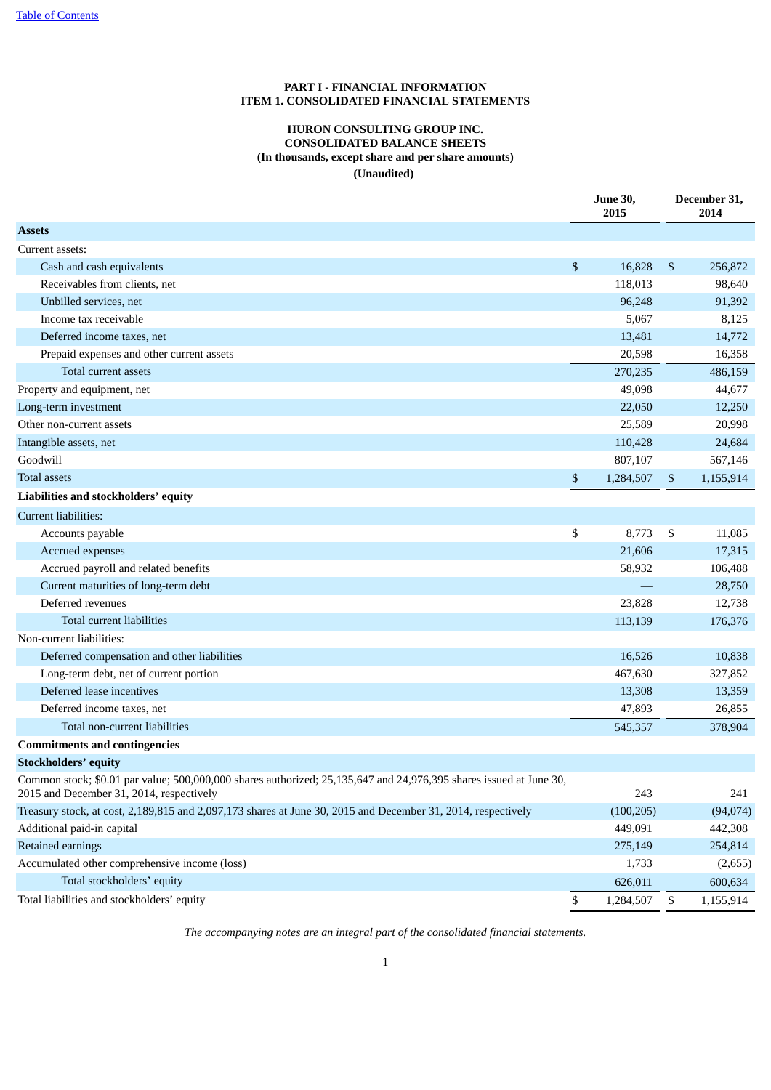## **PART I - FINANCIAL INFORMATION ITEM 1. CONSOLIDATED FINANCIAL STATEMENTS**

## **HURON CONSULTING GROUP INC. CONSOLIDATED BALANCE SHEETS (In thousands, except share and per share amounts) (Unaudited)**

<span id="page-2-1"></span><span id="page-2-0"></span>

|                                                                                                                                                                |    | <b>June 30,</b><br>2015 | December 31,<br>2014 |           |  |
|----------------------------------------------------------------------------------------------------------------------------------------------------------------|----|-------------------------|----------------------|-----------|--|
| <b>Assets</b>                                                                                                                                                  |    |                         |                      |           |  |
| Current assets:                                                                                                                                                |    |                         |                      |           |  |
| Cash and cash equivalents                                                                                                                                      | \$ | 16,828                  | \$                   | 256,872   |  |
| Receivables from clients, net                                                                                                                                  |    | 118,013                 |                      | 98,640    |  |
| Unbilled services, net                                                                                                                                         |    | 96,248                  |                      | 91,392    |  |
| Income tax receivable                                                                                                                                          |    | 5,067                   |                      | 8,125     |  |
| Deferred income taxes, net                                                                                                                                     |    | 13,481                  |                      | 14,772    |  |
| Prepaid expenses and other current assets                                                                                                                      |    | 20,598                  |                      | 16,358    |  |
| Total current assets                                                                                                                                           |    | 270,235                 |                      | 486,159   |  |
| Property and equipment, net                                                                                                                                    |    | 49,098                  |                      | 44,677    |  |
| Long-term investment                                                                                                                                           |    | 22,050                  |                      | 12,250    |  |
| Other non-current assets                                                                                                                                       |    | 25,589                  |                      | 20,998    |  |
| Intangible assets, net                                                                                                                                         |    | 110,428                 |                      | 24,684    |  |
| Goodwill                                                                                                                                                       |    | 807,107                 |                      | 567,146   |  |
| <b>Total assets</b>                                                                                                                                            | \$ | 1,284,507               | $\,$                 | 1,155,914 |  |
| Liabilities and stockholders' equity                                                                                                                           |    |                         |                      |           |  |
| <b>Current liabilities:</b>                                                                                                                                    |    |                         |                      |           |  |
| Accounts payable                                                                                                                                               | \$ | 8,773                   | \$                   | 11,085    |  |
| Accrued expenses                                                                                                                                               |    | 21,606                  |                      | 17,315    |  |
| Accrued payroll and related benefits                                                                                                                           |    | 58,932                  |                      | 106,488   |  |
| Current maturities of long-term debt                                                                                                                           |    |                         |                      | 28,750    |  |
| Deferred revenues                                                                                                                                              |    | 23,828                  |                      | 12,738    |  |
| Total current liabilities                                                                                                                                      |    | 113,139                 |                      | 176,376   |  |
| Non-current liabilities:                                                                                                                                       |    |                         |                      |           |  |
| Deferred compensation and other liabilities                                                                                                                    |    | 16,526                  |                      | 10,838    |  |
| Long-term debt, net of current portion                                                                                                                         |    | 467,630                 |                      | 327,852   |  |
| Deferred lease incentives                                                                                                                                      |    | 13,308                  |                      | 13,359    |  |
| Deferred income taxes, net                                                                                                                                     |    | 47,893                  |                      | 26,855    |  |
| Total non-current liabilities                                                                                                                                  |    | 545,357                 |                      | 378,904   |  |
| <b>Commitments and contingencies</b>                                                                                                                           |    |                         |                      |           |  |
| <b>Stockholders' equity</b>                                                                                                                                    |    |                         |                      |           |  |
| Common stock; \$0.01 par value; 500,000,000 shares authorized; 25,135,647 and 24,976,395 shares issued at June 30,<br>2015 and December 31, 2014, respectively |    | 243                     |                      | 241       |  |
| Treasury stock, at cost, 2,189,815 and 2,097,173 shares at June 30, 2015 and December 31, 2014, respectively                                                   |    | (100, 205)              |                      | (94,074)  |  |
| Additional paid-in capital                                                                                                                                     |    | 449,091                 |                      | 442,308   |  |
| Retained earnings                                                                                                                                              |    | 275,149                 |                      | 254,814   |  |
| Accumulated other comprehensive income (loss)                                                                                                                  |    | 1,733                   |                      | (2,655)   |  |
| Total stockholders' equity                                                                                                                                     |    | 626,011                 |                      | 600,634   |  |
| Total liabilities and stockholders' equity                                                                                                                     | \$ | 1,284,507               | \$                   | 1,155,914 |  |

<span id="page-2-2"></span>*The accompanying notes are an integral part of the consolidated financial statements.*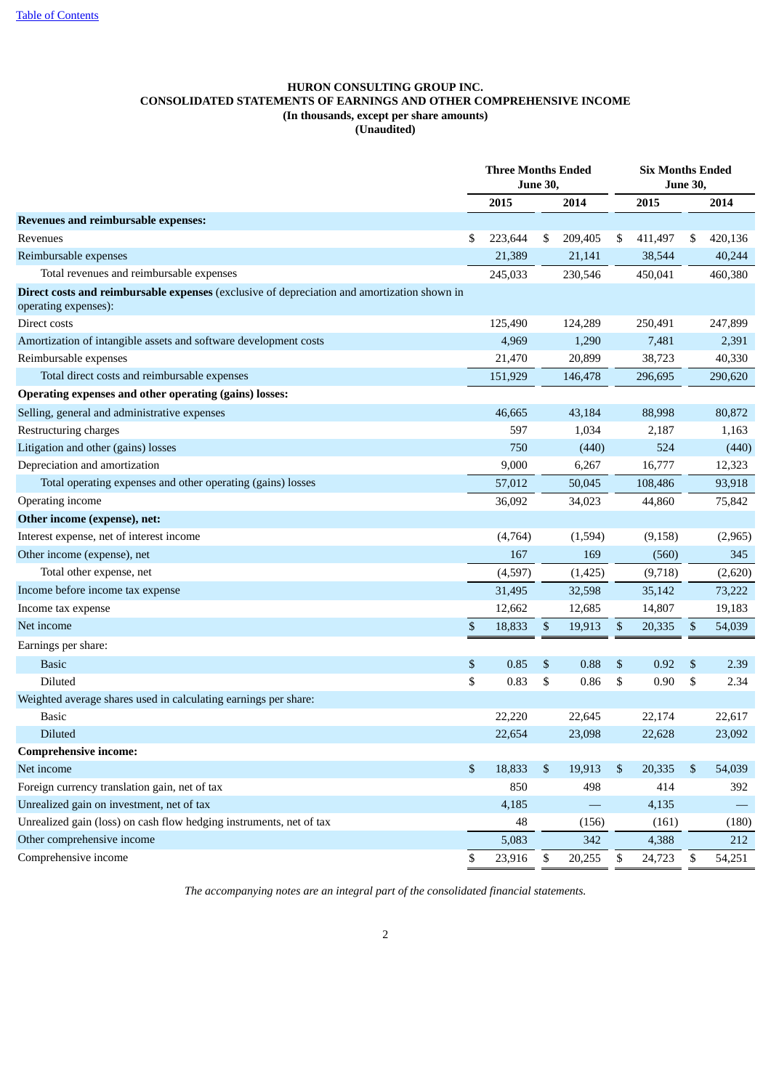## **HURON CONSULTING GROUP INC. CONSOLIDATED STATEMENTS OF EARNINGS AND OTHER COMPREHENSIVE INCOME (In thousands, except per share amounts) (Unaudited)**

|                                                                                                                     | Three Months Ended<br><b>June 30.</b> |    | <b>Six Months Ended</b><br><b>June 30,</b> |               |      |                                |  |
|---------------------------------------------------------------------------------------------------------------------|---------------------------------------|----|--------------------------------------------|---------------|------|--------------------------------|--|
|                                                                                                                     | 2015                                  |    | 2014                                       | 2015          |      | 2014                           |  |
| <b>Revenues and reimbursable expenses:</b>                                                                          |                                       |    |                                            |               |      |                                |  |
| Revenues                                                                                                            | \$<br>223,644                         | \$ | 209,405                                    | \$<br>411,497 | \$   | 420,136                        |  |
| Reimbursable expenses                                                                                               | 21,389                                |    | 21,141                                     | 38,544        |      | 40,244                         |  |
| Total revenues and reimbursable expenses                                                                            | 245,033                               |    | 230,546                                    | 450,041       |      | 460,380                        |  |
| Direct costs and reimbursable expenses (exclusive of depreciation and amortization shown in<br>operating expenses): |                                       |    |                                            |               |      |                                |  |
| Direct costs                                                                                                        | 125,490                               |    | 124,289                                    | 250,491       |      | 247,899                        |  |
| Amortization of intangible assets and software development costs                                                    | 4,969                                 |    | 1,290                                      | 7,481         |      | 2,391                          |  |
| Reimbursable expenses                                                                                               | 21,470                                |    | 20,899                                     | 38,723        |      | 40,330                         |  |
| Total direct costs and reimbursable expenses                                                                        | 151,929                               |    | 146,478                                    | 296,695       |      | 290,620                        |  |
| Operating expenses and other operating (gains) losses:                                                              |                                       |    |                                            |               |      |                                |  |
| Selling, general and administrative expenses                                                                        | 46,665                                |    | 43,184                                     | 88,998        |      | 80,872                         |  |
| Restructuring charges                                                                                               | 597                                   |    | 1,034                                      | 2,187         |      | 1,163                          |  |
| Litigation and other (gains) losses                                                                                 | 750                                   |    | (440)                                      | 524           |      | (440)                          |  |
| Depreciation and amortization                                                                                       | 9,000                                 |    | 6,267                                      | 16,777        |      | 12,323                         |  |
| Total operating expenses and other operating (gains) losses                                                         | 57,012                                |    | 50,045                                     | 108,486       |      | 93,918                         |  |
| Operating income                                                                                                    | 36,092                                |    | 34,023                                     | 44,860        |      | 75,842                         |  |
| Other income (expense), net:                                                                                        |                                       |    |                                            |               |      |                                |  |
| Interest expense, net of interest income                                                                            | (4,764)                               |    | (1,594)                                    | (9, 158)      |      | (2,965)                        |  |
| Other income (expense), net                                                                                         | 167                                   |    | 169                                        | (560)         |      | 345                            |  |
| Total other expense, net                                                                                            | (4,597)                               |    | (1,425)                                    | (9,718)       |      | (2,620)                        |  |
| Income before income tax expense                                                                                    | 31,495                                |    | 32,598                                     | 35,142        |      | 73,222                         |  |
| Income tax expense                                                                                                  | 12,662                                |    | 12,685                                     | 14,807        |      | 19,183                         |  |
| Net income                                                                                                          | \$<br>18,833                          | \$ | 19,913                                     | \$<br>20,335  | $\,$ | 54,039                         |  |
| Earnings per share:                                                                                                 |                                       |    |                                            |               |      |                                |  |
| <b>Basic</b>                                                                                                        | \$<br>0.85                            | \$ | 0.88                                       | \$<br>0.92    | \$   | 2.39                           |  |
| Diluted                                                                                                             | \$<br>0.83                            | \$ | 0.86                                       | \$<br>0.90    | \$   | 2.34                           |  |
| Weighted average shares used in calculating earnings per share:                                                     |                                       |    |                                            |               |      |                                |  |
| <b>Basic</b>                                                                                                        | 22,220                                |    | 22,645                                     | 22,174        |      | 22,617                         |  |
| Diluted                                                                                                             | 22,654                                |    | 23,098                                     | 22,628        |      | 23,092                         |  |
| <b>Comprehensive income:</b>                                                                                        |                                       |    |                                            |               |      |                                |  |
| Net income                                                                                                          | \$<br>18,833                          | \$ | 19,913                                     | \$<br>20,335  | \$   | 54,039                         |  |
| Foreign currency translation gain, net of tax                                                                       | 850                                   |    | 498                                        | 414           |      | 392                            |  |
| Unrealized gain on investment, net of tax                                                                           | 4,185                                 |    |                                            | 4,135         |      | $\qquad \qquad \longleftarrow$ |  |
| Unrealized gain (loss) on cash flow hedging instruments, net of tax                                                 | 48                                    |    | (156)                                      | (161)         |      | (180)                          |  |
| Other comprehensive income                                                                                          | 5,083                                 |    | 342                                        | 4,388         |      | 212                            |  |
| Comprehensive income                                                                                                | \$<br>23,916                          | \$ | 20,255                                     | \$<br>24,723  | \$   | 54,251                         |  |

<span id="page-3-0"></span>*The accompanying notes are an integral part of the consolidated financial statements.*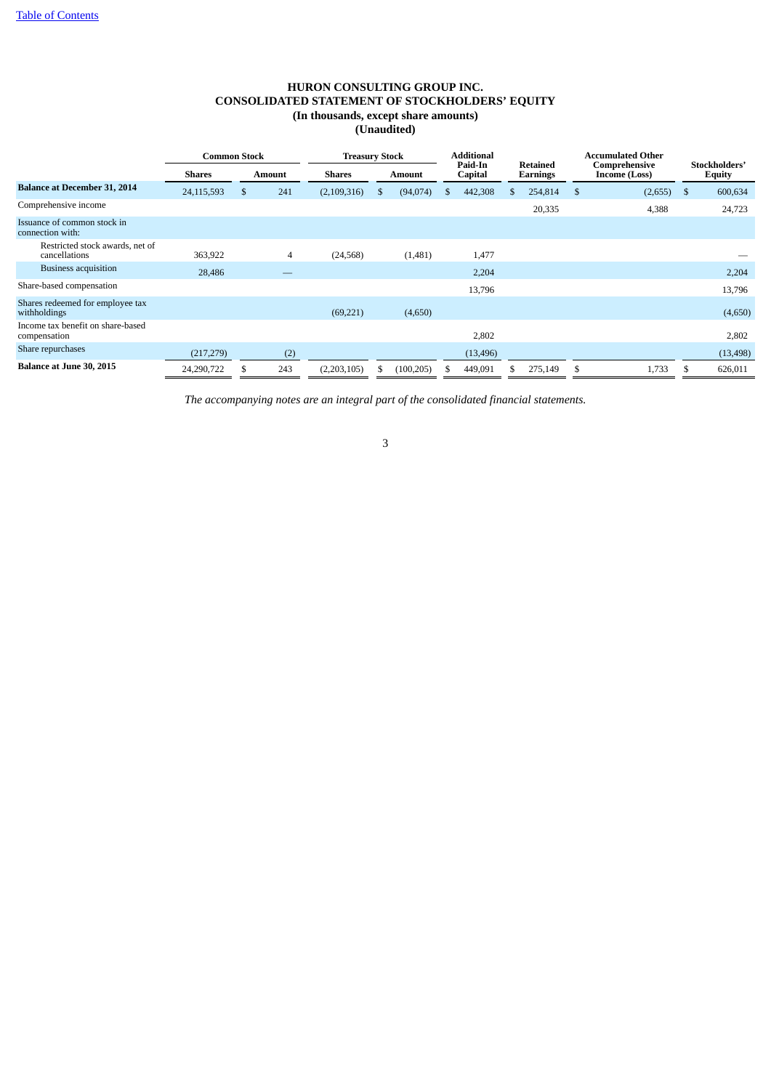## **HURON CONSULTING GROUP INC. CONSOLIDATED STATEMENT OF STOCKHOLDERS' EQUITY (In thousands, except share amounts) (Unaudited)**

|                                                   | <b>Common Stock</b> |    |               | <b>Treasury Stock</b> |   | <b>Additional</b><br>Paid-In |         |           |                                    |         | <b>Accumulated Other</b> |         |    |           |  |  |  |  |  |  |  |                                       |  |                                |
|---------------------------------------------------|---------------------|----|---------------|-----------------------|---|------------------------------|---------|-----------|------------------------------------|---------|--------------------------|---------|----|-----------|--|--|--|--|--|--|--|---------------------------------------|--|--------------------------------|
|                                                   | <b>Shares</b>       |    | <b>Amount</b> | <b>Shares</b>         |   | Amount                       | Capital |           | <b>Retained</b><br><b>Earnings</b> |         |                          |         |    |           |  |  |  |  |  |  |  | Comprehensive<br><b>Income (Loss)</b> |  | Stockholders'<br><b>Equity</b> |
| <b>Balance at December 31, 2014</b>               | 24,115,593          | S. | 241           | (2,109,316)           | S | (94, 074)                    | \$      | 442,308   | S.                                 | 254,814 | -S                       | (2,655) | -S | 600,634   |  |  |  |  |  |  |  |                                       |  |                                |
| Comprehensive income                              |                     |    |               |                       |   |                              |         |           |                                    | 20,335  |                          | 4,388   |    | 24,723    |  |  |  |  |  |  |  |                                       |  |                                |
| Issuance of common stock in<br>connection with:   |                     |    |               |                       |   |                              |         |           |                                    |         |                          |         |    |           |  |  |  |  |  |  |  |                                       |  |                                |
| Restricted stock awards, net of<br>cancellations  | 363,922             |    | 4             | (24, 568)             |   | (1,481)                      |         | 1,477     |                                    |         |                          |         |    |           |  |  |  |  |  |  |  |                                       |  |                                |
| <b>Business acquisition</b>                       | 28,486              |    |               |                       |   |                              |         | 2,204     |                                    |         |                          |         |    | 2,204     |  |  |  |  |  |  |  |                                       |  |                                |
| Share-based compensation                          |                     |    |               |                       |   |                              |         | 13,796    |                                    |         |                          |         |    | 13,796    |  |  |  |  |  |  |  |                                       |  |                                |
| Shares redeemed for employee tax<br>withholdings  |                     |    |               | (69, 221)             |   | (4,650)                      |         |           |                                    |         |                          |         |    | (4,650)   |  |  |  |  |  |  |  |                                       |  |                                |
| Income tax benefit on share-based<br>compensation |                     |    |               |                       |   |                              |         | 2,802     |                                    |         |                          |         |    | 2,802     |  |  |  |  |  |  |  |                                       |  |                                |
| Share repurchases                                 | (217, 279)          |    | (2)           |                       |   |                              |         | (13, 496) |                                    |         |                          |         |    | (13, 498) |  |  |  |  |  |  |  |                                       |  |                                |
| <b>Balance at June 30, 2015</b>                   | 24,290,722          |    | 243           | (2,203,105)           |   | (100, 205)                   | S.      | 449,091   |                                    | 275,149 |                          | 1,733   |    | 626,011   |  |  |  |  |  |  |  |                                       |  |                                |

<span id="page-4-0"></span>*The accompanying notes are an integral part of the consolidated financial statements.*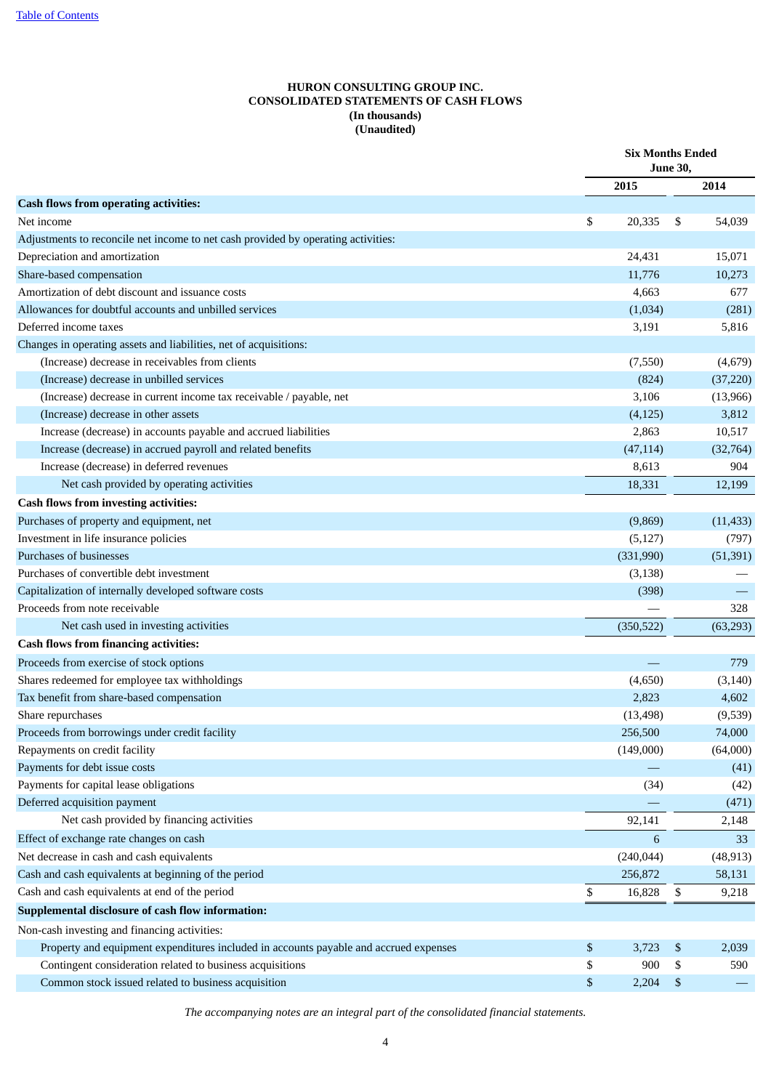## **HURON CONSULTING GROUP INC. CONSOLIDATED STATEMENTS OF CASH FLOWS (In thousands) (Unaudited)**

|                                                                                       | <b>Six Months Ended</b><br><b>June 30,</b> |              |           |
|---------------------------------------------------------------------------------------|--------------------------------------------|--------------|-----------|
|                                                                                       | 2015                                       |              | 2014      |
| <b>Cash flows from operating activities:</b>                                          |                                            |              |           |
| Net income                                                                            | \$<br>20,335                               | \$           | 54,039    |
| Adjustments to reconcile net income to net cash provided by operating activities:     |                                            |              |           |
| Depreciation and amortization                                                         | 24,431                                     |              | 15,071    |
| Share-based compensation                                                              | 11,776                                     |              | 10,273    |
| Amortization of debt discount and issuance costs                                      | 4,663                                      |              | 677       |
| Allowances for doubtful accounts and unbilled services                                | (1,034)                                    |              | (281)     |
| Deferred income taxes                                                                 | 3,191                                      |              | 5,816     |
| Changes in operating assets and liabilities, net of acquisitions:                     |                                            |              |           |
| (Increase) decrease in receivables from clients                                       | (7,550)                                    |              | (4,679)   |
| (Increase) decrease in unbilled services                                              | (824)                                      |              | (37, 220) |
| (Increase) decrease in current income tax receivable / payable, net                   | 3,106                                      |              | (13,966)  |
| (Increase) decrease in other assets                                                   | (4, 125)                                   |              | 3,812     |
| Increase (decrease) in accounts payable and accrued liabilities                       | 2,863                                      |              | 10,517    |
| Increase (decrease) in accrued payroll and related benefits                           | (47, 114)                                  |              | (32,764)  |
| Increase (decrease) in deferred revenues                                              | 8,613                                      |              | 904       |
| Net cash provided by operating activities                                             | 18,331                                     |              | 12,199    |
| <b>Cash flows from investing activities:</b>                                          |                                            |              |           |
| Purchases of property and equipment, net                                              | (9,869)                                    |              | (11, 433) |
| Investment in life insurance policies                                                 | (5, 127)                                   |              | (797)     |
| Purchases of businesses                                                               | (331,990)                                  |              | (51, 391) |
| Purchases of convertible debt investment                                              | (3, 138)                                   |              |           |
| Capitalization of internally developed software costs                                 | (398)                                      |              |           |
| Proceeds from note receivable                                                         |                                            |              | 328       |
| Net cash used in investing activities                                                 | (350, 522)                                 |              | (63,293)  |
| <b>Cash flows from financing activities:</b>                                          |                                            |              |           |
| Proceeds from exercise of stock options                                               |                                            |              | 779       |
| Shares redeemed for employee tax withholdings                                         | (4,650)                                    |              | (3, 140)  |
| Tax benefit from share-based compensation                                             | 2,823                                      |              | 4,602     |
| Share repurchases                                                                     | (13, 498)                                  |              | (9,539)   |
| Proceeds from borrowings under credit facility                                        | 256,500                                    |              | 74,000    |
| Repayments on credit facility                                                         | (149,000)                                  |              | (64,000)  |
| Payments for debt issue costs                                                         |                                            |              | (41)      |
| Payments for capital lease obligations                                                | (34)                                       |              | (42)      |
| Deferred acquisition payment                                                          |                                            |              | (471)     |
| Net cash provided by financing activities                                             | 92,141                                     |              | 2,148     |
| Effect of exchange rate changes on cash                                               | 6                                          |              | 33        |
| Net decrease in cash and cash equivalents                                             | (240, 044)                                 |              | (48, 913) |
| Cash and cash equivalents at beginning of the period                                  | 256,872                                    |              | 58,131    |
| Cash and cash equivalents at end of the period                                        | \$<br>16,828                               | \$           | 9,218     |
| Supplemental disclosure of cash flow information:                                     |                                            |              |           |
| Non-cash investing and financing activities:                                          |                                            |              |           |
| Property and equipment expenditures included in accounts payable and accrued expenses | \$<br>3,723                                | \$           | 2,039     |
| Contingent consideration related to business acquisitions                             | \$<br>900                                  | \$           | 590       |
| Common stock issued related to business acquisition                                   | \$<br>2,204                                | $\mathbb{S}$ |           |
|                                                                                       |                                            |              |           |

<span id="page-5-0"></span>*The accompanying notes are an integral part of the consolidated financial statements.*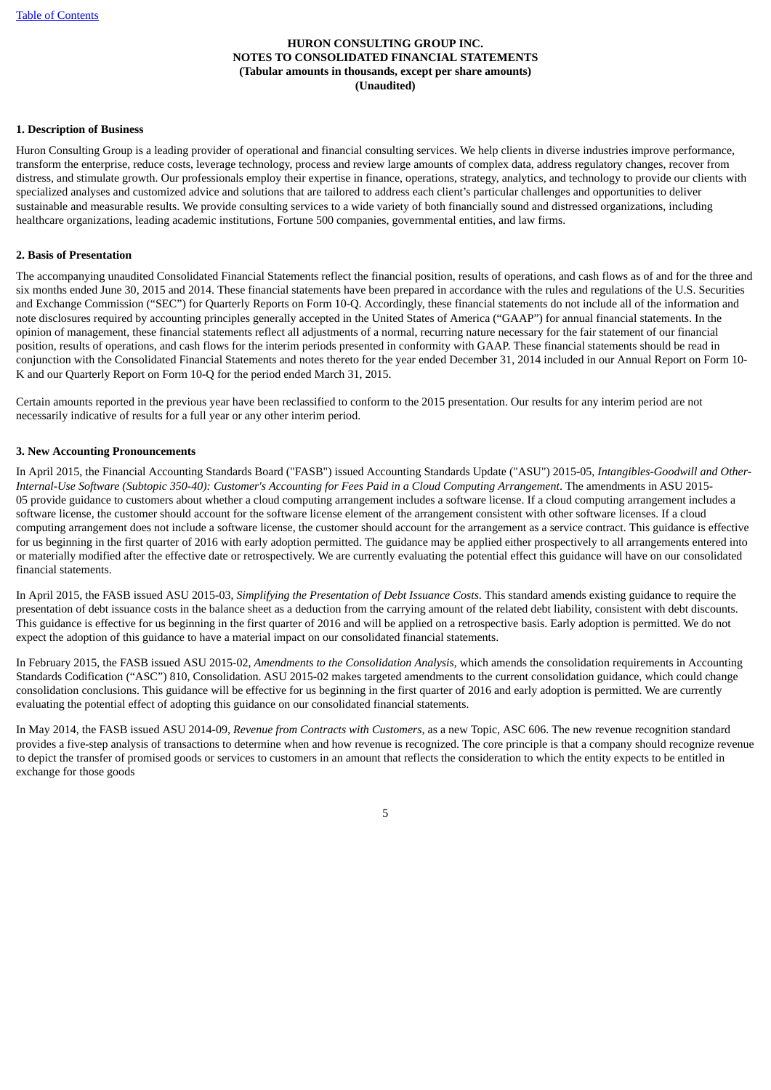#### **1. Description of Business**

Huron Consulting Group is a leading provider of operational and financial consulting services. We help clients in diverse industries improve performance, transform the enterprise, reduce costs, leverage technology, process and review large amounts of complex data, address regulatory changes, recover from distress, and stimulate growth. Our professionals employ their expertise in finance, operations, strategy, analytics, and technology to provide our clients with specialized analyses and customized advice and solutions that are tailored to address each client's particular challenges and opportunities to deliver sustainable and measurable results. We provide consulting services to a wide variety of both financially sound and distressed organizations, including healthcare organizations, leading academic institutions, Fortune 500 companies, governmental entities, and law firms.

#### **2. Basis of Presentation**

The accompanying unaudited Consolidated Financial Statements reflect the financial position, results of operations, and cash flows as of and for the three and six months ended June 30, 2015 and 2014. These financial statements have been prepared in accordance with the rules and regulations of the U.S. Securities and Exchange Commission ("SEC") for Quarterly Reports on Form 10-Q. Accordingly, these financial statements do not include all of the information and note disclosures required by accounting principles generally accepted in the United States of America ("GAAP") for annual financial statements. In the opinion of management, these financial statements reflect all adjustments of a normal, recurring nature necessary for the fair statement of our financial position, results of operations, and cash flows for the interim periods presented in conformity with GAAP. These financial statements should be read in conjunction with the Consolidated Financial Statements and notes thereto for the year ended December 31, 2014 included in our Annual Report on Form 10- K and our Quarterly Report on Form 10-Q for the period ended March 31, 2015.

Certain amounts reported in the previous year have been reclassified to conform to the 2015 presentation. Our results for any interim period are not necessarily indicative of results for a full year or any other interim period.

#### **3. New Accounting Pronouncements**

In April 2015, the Financial Accounting Standards Board ("FASB") issued Accounting Standards Update ("ASU") 2015-05, *Intangibles-Goodwill and Other-*Internal-Use Software (Subtopic 350-40): Customer's Accounting for Fees Paid in a Cloud Computing Arrangement. The amendments in ASU 2015-05 provide guidance to customers about whether a cloud computing arrangement includes a software license. If a cloud computing arrangement includes a software license, the customer should account for the software license element of the arrangement consistent with other software licenses. If a cloud computing arrangement does not include a software license, the customer should account for the arrangement as a service contract. This guidance is effective for us beginning in the first quarter of 2016 with early adoption permitted. The guidance may be applied either prospectively to all arrangements entered into or materially modified after the effective date or retrospectively. We are currently evaluating the potential effect this guidance will have on our consolidated financial statements.

In April 2015, the FASB issued ASU 2015-03, *Simplifying the Presentation of Debt Issuance Costs*. This standard amends existing guidance to require the presentation of debt issuance costs in the balance sheet as a deduction from the carrying amount of the related debt liability, consistent with debt discounts. This guidance is effective for us beginning in the first quarter of 2016 and will be applied on a retrospective basis. Early adoption is permitted. We do not expect the adoption of this guidance to have a material impact on our consolidated financial statements.

In February 2015, the FASB issued ASU 2015-02, *Amendments to the Consolidation Analysis*, which amends the consolidation requirements in Accounting Standards Codification ("ASC") 810, Consolidation. ASU 2015-02 makes targeted amendments to the current consolidation guidance, which could change consolidation conclusions. This guidance will be effective for us beginning in the first quarter of 2016 and early adoption is permitted. We are currently evaluating the potential effect of adopting this guidance on our consolidated financial statements.

In May 2014, the FASB issued ASU 2014-09, *Revenue from Contracts with Customers*, as a new Topic, ASC 606. The new revenue recognition standard provides a five-step analysis of transactions to determine when and how revenue is recognized. The core principle is that a company should recognize revenue to depict the transfer of promised goods or services to customers in an amount that reflects the consideration to which the entity expects to be entitled in exchange for those goods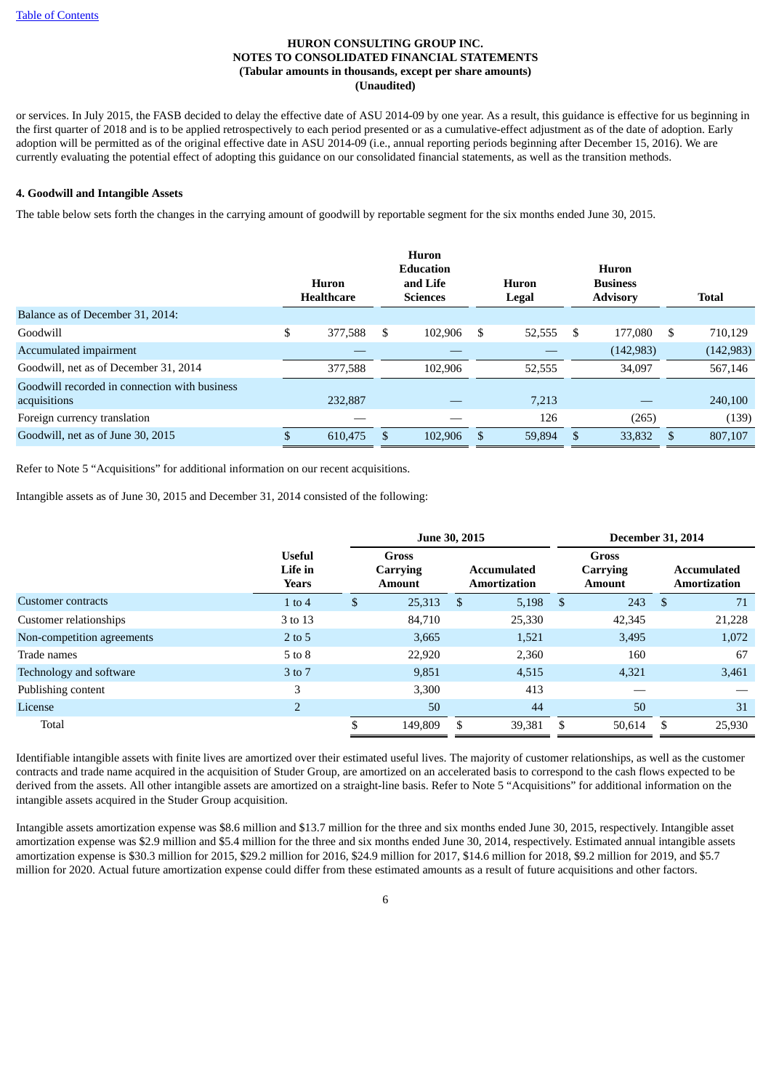or services. In July 2015, the FASB decided to delay the effective date of ASU 2014-09 by one year. As a result, this guidance is effective for us beginning in the first quarter of 2018 and is to be applied retrospectively to each period presented or as a cumulative-effect adjustment as of the date of adoption. Early adoption will be permitted as of the original effective date in ASU 2014-09 (i.e., annual reporting periods beginning after December 15, 2016). We are currently evaluating the potential effect of adopting this guidance on our consolidated financial statements, as well as the transition methods.

## **4. Goodwill and Intangible Assets**

The table below sets forth the changes in the carrying amount of goodwill by reportable segment for the six months ended June 30, 2015.

|                                                               | Huron<br><b>Healthcare</b> |         | <b>Huron</b><br><b>Education</b><br>and Life<br><b>Sciences</b> |         |   | Huron<br>Legal | <b>Huron</b><br><b>Business</b><br><b>Advisory</b> |            |    | <b>Total</b> |
|---------------------------------------------------------------|----------------------------|---------|-----------------------------------------------------------------|---------|---|----------------|----------------------------------------------------|------------|----|--------------|
| Balance as of December 31, 2014:                              |                            |         |                                                                 |         |   |                |                                                    |            |    |              |
| Goodwill                                                      | \$                         | 377,588 | \$.                                                             | 102,906 | S | 52,555         | -S                                                 | 177,080    | \$ | 710.129      |
| Accumulated impairment                                        |                            |         |                                                                 |         |   |                |                                                    | (142, 983) |    | (142, 983)   |
| Goodwill, net as of December 31, 2014                         |                            | 377,588 |                                                                 | 102,906 |   | 52,555         |                                                    | 34,097     |    | 567,146      |
| Goodwill recorded in connection with business<br>acquisitions |                            | 232,887 |                                                                 |         |   | 7,213          |                                                    |            |    | 240,100      |
| Foreign currency translation                                  |                            |         |                                                                 |         |   | 126            |                                                    | (265)      |    | (139)        |
| Goodwill, net as of June 30, 2015                             |                            | 610,475 |                                                                 | 102,906 |   | 59,894         |                                                    | 33,832     |    | 807,107      |

Refer to Note 5 "Acquisitions" for additional information on our recent acquisitions.

Intangible assets as of June 30, 2015 and December 31, 2014 consisted of the following:

|                            |                                   | <b>June 30, 2015</b>               |      |                                           | <b>December 31, 2014</b> |                                                  |      |                                           |
|----------------------------|-----------------------------------|------------------------------------|------|-------------------------------------------|--------------------------|--------------------------------------------------|------|-------------------------------------------|
|                            | <b>Useful</b><br>Life in<br>Years | Gross<br>Carrying<br><b>Amount</b> |      | <b>Accumulated</b><br><b>Amortization</b> |                          | <b>Gross</b><br><b>Carrying</b><br><b>Amount</b> |      | <b>Accumulated</b><br><b>Amortization</b> |
| Customer contracts         | $1$ to $4$                        | \$<br>25,313                       | - \$ | 5,198                                     | -\$                      | 243                                              | - \$ | 71                                        |
| Customer relationships     | 3 to 13                           | 84,710                             |      | 25,330                                    |                          | 42,345                                           |      | 21,228                                    |
| Non-competition agreements | $2$ to 5                          | 3,665                              |      | 1,521                                     |                          | 3,495                                            |      | 1,072                                     |
| Trade names                | 5 to 8                            | 22,920                             |      | 2,360                                     |                          | 160                                              |      | 67                                        |
| Technology and software    | 3 to 7                            | 9,851                              |      | 4,515                                     |                          | 4,321                                            |      | 3,461                                     |
| Publishing content         | 3                                 | 3,300                              |      | 413                                       |                          |                                                  |      |                                           |
| License                    | $\overline{2}$                    | 50                                 |      | 44                                        |                          | 50                                               |      | 31                                        |
| Total                      |                                   | \$<br>149,809                      |      | 39,381                                    | \$.                      | 50,614                                           | -S   | 25,930                                    |

Identifiable intangible assets with finite lives are amortized over their estimated useful lives. The majority of customer relationships, as well as the customer contracts and trade name acquired in the acquisition of Studer Group, are amortized on an accelerated basis to correspond to the cash flows expected to be derived from the assets. All other intangible assets are amortized on a straight-line basis. Refer to Note 5 "Acquisitions" for additional information on the intangible assets acquired in the Studer Group acquisition.

Intangible assets amortization expense was \$8.6 million and \$13.7 million for the three and six months ended June 30, 2015, respectively. Intangible asset amortization expense was \$2.9 million and \$5.4 million for the three and six months ended June 30, 2014, respectively. Estimated annual intangible assets amortization expense is \$30.3 million for 2015, \$29.2 million for 2016, \$24.9 million for 2017, \$14.6 million for 2018, \$9.2 million for 2019, and \$5.7 million for 2020. Actual future amortization expense could differ from these estimated amounts as a result of future acquisitions and other factors.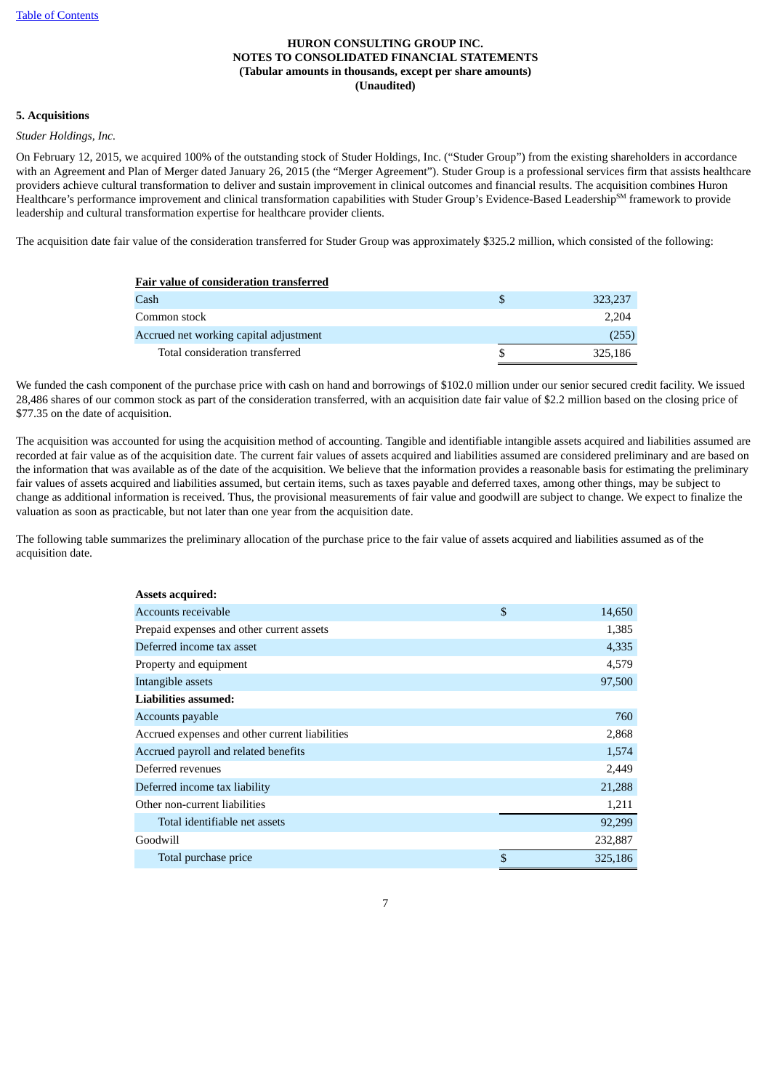#### **5. Acquisitions**

#### *Studer Holdings, Inc.*

On February 12, 2015, we acquired 100% of the outstanding stock of Studer Holdings, Inc. ("Studer Group") from the existing shareholders in accordance with an Agreement and Plan of Merger dated January 26, 2015 (the "Merger Agreement"). Studer Group is a professional services firm that assists healthcare providers achieve cultural transformation to deliver and sustain improvement in clinical outcomes and financial results. The acquisition combines Huron Healthcare's performance improvement and clinical transformation capabilities with Studer Group's Evidence-Based Leadership<sup>sM</sup> framework to provide leadership and cultural transformation expertise for healthcare provider clients.

The acquisition date fair value of the consideration transferred for Studer Group was approximately \$325.2 million, which consisted of the following:

| Fair value of consideration transferred |         |
|-----------------------------------------|---------|
| Cash                                    | 323.237 |
| Common stock                            | 2.204   |
| Accrued net working capital adjustment  | (255)   |
| Total consideration transferred         | 325,186 |

We funded the cash component of the purchase price with cash on hand and borrowings of \$102.0 million under our senior secured credit facility. We issued 28,486 shares of our common stock as part of the consideration transferred, with an acquisition date fair value of \$2.2 million based on the closing price of \$77.35 on the date of acquisition.

The acquisition was accounted for using the acquisition method of accounting. Tangible and identifiable intangible assets acquired and liabilities assumed are recorded at fair value as of the acquisition date. The current fair values of assets acquired and liabilities assumed are considered preliminary and are based on the information that was available as of the date of the acquisition. We believe that the information provides a reasonable basis for estimating the preliminary fair values of assets acquired and liabilities assumed, but certain items, such as taxes payable and deferred taxes, among other things, may be subject to change as additional information is received. Thus, the provisional measurements of fair value and goodwill are subject to change. We expect to finalize the valuation as soon as practicable, but not later than one year from the acquisition date.

The following table summarizes the preliminary allocation of the purchase price to the fair value of assets acquired and liabilities assumed as of the acquisition date.

| <b>Assets acquired:</b>                        |               |
|------------------------------------------------|---------------|
| Accounts receivable                            | \$<br>14,650  |
| Prepaid expenses and other current assets      | 1,385         |
| Deferred income tax asset                      | 4,335         |
| Property and equipment                         | 4,579         |
| Intangible assets                              | 97,500        |
| Liabilities assumed:                           |               |
| Accounts payable                               | 760           |
| Accrued expenses and other current liabilities | 2,868         |
| Accrued payroll and related benefits           | 1,574         |
| Deferred revenues                              | 2,449         |
| Deferred income tax liability                  | 21,288        |
| Other non-current liabilities                  | 1,211         |
| Total identifiable net assets                  | 92,299        |
| Goodwill                                       | 232,887       |
| Total purchase price                           | \$<br>325,186 |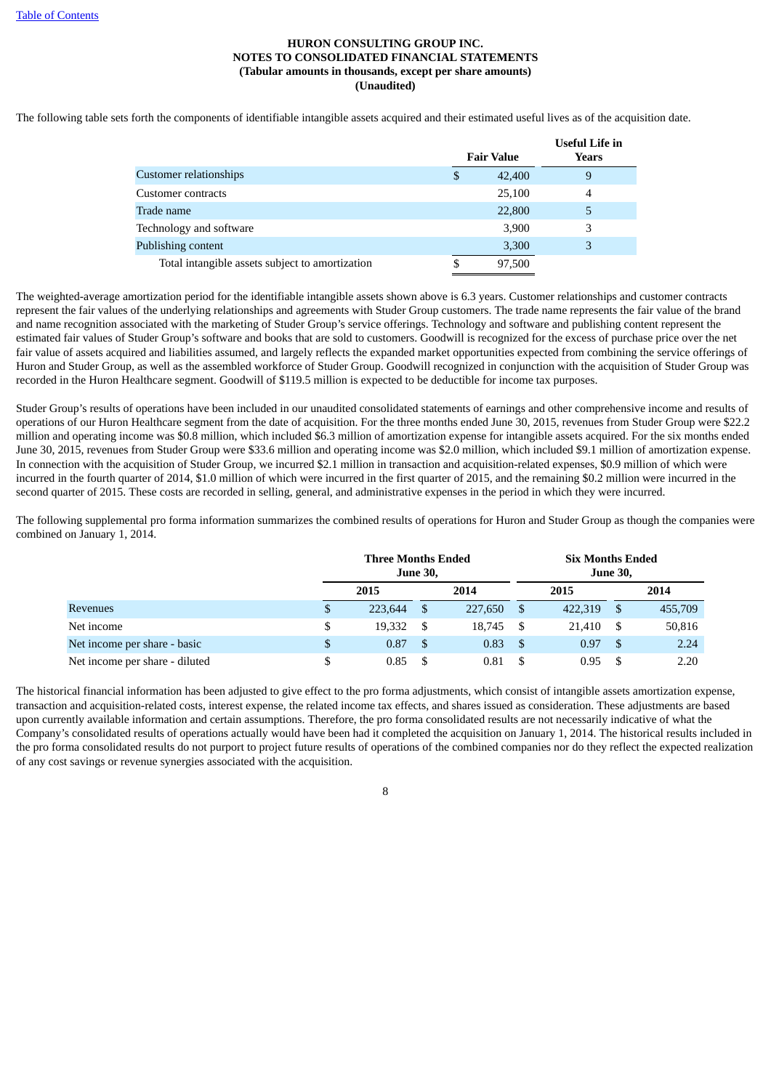The following table sets forth the components of identifiable intangible assets acquired and their estimated useful lives as of the acquisition date.

|                                                 |    |                   | <b>Useful Life in</b> |
|-------------------------------------------------|----|-------------------|-----------------------|
|                                                 |    | <b>Fair Value</b> | Years                 |
| Customer relationships                          | \$ | 42,400            | 9                     |
| Customer contracts                              |    | 25,100            | 4                     |
| Trade name                                      |    | 22,800            | 5                     |
| Technology and software                         |    | 3,900             | 3                     |
| Publishing content                              |    | 3,300             | 3                     |
| Total intangible assets subject to amortization | S  | 97,500            |                       |

The weighted-average amortization period for the identifiable intangible assets shown above is 6.3 years. Customer relationships and customer contracts represent the fair values of the underlying relationships and agreements with Studer Group customers. The trade name represents the fair value of the brand and name recognition associated with the marketing of Studer Group's service offerings. Technology and software and publishing content represent the estimated fair values of Studer Group's software and books that are sold to customers. Goodwill is recognized for the excess of purchase price over the net fair value of assets acquired and liabilities assumed, and largely reflects the expanded market opportunities expected from combining the service offerings of Huron and Studer Group, as well as the assembled workforce of Studer Group. Goodwill recognized in conjunction with the acquisition of Studer Group was recorded in the Huron Healthcare segment. Goodwill of \$119.5 million is expected to be deductible for income tax purposes.

Studer Group's results of operations have been included in our unaudited consolidated statements of earnings and other comprehensive income and results of operations of our Huron Healthcare segment from the date of acquisition. For the three months ended June 30, 2015, revenues from Studer Group were \$22.2 million and operating income was \$0.8 million, which included \$6.3 million of amortization expense for intangible assets acquired. For the six months ended June 30, 2015, revenues from Studer Group were \$33.6 million and operating income was \$2.0 million, which included \$9.1 million of amortization expense. In connection with the acquisition of Studer Group, we incurred \$2.1 million in transaction and acquisition-related expenses, \$0.9 million of which were incurred in the fourth quarter of 2014, \$1.0 million of which were incurred in the first quarter of 2015, and the remaining \$0.2 million were incurred in the second quarter of 2015. These costs are recorded in selling, general, and administrative expenses in the period in which they were incurred.

The following supplemental pro forma information summarizes the combined results of operations for Huron and Studer Group as though the companies were combined on January 1, 2014.

|                                | <b>Three Months Ended</b> | <b>June 30,</b> |         | <b>Six Months Ended</b><br><b>June 30,</b> |         |    |         |  |
|--------------------------------|---------------------------|-----------------|---------|--------------------------------------------|---------|----|---------|--|
|                                | 2015                      |                 | 2014    |                                            | 2015    |    | 2014    |  |
| <b>Revenues</b>                | \$<br>223,644             | - \$            | 227,650 | <sup>\$</sup>                              | 422,319 | -S | 455,709 |  |
| Net income                     | \$<br>19,332              | -S              | 18,745  | -S                                         | 21,410  |    | 50,816  |  |
| Net income per share - basic   | \$<br>0.87                | -\$             | 0.83    | -S                                         | 0.97    |    | 2.24    |  |
| Net income per share - diluted | 0.85                      |                 | 0.81    |                                            | 0.95    |    | 2.20    |  |

The historical financial information has been adjusted to give effect to the pro forma adjustments, which consist of intangible assets amortization expense, transaction and acquisition-related costs, interest expense, the related income tax effects, and shares issued as consideration. These adjustments are based upon currently available information and certain assumptions. Therefore, the pro forma consolidated results are not necessarily indicative of what the Company's consolidated results of operations actually would have been had it completed the acquisition on January 1, 2014. The historical results included in the pro forma consolidated results do not purport to project future results of operations of the combined companies nor do they reflect the expected realization of any cost savings or revenue synergies associated with the acquisition.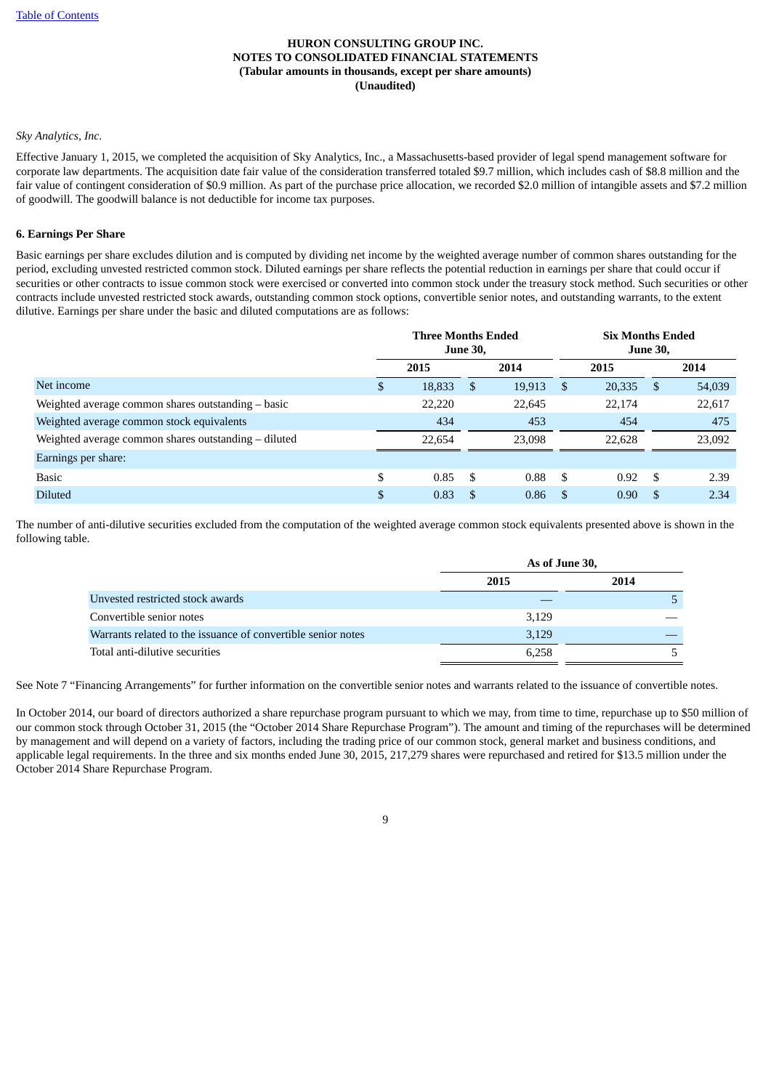#### *Sky Analytics, Inc.*

Effective January 1, 2015, we completed the acquisition of Sky Analytics, Inc., a Massachusetts-based provider of legal spend management software for corporate law departments. The acquisition date fair value of the consideration transferred totaled \$9.7 million, which includes cash of \$8.8 million and the fair value of contingent consideration of \$0.9 million. As part of the purchase price allocation, we recorded \$2.0 million of intangible assets and \$7.2 million of goodwill. The goodwill balance is not deductible for income tax purposes.

## **6. Earnings Per Share**

Basic earnings per share excludes dilution and is computed by dividing net income by the weighted average number of common shares outstanding for the period, excluding unvested restricted common stock. Diluted earnings per share reflects the potential reduction in earnings per share that could occur if securities or other contracts to issue common stock were exercised or converted into common stock under the treasury stock method. Such securities or other contracts include unvested restricted stock awards, outstanding common stock options, convertible senior notes, and outstanding warrants, to the extent dilutive. Earnings per share under the basic and diluted computations are as follows:

|                                                      |              | <b>Three Months Ended</b> | <b>June 30,</b> |        |    | <b>Six Months Ended</b><br><b>June 30,</b> |     |        |  |
|------------------------------------------------------|--------------|---------------------------|-----------------|--------|----|--------------------------------------------|-----|--------|--|
|                                                      | 2015<br>2014 |                           |                 |        |    | 2015                                       |     | 2014   |  |
| Net income                                           |              | 18,833                    | -\$             | 19,913 | -S | 20,335                                     | \$. | 54,039 |  |
| Weighted average common shares outstanding $-$ basic |              | 22,220                    |                 | 22,645 |    | 22,174                                     |     | 22,617 |  |
| Weighted average common stock equivalents            |              | 434                       |                 | 453    |    | 454                                        |     | 475    |  |
| Weighted average common shares outstanding - diluted |              | 22,654                    |                 | 23,098 |    | 22,628                                     |     | 23,092 |  |
| Earnings per share:                                  |              |                           |                 |        |    |                                            |     |        |  |
| <b>Basic</b>                                         | ъ            | 0.85                      | - \$            | 0.88   | -S | 0.92                                       | -S  | 2.39   |  |
| <b>Diluted</b>                                       |              | 0.83                      |                 | 0.86   | -S | 0.90                                       |     | 2.34   |  |

The number of anti-dilutive securities excluded from the computation of the weighted average common stock equivalents presented above is shown in the following table.

|                                                              | As of June 30, |      |
|--------------------------------------------------------------|----------------|------|
|                                                              | 2015           | 2014 |
| Unvested restricted stock awards                             |                |      |
| Convertible senior notes                                     | 3,129          |      |
| Warrants related to the issuance of convertible senior notes | 3,129          |      |
| Total anti-dilutive securities                               | 6.258          |      |

See Note 7 "Financing Arrangements" for further information on the convertible senior notes and warrants related to the issuance of convertible notes.

In October 2014, our board of directors authorized a share repurchase program pursuant to which we may, from time to time, repurchase up to \$50 million of our common stock through October 31, 2015 (the "October 2014 Share Repurchase Program"). The amount and timing of the repurchases will be determined by management and will depend on a variety of factors, including the trading price of our common stock, general market and business conditions, and applicable legal requirements. In the three and six months ended June 30, 2015, 217,279 shares were repurchased and retired for \$13.5 million under the October 2014 Share Repurchase Program.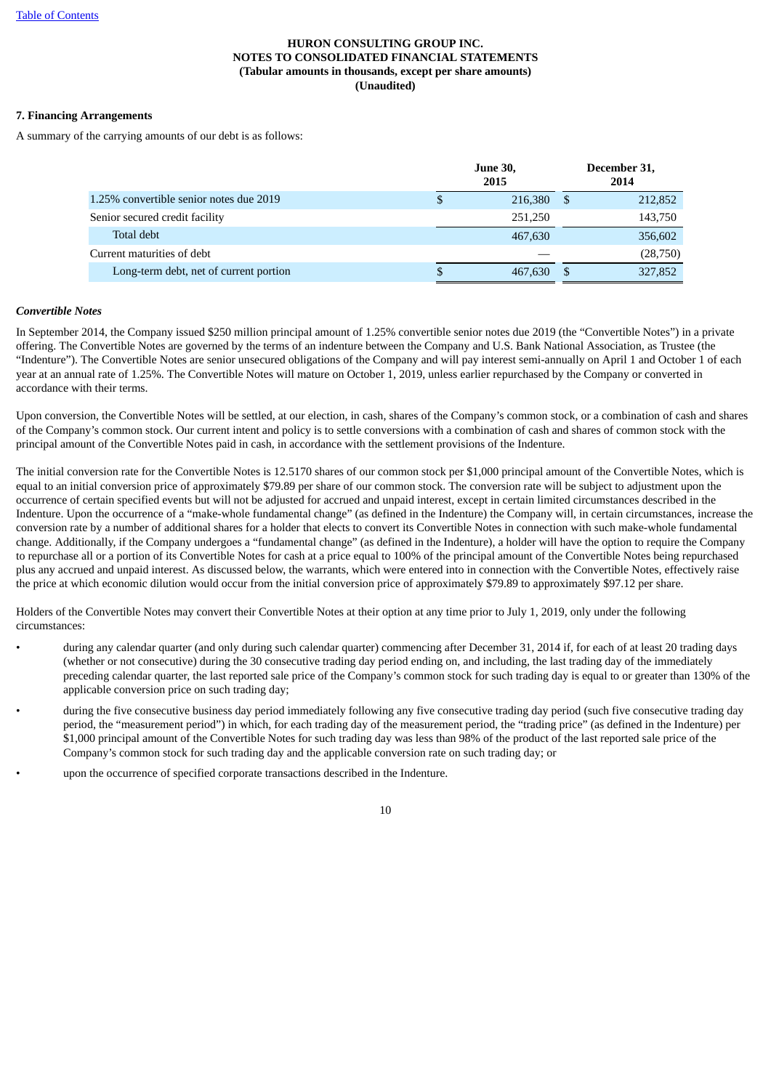## **7. Financing Arrangements**

A summary of the carrying amounts of our debt is as follows:

| December 31,<br>2014 |  |  |  |  |
|----------------------|--|--|--|--|
| 212,852              |  |  |  |  |
| 143,750              |  |  |  |  |
| 356,602              |  |  |  |  |
| (28,750)             |  |  |  |  |
| 327,852              |  |  |  |  |
|                      |  |  |  |  |

#### *Convertible Notes*

In September 2014, the Company issued \$250 million principal amount of 1.25% convertible senior notes due 2019 (the "Convertible Notes") in a private offering. The Convertible Notes are governed by the terms of an indenture between the Company and U.S. Bank National Association, as Trustee (the "Indenture"). The Convertible Notes are senior unsecured obligations of the Company and will pay interest semi-annually on April 1 and October 1 of each year at an annual rate of 1.25%. The Convertible Notes will mature on October 1, 2019, unless earlier repurchased by the Company or converted in accordance with their terms.

Upon conversion, the Convertible Notes will be settled, at our election, in cash, shares of the Company's common stock, or a combination of cash and shares of the Company's common stock. Our current intent and policy is to settle conversions with a combination of cash and shares of common stock with the principal amount of the Convertible Notes paid in cash, in accordance with the settlement provisions of the Indenture.

The initial conversion rate for the Convertible Notes is 12.5170 shares of our common stock per \$1,000 principal amount of the Convertible Notes, which is equal to an initial conversion price of approximately \$79.89 per share of our common stock. The conversion rate will be subject to adjustment upon the occurrence of certain specified events but will not be adjusted for accrued and unpaid interest, except in certain limited circumstances described in the Indenture. Upon the occurrence of a "make-whole fundamental change" (as defined in the Indenture) the Company will, in certain circumstances, increase the conversion rate by a number of additional shares for a holder that elects to convert its Convertible Notes in connection with such make-whole fundamental change. Additionally, if the Company undergoes a "fundamental change" (as defined in the Indenture), a holder will have the option to require the Company to repurchase all or a portion of its Convertible Notes for cash at a price equal to 100% of the principal amount of the Convertible Notes being repurchased plus any accrued and unpaid interest. As discussed below, the warrants, which were entered into in connection with the Convertible Notes, effectively raise the price at which economic dilution would occur from the initial conversion price of approximately \$79.89 to approximately \$97.12 per share.

Holders of the Convertible Notes may convert their Convertible Notes at their option at any time prior to July 1, 2019, only under the following circumstances:

- during any calendar quarter (and only during such calendar quarter) commencing after December 31, 2014 if, for each of at least 20 trading days (whether or not consecutive) during the 30 consecutive trading day period ending on, and including, the last trading day of the immediately preceding calendar quarter, the last reported sale price of the Company's common stock for such trading day is equal to or greater than 130% of the applicable conversion price on such trading day;
- during the five consecutive business day period immediately following any five consecutive trading day period (such five consecutive trading day period, the "measurement period") in which, for each trading day of the measurement period, the "trading price" (as defined in the Indenture) per \$1,000 principal amount of the Convertible Notes for such trading day was less than 98% of the product of the last reported sale price of the Company's common stock for such trading day and the applicable conversion rate on such trading day; or

• upon the occurrence of specified corporate transactions described in the Indenture.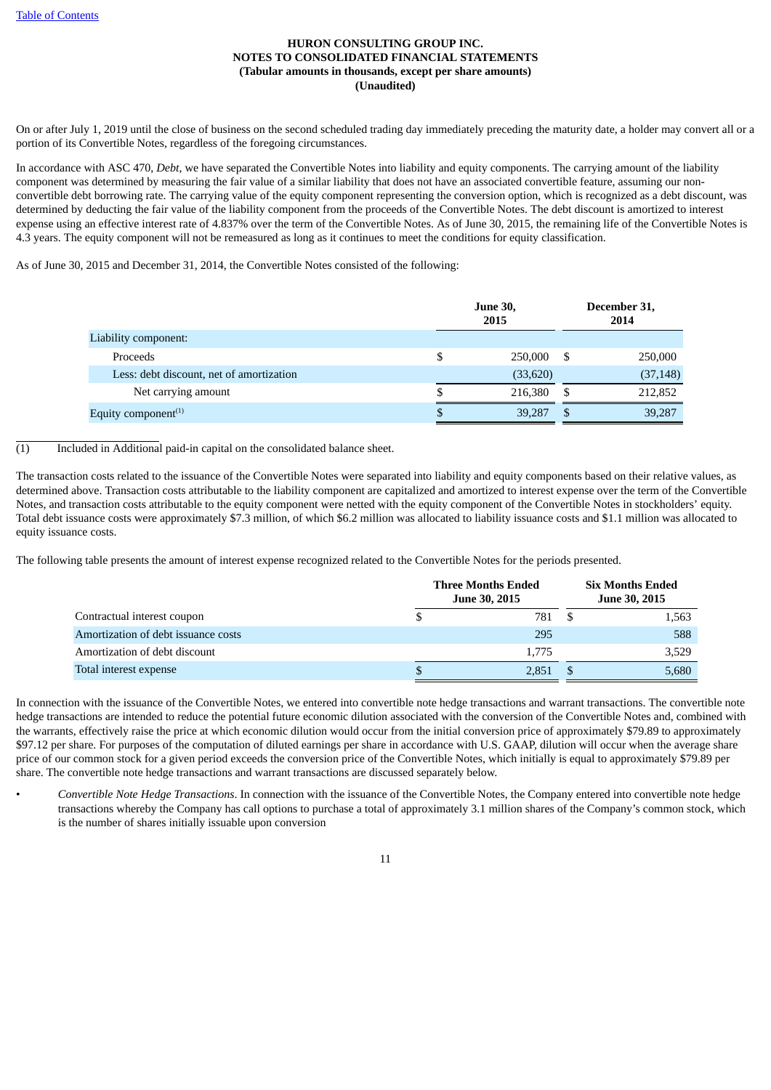On or after July 1, 2019 until the close of business on the second scheduled trading day immediately preceding the maturity date, a holder may convert all or a portion of its Convertible Notes, regardless of the foregoing circumstances.

In accordance with ASC 470, *Debt*, we have separated the Convertible Notes into liability and equity components. The carrying amount of the liability component was determined by measuring the fair value of a similar liability that does not have an associated convertible feature, assuming our nonconvertible debt borrowing rate. The carrying value of the equity component representing the conversion option, which is recognized as a debt discount, was determined by deducting the fair value of the liability component from the proceeds of the Convertible Notes. The debt discount is amortized to interest expense using an effective interest rate of 4.837% over the term of the Convertible Notes. As of June 30, 2015, the remaining life of the Convertible Notes is 4.3 years. The equity component will not be remeasured as long as it continues to meet the conditions for equity classification.

As of June 30, 2015 and December 31, 2014, the Convertible Notes consisted of the following:

|                                              | <b>June 30,</b><br>2015 |   | December 31,<br>2014 |
|----------------------------------------------|-------------------------|---|----------------------|
| Liability component:                         |                         |   |                      |
| <b>Proceeds</b>                              | \$<br>250,000           | S | 250,000              |
| Less: debt discount, net of amortization     | (33,620)                |   | (37, 148)            |
| Net carrying amount                          | 216,380                 | S | 212,852              |
| Equity component <sup><math>(1)</math></sup> | \$<br>39,287            | S | 39,287               |

## (1) Included in Additional paid-in capital on the consolidated balance sheet.

The transaction costs related to the issuance of the Convertible Notes were separated into liability and equity components based on their relative values, as determined above. Transaction costs attributable to the liability component are capitalized and amortized to interest expense over the term of the Convertible Notes, and transaction costs attributable to the equity component were netted with the equity component of the Convertible Notes in stockholders' equity. Total debt issuance costs were approximately \$7.3 million, of which \$6.2 million was allocated to liability issuance costs and \$1.1 million was allocated to equity issuance costs.

The following table presents the amount of interest expense recognized related to the Convertible Notes for the periods presented.

|                                     | <b>Six Months Ended</b><br><b>Three Months Ended</b><br><b>June 30, 2015</b><br><b>June 30, 2015</b> |       |     |       |  |  |  |
|-------------------------------------|------------------------------------------------------------------------------------------------------|-------|-----|-------|--|--|--|
| Contractual interest coupon         |                                                                                                      | 781   | -\$ | 1,563 |  |  |  |
| Amortization of debt issuance costs |                                                                                                      | 295   |     | 588   |  |  |  |
| Amortization of debt discount       |                                                                                                      | 1.775 |     | 3,529 |  |  |  |
| Total interest expense              |                                                                                                      | 2,851 |     | 5,680 |  |  |  |

In connection with the issuance of the Convertible Notes, we entered into convertible note hedge transactions and warrant transactions. The convertible note hedge transactions are intended to reduce the potential future economic dilution associated with the conversion of the Convertible Notes and, combined with the warrants, effectively raise the price at which economic dilution would occur from the initial conversion price of approximately \$79.89 to approximately \$97.12 per share. For purposes of the computation of diluted earnings per share in accordance with U.S. GAAP, dilution will occur when the average share price of our common stock for a given period exceeds the conversion price of the Convertible Notes, which initially is equal to approximately \$79.89 per share. The convertible note hedge transactions and warrant transactions are discussed separately below.

• *Convertible Note Hedge Transactions*. In connection with the issuance of the Convertible Notes, the Company entered into convertible note hedge transactions whereby the Company has call options to purchase a total of approximately 3.1 million shares of the Company's common stock, which is the number of shares initially issuable upon conversion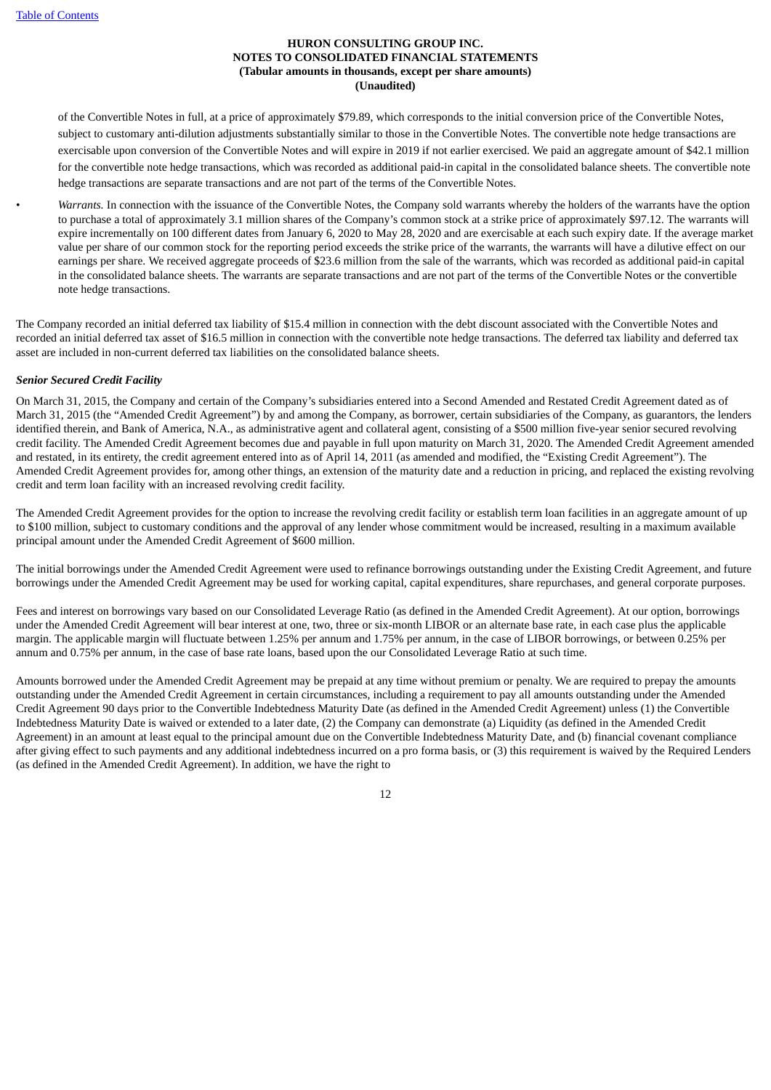of the Convertible Notes in full, at a price of approximately \$79.89, which corresponds to the initial conversion price of the Convertible Notes, subject to customary anti-dilution adjustments substantially similar to those in the Convertible Notes. The convertible note hedge transactions are exercisable upon conversion of the Convertible Notes and will expire in 2019 if not earlier exercised. We paid an aggregate amount of \$42.1 million for the convertible note hedge transactions, which was recorded as additional paid-in capital in the consolidated balance sheets. The convertible note hedge transactions are separate transactions and are not part of the terms of the Convertible Notes.

• *Warrants.* In connection with the issuance of the Convertible Notes, the Company sold warrants whereby the holders of the warrants have the option to purchase a total of approximately 3.1 million shares of the Company's common stock at a strike price of approximately \$97.12. The warrants will expire incrementally on 100 different dates from January 6, 2020 to May 28, 2020 and are exercisable at each such expiry date. If the average market value per share of our common stock for the reporting period exceeds the strike price of the warrants, the warrants will have a dilutive effect on our earnings per share. We received aggregate proceeds of \$23.6 million from the sale of the warrants, which was recorded as additional paid-in capital in the consolidated balance sheets. The warrants are separate transactions and are not part of the terms of the Convertible Notes or the convertible note hedge transactions.

The Company recorded an initial deferred tax liability of \$15.4 million in connection with the debt discount associated with the Convertible Notes and recorded an initial deferred tax asset of \$16.5 million in connection with the convertible note hedge transactions. The deferred tax liability and deferred tax asset are included in non-current deferred tax liabilities on the consolidated balance sheets.

#### *Senior Secured Credit Facility*

On March 31, 2015, the Company and certain of the Company's subsidiaries entered into a Second Amended and Restated Credit Agreement dated as of March 31, 2015 (the "Amended Credit Agreement") by and among the Company, as borrower, certain subsidiaries of the Company, as guarantors, the lenders identified therein, and Bank of America, N.A., as administrative agent and collateral agent, consisting of a \$500 million five-year senior secured revolving credit facility. The Amended Credit Agreement becomes due and payable in full upon maturity on March 31, 2020. The Amended Credit Agreement amended and restated, in its entirety, the credit agreement entered into as of April 14, 2011 (as amended and modified, the "Existing Credit Agreement"). The Amended Credit Agreement provides for, among other things, an extension of the maturity date and a reduction in pricing, and replaced the existing revolving credit and term loan facility with an increased revolving credit facility.

The Amended Credit Agreement provides for the option to increase the revolving credit facility or establish term loan facilities in an aggregate amount of up to \$100 million, subject to customary conditions and the approval of any lender whose commitment would be increased, resulting in a maximum available principal amount under the Amended Credit Agreement of \$600 million.

The initial borrowings under the Amended Credit Agreement were used to refinance borrowings outstanding under the Existing Credit Agreement, and future borrowings under the Amended Credit Agreement may be used for working capital, capital expenditures, share repurchases, and general corporate purposes.

Fees and interest on borrowings vary based on our Consolidated Leverage Ratio (as defined in the Amended Credit Agreement). At our option, borrowings under the Amended Credit Agreement will bear interest at one, two, three or six-month LIBOR or an alternate base rate, in each case plus the applicable margin. The applicable margin will fluctuate between 1.25% per annum and 1.75% per annum, in the case of LIBOR borrowings, or between 0.25% per annum and 0.75% per annum, in the case of base rate loans, based upon the our Consolidated Leverage Ratio at such time.

Amounts borrowed under the Amended Credit Agreement may be prepaid at any time without premium or penalty. We are required to prepay the amounts outstanding under the Amended Credit Agreement in certain circumstances, including a requirement to pay all amounts outstanding under the Amended Credit Agreement 90 days prior to the Convertible Indebtedness Maturity Date (as defined in the Amended Credit Agreement) unless (1) the Convertible Indebtedness Maturity Date is waived or extended to a later date, (2) the Company can demonstrate (a) Liquidity (as defined in the Amended Credit Agreement) in an amount at least equal to the principal amount due on the Convertible Indebtedness Maturity Date, and (b) financial covenant compliance after giving effect to such payments and any additional indebtedness incurred on a pro forma basis, or (3) this requirement is waived by the Required Lenders (as defined in the Amended Credit Agreement). In addition, we have the right to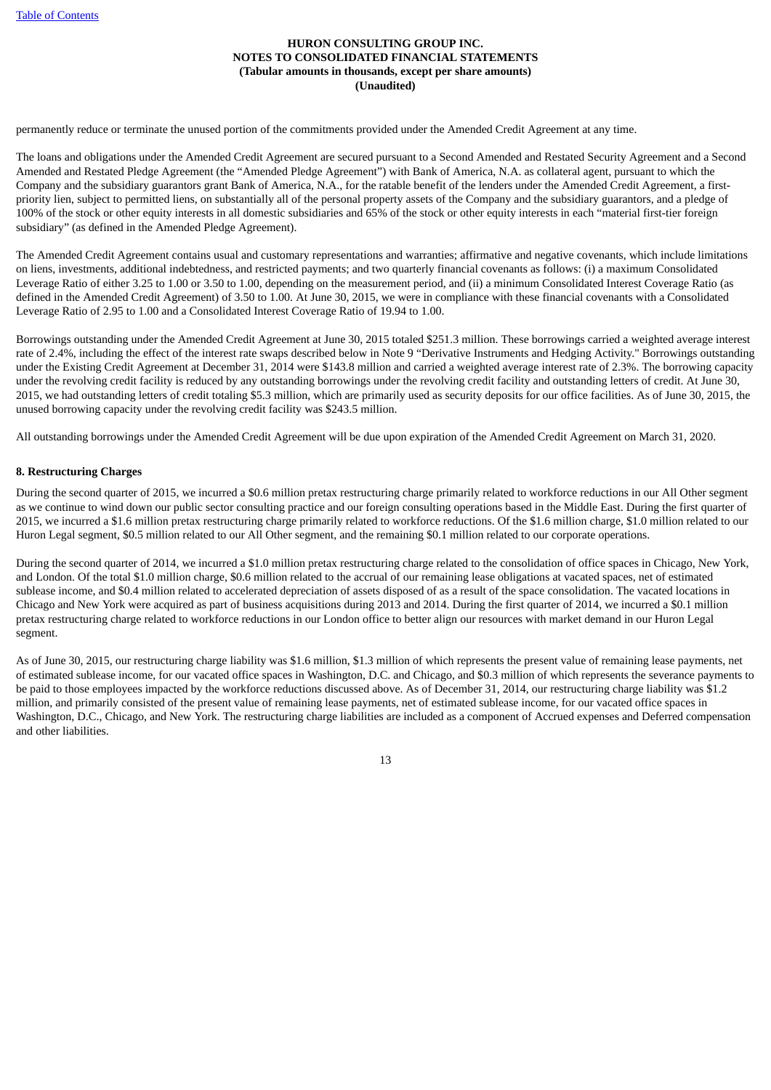permanently reduce or terminate the unused portion of the commitments provided under the Amended Credit Agreement at any time.

The loans and obligations under the Amended Credit Agreement are secured pursuant to a Second Amended and Restated Security Agreement and a Second Amended and Restated Pledge Agreement (the "Amended Pledge Agreement") with Bank of America, N.A. as collateral agent, pursuant to which the Company and the subsidiary guarantors grant Bank of America, N.A., for the ratable benefit of the lenders under the Amended Credit Agreement, a firstpriority lien, subject to permitted liens, on substantially all of the personal property assets of the Company and the subsidiary guarantors, and a pledge of 100% of the stock or other equity interests in all domestic subsidiaries and 65% of the stock or other equity interests in each "material first-tier foreign subsidiary" (as defined in the Amended Pledge Agreement).

The Amended Credit Agreement contains usual and customary representations and warranties; affirmative and negative covenants, which include limitations on liens, investments, additional indebtedness, and restricted payments; and two quarterly financial covenants as follows: (i) a maximum Consolidated Leverage Ratio of either 3.25 to 1.00 or 3.50 to 1.00, depending on the measurement period, and (ii) a minimum Consolidated Interest Coverage Ratio (as defined in the Amended Credit Agreement) of 3.50 to 1.00. At June 30, 2015, we were in compliance with these financial covenants with a Consolidated Leverage Ratio of 2.95 to 1.00 and a Consolidated Interest Coverage Ratio of 19.94 to 1.00.

Borrowings outstanding under the Amended Credit Agreement at June 30, 2015 totaled \$251.3 million. These borrowings carried a weighted average interest rate of 2.4%, including the effect of the interest rate swaps described below in Note 9 "Derivative Instruments and Hedging Activity." Borrowings outstanding under the Existing Credit Agreement at December 31, 2014 were \$143.8 million and carried a weighted average interest rate of 2.3%. The borrowing capacity under the revolving credit facility is reduced by any outstanding borrowings under the revolving credit facility and outstanding letters of credit. At June 30, 2015, we had outstanding letters of credit totaling \$5.3 million, which are primarily used as security deposits for our office facilities. As of June 30, 2015, the unused borrowing capacity under the revolving credit facility was \$243.5 million.

All outstanding borrowings under the Amended Credit Agreement will be due upon expiration of the Amended Credit Agreement on March 31, 2020.

## **8. Restructuring Charges**

During the second quarter of 2015, we incurred a \$0.6 million pretax restructuring charge primarily related to workforce reductions in our All Other segment as we continue to wind down our public sector consulting practice and our foreign consulting operations based in the Middle East. During the first quarter of 2015, we incurred a \$1.6 million pretax restructuring charge primarily related to workforce reductions. Of the \$1.6 million charge, \$1.0 million related to our Huron Legal segment, \$0.5 million related to our All Other segment, and the remaining \$0.1 million related to our corporate operations.

During the second quarter of 2014, we incurred a \$1.0 million pretax restructuring charge related to the consolidation of office spaces in Chicago, New York, and London. Of the total \$1.0 million charge, \$0.6 million related to the accrual of our remaining lease obligations at vacated spaces, net of estimated sublease income, and \$0.4 million related to accelerated depreciation of assets disposed of as a result of the space consolidation. The vacated locations in Chicago and New York were acquired as part of business acquisitions during 2013 and 2014. During the first quarter of 2014, we incurred a \$0.1 million pretax restructuring charge related to workforce reductions in our London office to better align our resources with market demand in our Huron Legal segment.

As of June 30, 2015, our restructuring charge liability was \$1.6 million, \$1.3 million of which represents the present value of remaining lease payments, net of estimated sublease income, for our vacated office spaces in Washington, D.C. and Chicago, and \$0.3 million of which represents the severance payments to be paid to those employees impacted by the workforce reductions discussed above. As of December 31, 2014, our restructuring charge liability was \$1.2 million, and primarily consisted of the present value of remaining lease payments, net of estimated sublease income, for our vacated office spaces in Washington, D.C., Chicago, and New York. The restructuring charge liabilities are included as a component of Accrued expenses and Deferred compensation and other liabilities.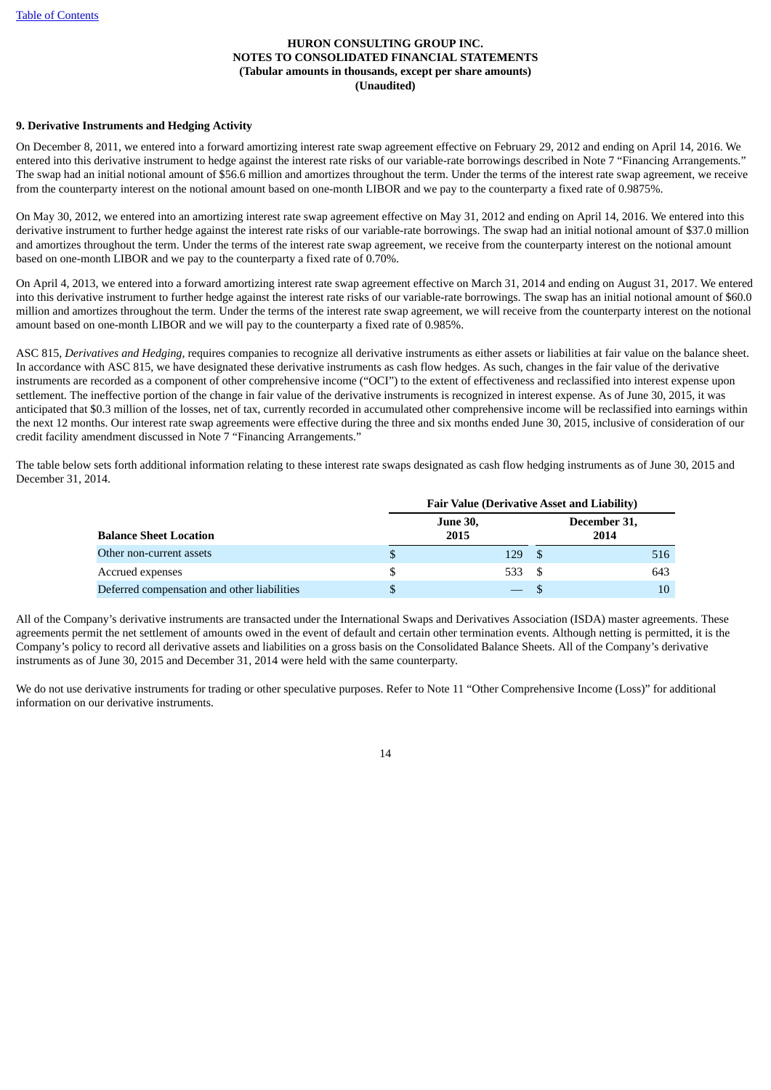## **9. Derivative Instruments and Hedging Activity**

On December 8, 2011, we entered into a forward amortizing interest rate swap agreement effective on February 29, 2012 and ending on April 14, 2016. We entered into this derivative instrument to hedge against the interest rate risks of our variable-rate borrowings described in Note 7 "Financing Arrangements." The swap had an initial notional amount of \$56.6 million and amortizes throughout the term. Under the terms of the interest rate swap agreement, we receive from the counterparty interest on the notional amount based on one-month LIBOR and we pay to the counterparty a fixed rate of 0.9875%.

On May 30, 2012, we entered into an amortizing interest rate swap agreement effective on May 31, 2012 and ending on April 14, 2016. We entered into this derivative instrument to further hedge against the interest rate risks of our variable-rate borrowings. The swap had an initial notional amount of \$37.0 million and amortizes throughout the term. Under the terms of the interest rate swap agreement, we receive from the counterparty interest on the notional amount based on one-month LIBOR and we pay to the counterparty a fixed rate of 0.70%.

On April 4, 2013, we entered into a forward amortizing interest rate swap agreement effective on March 31, 2014 and ending on August 31, 2017. We entered into this derivative instrument to further hedge against the interest rate risks of our variable-rate borrowings. The swap has an initial notional amount of \$60.0 million and amortizes throughout the term. Under the terms of the interest rate swap agreement, we will receive from the counterparty interest on the notional amount based on one-month LIBOR and we will pay to the counterparty a fixed rate of 0.985%.

ASC 815, *Derivatives and Hedging*, requires companies to recognize all derivative instruments as either assets or liabilities at fair value on the balance sheet. In accordance with ASC 815, we have designated these derivative instruments as cash flow hedges. As such, changes in the fair value of the derivative instruments are recorded as a component of other comprehensive income ("OCI") to the extent of effectiveness and reclassified into interest expense upon settlement. The ineffective portion of the change in fair value of the derivative instruments is recognized in interest expense. As of June 30, 2015, it was anticipated that \$0.3 million of the losses, net of tax, currently recorded in accumulated other comprehensive income will be reclassified into earnings within the next 12 months. Our interest rate swap agreements were effective during the three and six months ended June 30, 2015, inclusive of consideration of our credit facility amendment discussed in Note 7 "Financing Arrangements."

The table below sets forth additional information relating to these interest rate swaps designated as cash flow hedging instruments as of June 30, 2015 and December 31, 2014.

|                                             | <b>Fair Value (Derivative Asset and Liability)</b> |                         |      |                      |  |  |  |  |  |  |  |
|---------------------------------------------|----------------------------------------------------|-------------------------|------|----------------------|--|--|--|--|--|--|--|
| <b>Balance Sheet Location</b>               |                                                    | <b>June 30,</b><br>2015 |      | December 31,<br>2014 |  |  |  |  |  |  |  |
| Other non-current assets                    | S                                                  | 129                     | - \$ | 516                  |  |  |  |  |  |  |  |
| Accrued expenses                            |                                                    | 533 \$                  |      | 643                  |  |  |  |  |  |  |  |
| Deferred compensation and other liabilities |                                                    |                         |      | 10                   |  |  |  |  |  |  |  |

All of the Company's derivative instruments are transacted under the International Swaps and Derivatives Association (ISDA) master agreements. These agreements permit the net settlement of amounts owed in the event of default and certain other termination events. Although netting is permitted, it is the Company's policy to record all derivative assets and liabilities on a gross basis on the Consolidated Balance Sheets. All of the Company's derivative instruments as of June 30, 2015 and December 31, 2014 were held with the same counterparty.

We do not use derivative instruments for trading or other speculative purposes. Refer to Note 11 "Other Comprehensive Income (Loss)" for additional information on our derivative instruments.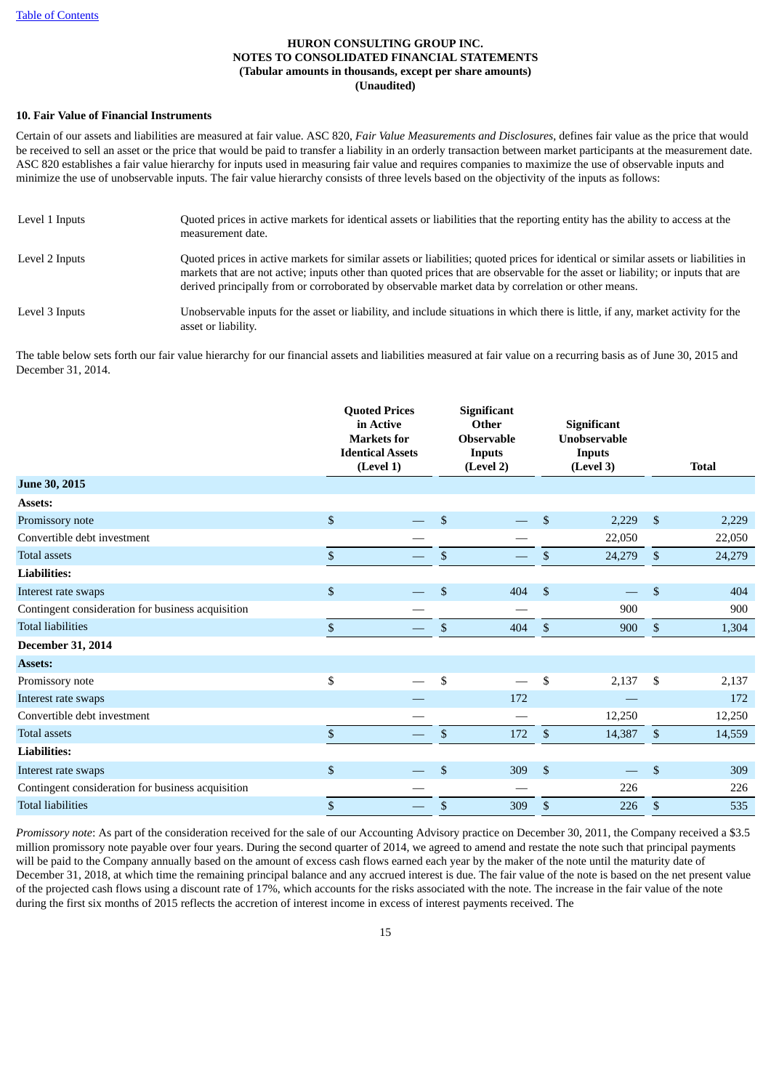#### **10. Fair Value of Financial Instruments**

asset or liability.

Certain of our assets and liabilities are measured at fair value. ASC 820, *Fair Value Measurements and Disclosures*, defines fair value as the price that would be received to sell an asset or the price that would be paid to transfer a liability in an orderly transaction between market participants at the measurement date. ASC 820 establishes a fair value hierarchy for inputs used in measuring fair value and requires companies to maximize the use of observable inputs and minimize the use of unobservable inputs. The fair value hierarchy consists of three levels based on the objectivity of the inputs as follows:

| Level 1 Inputs | Quoted prices in active markets for identical assets or liabilities that the reporting entity has the ability to access at the<br>measurement date.                                                                                                                                                                                                                        |
|----------------|----------------------------------------------------------------------------------------------------------------------------------------------------------------------------------------------------------------------------------------------------------------------------------------------------------------------------------------------------------------------------|
| Level 2 Inputs | Quoted prices in active markets for similar assets or liabilities; quoted prices for identical or similar assets or liabilities in<br>markets that are not active; inputs other than quoted prices that are observable for the asset or liability; or inputs that are<br>derived principally from or corroborated by observable market data by correlation or other means. |
| Level 3 Inputs | Unobservable inputs for the asset or liability, and include situations in which there is little, if any, market activity for the                                                                                                                                                                                                                                           |

The table below sets forth our fair value hierarchy for our financial assets and liabilities measured at fair value on a recurring basis as of June 30, 2015 and December 31, 2014.

|                                                   |                                           | <b>Quoted Prices</b><br>in Active<br><b>Markets</b> for<br><b>Identical Assets</b><br>(Level 1) |              | <b>Significant</b><br>Other<br><b>Observable</b><br><b>Inputs</b><br>(Level 2) |                           | <b>Significant</b><br><b>Unobservable</b><br><b>Inputs</b><br>(Level 3) |                | <b>Total</b> |
|---------------------------------------------------|-------------------------------------------|-------------------------------------------------------------------------------------------------|--------------|--------------------------------------------------------------------------------|---------------------------|-------------------------------------------------------------------------|----------------|--------------|
| <b>June 30, 2015</b>                              |                                           |                                                                                                 |              |                                                                                |                           |                                                                         |                |              |
| Assets:                                           |                                           |                                                                                                 |              |                                                                                |                           |                                                                         |                |              |
| Promissory note                                   | \$                                        |                                                                                                 | $\mathbb{S}$ |                                                                                | \$                        | 2,229                                                                   | $\mathfrak{S}$ | 2,229        |
| Convertible debt investment                       |                                           |                                                                                                 |              |                                                                                |                           | 22,050                                                                  |                | 22,050       |
| <b>Total assets</b>                               | \$                                        |                                                                                                 | $\mathbb{S}$ |                                                                                | $\$$                      | 24,279                                                                  | $\mathbb S$    | 24,279       |
| <b>Liabilities:</b>                               |                                           |                                                                                                 |              |                                                                                |                           |                                                                         |                |              |
| Interest rate swaps                               | \$                                        |                                                                                                 | \$           | 404                                                                            | $\mathbf{\$}$             |                                                                         | \$             | 404          |
| Contingent consideration for business acquisition |                                           |                                                                                                 |              |                                                                                |                           | 900                                                                     |                | 900          |
| <b>Total liabilities</b>                          | \$                                        |                                                                                                 | $\sqrt{3}$   | 404                                                                            | $\sqrt[6]{\frac{1}{2}}$   | 900                                                                     | \$             | 1,304        |
| December 31, 2014                                 |                                           |                                                                                                 |              |                                                                                |                           |                                                                         |                |              |
| <b>Assets:</b>                                    |                                           |                                                                                                 |              |                                                                                |                           |                                                                         |                |              |
| Promissory note                                   | \$                                        |                                                                                                 | \$           |                                                                                | \$                        | 2,137                                                                   | \$             | 2,137        |
| Interest rate swaps                               |                                           |                                                                                                 |              | 172                                                                            |                           |                                                                         |                | 172          |
| Convertible debt investment                       |                                           |                                                                                                 |              |                                                                                |                           | 12,250                                                                  |                | 12,250       |
| <b>Total assets</b>                               | \$                                        |                                                                                                 | \$           | 172                                                                            | $\boldsymbol{\mathsf{S}}$ | 14,387                                                                  | \$             | 14,559       |
| <b>Liabilities:</b>                               |                                           |                                                                                                 |              |                                                                                |                           |                                                                         |                |              |
| Interest rate swaps                               | \$                                        |                                                                                                 | \$           | 309                                                                            | $\boldsymbol{\mathsf{S}}$ |                                                                         | \$             | 309          |
| Contingent consideration for business acquisition |                                           |                                                                                                 |              |                                                                                |                           | 226                                                                     |                | 226          |
| <b>Total liabilities</b>                          | $\, \, \raisebox{12pt}{$\scriptstyle \$}$ |                                                                                                 | \$           | 309                                                                            | \$                        | 226                                                                     | \$             | 535          |

*Promissory note*: As part of the consideration received for the sale of our Accounting Advisory practice on December 30, 2011, the Company received a \$3.5 million promissory note payable over four years. During the second quarter of 2014, we agreed to amend and restate the note such that principal payments will be paid to the Company annually based on the amount of excess cash flows earned each year by the maker of the note until the maturity date of December 31, 2018, at which time the remaining principal balance and any accrued interest is due. The fair value of the note is based on the net present value of the projected cash flows using a discount rate of 17%, which accounts for the risks associated with the note. The increase in the fair value of the note during the first six months of 2015 reflects the accretion of interest income in excess of interest payments received. The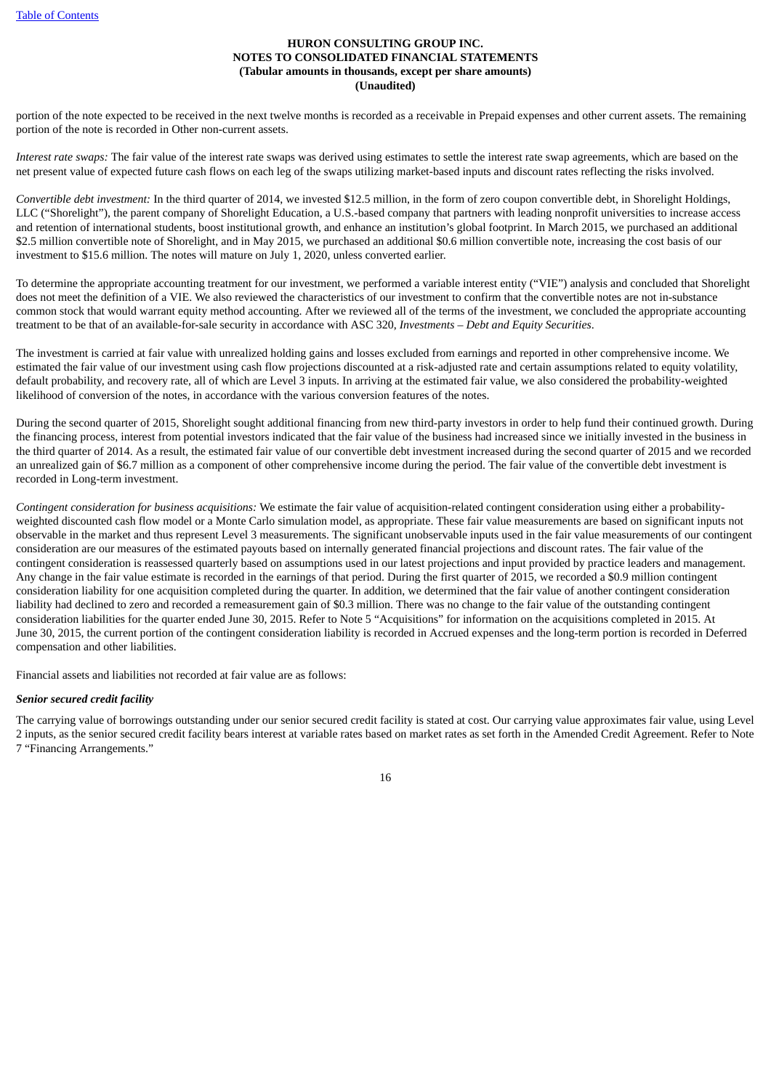portion of the note expected to be received in the next twelve months is recorded as a receivable in Prepaid expenses and other current assets. The remaining portion of the note is recorded in Other non-current assets.

*Interest rate swaps:* The fair value of the interest rate swaps was derived using estimates to settle the interest rate swap agreements, which are based on the net present value of expected future cash flows on each leg of the swaps utilizing market-based inputs and discount rates reflecting the risks involved.

*Convertible debt investment:* In the third quarter of 2014, we invested \$12.5 million, in the form of zero coupon convertible debt, in Shorelight Holdings, LLC ("Shorelight"), the parent company of Shorelight Education, a U.S.-based company that partners with leading nonprofit universities to increase access and retention of international students, boost institutional growth, and enhance an institution's global footprint. In March 2015, we purchased an additional \$2.5 million convertible note of Shorelight, and in May 2015, we purchased an additional \$0.6 million convertible note, increasing the cost basis of our investment to \$15.6 million. The notes will mature on July 1, 2020, unless converted earlier.

To determine the appropriate accounting treatment for our investment, we performed a variable interest entity ("VIE") analysis and concluded that Shorelight does not meet the definition of a VIE. We also reviewed the characteristics of our investment to confirm that the convertible notes are not in-substance common stock that would warrant equity method accounting. After we reviewed all of the terms of the investment, we concluded the appropriate accounting treatment to be that of an available-for-sale security in accordance with ASC 320, *Investments – Debt and Equity Securities*.

The investment is carried at fair value with unrealized holding gains and losses excluded from earnings and reported in other comprehensive income. We estimated the fair value of our investment using cash flow projections discounted at a risk-adjusted rate and certain assumptions related to equity volatility, default probability, and recovery rate, all of which are Level 3 inputs. In arriving at the estimated fair value, we also considered the probability-weighted likelihood of conversion of the notes, in accordance with the various conversion features of the notes.

During the second quarter of 2015, Shorelight sought additional financing from new third-party investors in order to help fund their continued growth. During the financing process, interest from potential investors indicated that the fair value of the business had increased since we initially invested in the business in the third quarter of 2014. As a result, the estimated fair value of our convertible debt investment increased during the second quarter of 2015 and we recorded an unrealized gain of \$6.7 million as a component of other comprehensive income during the period. The fair value of the convertible debt investment is recorded in Long-term investment.

*Contingent consideration for business acquisitions:* We estimate the fair value of acquisition-related contingent consideration using either a probabilityweighted discounted cash flow model or a Monte Carlo simulation model, as appropriate. These fair value measurements are based on significant inputs not observable in the market and thus represent Level 3 measurements. The significant unobservable inputs used in the fair value measurements of our contingent consideration are our measures of the estimated payouts based on internally generated financial projections and discount rates. The fair value of the contingent consideration is reassessed quarterly based on assumptions used in our latest projections and input provided by practice leaders and management. Any change in the fair value estimate is recorded in the earnings of that period. During the first quarter of 2015, we recorded a \$0.9 million contingent consideration liability for one acquisition completed during the quarter. In addition, we determined that the fair value of another contingent consideration liability had declined to zero and recorded a remeasurement gain of \$0.3 million. There was no change to the fair value of the outstanding contingent consideration liabilities for the quarter ended June 30, 2015. Refer to Note 5 "Acquisitions" for information on the acquisitions completed in 2015. At June 30, 2015, the current portion of the contingent consideration liability is recorded in Accrued expenses and the long-term portion is recorded in Deferred compensation and other liabilities.

Financial assets and liabilities not recorded at fair value are as follows:

## *Senior secured credit facility*

The carrying value of borrowings outstanding under our senior secured credit facility is stated at cost. Our carrying value approximates fair value, using Level 2 inputs, as the senior secured credit facility bears interest at variable rates based on market rates as set forth in the Amended Credit Agreement. Refer to Note 7 "Financing Arrangements."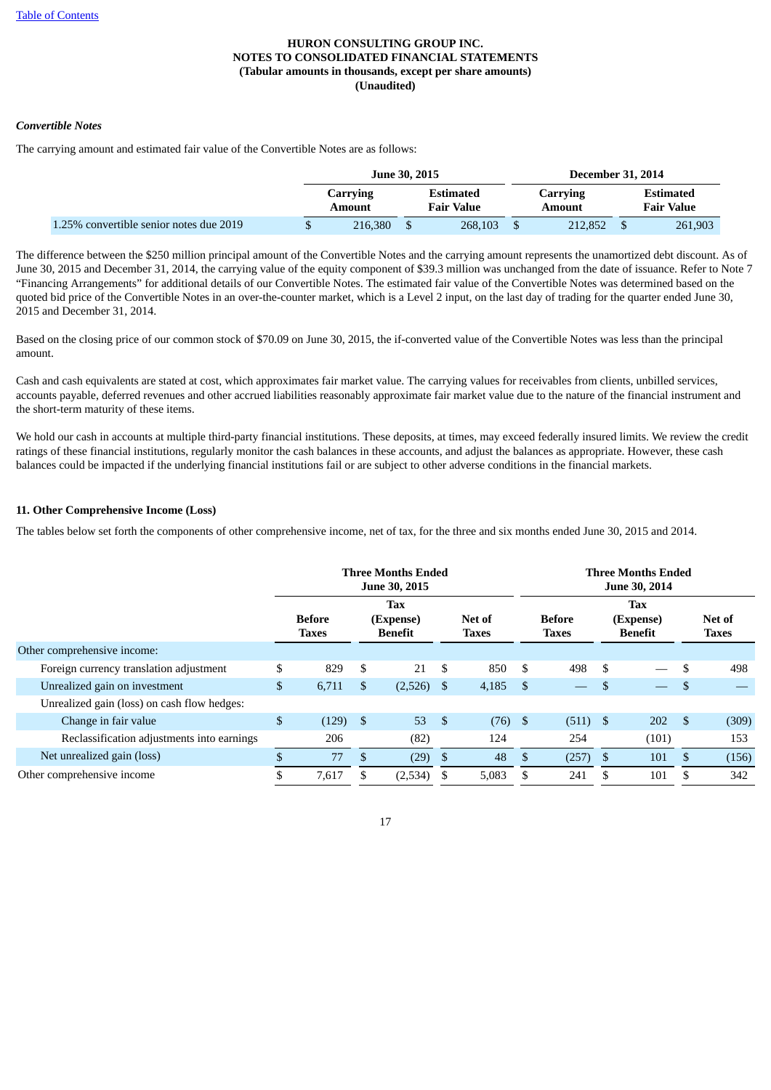## *Convertible Notes*

The carrying amount and estimated fair value of the Convertible Notes are as follows:

|                                         | <b>June 30, 2015</b> |                         | <b>December 31, 2014</b>  |                                       |
|-----------------------------------------|----------------------|-------------------------|---------------------------|---------------------------------------|
|                                         | Carrying<br>Amount   | Estimated<br>Fair Value | <b>Carrying</b><br>Amount | <b>Estimated</b><br><b>Fair Value</b> |
| 1.25% convertible senior notes due 2019 | 216,380              | 268,103                 | 212,852                   | 261,903                               |

The difference between the \$250 million principal amount of the Convertible Notes and the carrying amount represents the unamortized debt discount. As of June 30, 2015 and December 31, 2014, the carrying value of the equity component of \$39.3 million was unchanged from the date of issuance. Refer to Note 7 "Financing Arrangements" for additional details of our Convertible Notes. The estimated fair value of the Convertible Notes was determined based on the quoted bid price of the Convertible Notes in an over-the-counter market, which is a Level 2 input, on the last day of trading for the quarter ended June 30, 2015 and December 31, 2014.

Based on the closing price of our common stock of \$70.09 on June 30, 2015, the if-converted value of the Convertible Notes was less than the principal amount.

Cash and cash equivalents are stated at cost, which approximates fair market value. The carrying values for receivables from clients, unbilled services, accounts payable, deferred revenues and other accrued liabilities reasonably approximate fair market value due to the nature of the financial instrument and the short-term maturity of these items.

We hold our cash in accounts at multiple third-party financial institutions. These deposits, at times, may exceed federally insured limits. We review the credit ratings of these financial institutions, regularly monitor the cash balances in these accounts, and adjust the balances as appropriate. However, these cash balances could be impacted if the underlying financial institutions fail or are subject to other adverse conditions in the financial markets.

## **11. Other Comprehensive Income (Loss)**

The tables below set forth the components of other comprehensive income, net of tax, for the three and six months ended June 30, 2015 and 2014.

|                                             | <b>Three Months Ended</b><br>June 30, 2015 |                                                                                                      |    |              |    |                               |                             |            | <b>Three Months Ended</b><br><b>June 30, 2014</b> |                        |               |       |  |  |
|---------------------------------------------|--------------------------------------------|------------------------------------------------------------------------------------------------------|----|--------------|----|-------------------------------|-----------------------------|------------|---------------------------------------------------|------------------------|---------------|-------|--|--|
|                                             |                                            | <b>Tax</b><br><b>Before</b><br>Net of<br>(Expense)<br><b>Benefit</b><br><b>Taxes</b><br><b>Taxes</b> |    |              |    | <b>Before</b><br><b>Taxes</b> | Tax<br>(Expense)<br>Benefit |            |                                                   | Net of<br><b>Taxes</b> |               |       |  |  |
| Other comprehensive income:                 |                                            |                                                                                                      |    |              |    |                               |                             |            |                                                   |                        |               |       |  |  |
| Foreign currency translation adjustment     | \$                                         | 829                                                                                                  | \$ | 21           | \$ | 850                           | -\$                         | 498        | \$                                                |                        | \$            | 498   |  |  |
| Unrealized gain on investment               | \$                                         | 6,711                                                                                                | \$ | $(2,526)$ \$ |    | 4,185                         | -\$                         |            |                                                   |                        | -S            |       |  |  |
| Unrealized gain (loss) on cash flow hedges: |                                            |                                                                                                      |    |              |    |                               |                             |            |                                                   |                        |               |       |  |  |
| Change in fair value                        | $\mathfrak{S}$                             | (129)                                                                                                | \$ | 53           | \$ | (76)                          | - \$                        | $(511)$ \$ |                                                   | 202                    | -\$           | (309) |  |  |
| Reclassification adjustments into earnings  |                                            | 206                                                                                                  |    | (82)         |    | 124                           |                             | 254        |                                                   | (101)                  |               | 153   |  |  |
| Net unrealized gain (loss)                  |                                            | 77                                                                                                   | S  | (29)         | \$ | 48                            | S                           | (257)      | - \$                                              | 101                    | <sup>\$</sup> | (156) |  |  |
| Other comprehensive income                  |                                            | 7,617                                                                                                |    | (2,534)      | -S | 5,083                         |                             | 241        |                                                   | 101                    |               | 342   |  |  |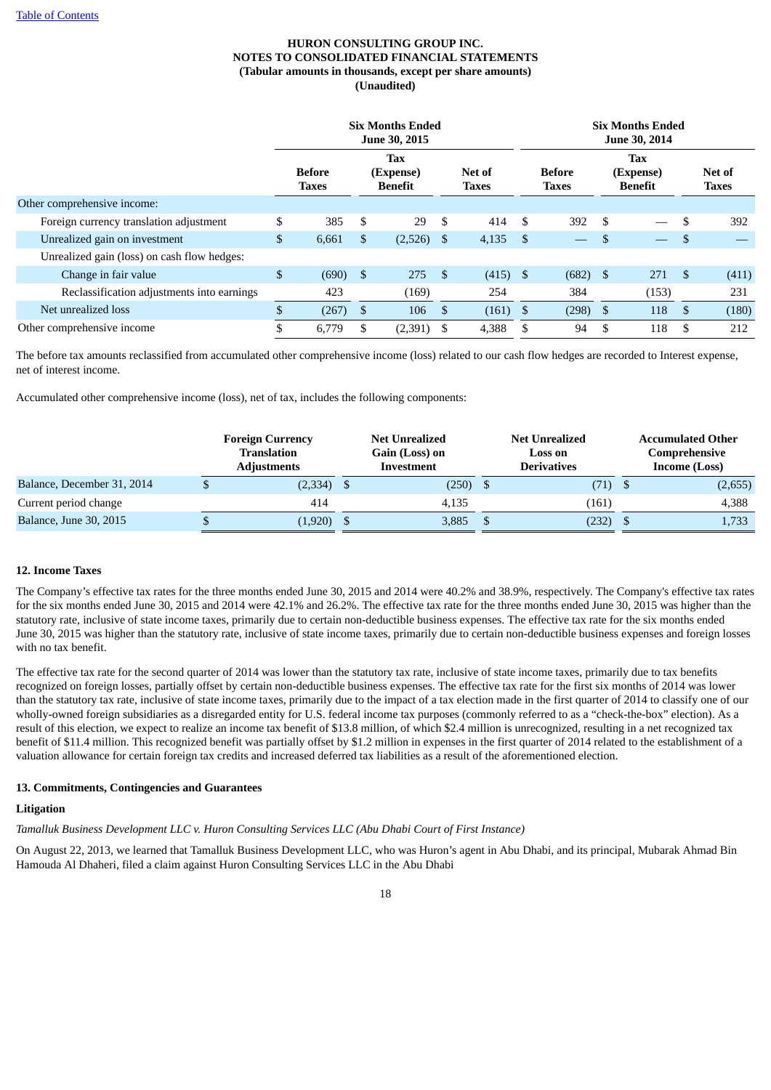|                                             | <b>Six Months Ended</b><br>June 30, 2015 |                               |    |                                           |     |                        |      | <b>Six Months Ended</b><br><b>June 30, 2014</b> |      |                                    |      |                        |  |
|---------------------------------------------|------------------------------------------|-------------------------------|----|-------------------------------------------|-----|------------------------|------|-------------------------------------------------|------|------------------------------------|------|------------------------|--|
|                                             |                                          | <b>Before</b><br><b>Taxes</b> |    | <b>Tax</b><br>(Expense)<br><b>Benefit</b> |     | Net of<br><b>Taxes</b> |      | <b>Before</b><br><b>Taxes</b>                   |      | <b>Tax</b><br>(Expense)<br>Benefit |      | Net of<br><b>Taxes</b> |  |
| Other comprehensive income:                 |                                          |                               |    |                                           |     |                        |      |                                                 |      |                                    |      |                        |  |
| Foreign currency translation adjustment     | \$                                       | 385                           | \$ | 29                                        | \$  | 414                    | \$   | 392                                             | -\$  |                                    | \$   | 392                    |  |
| Unrealized gain on investment               | \$                                       | 6,661                         | \$ | (2,526)                                   | -\$ | 4,135                  | \$   |                                                 |      |                                    | \$.  |                        |  |
| Unrealized gain (loss) on cash flow hedges: |                                          |                               |    |                                           |     |                        |      |                                                 |      |                                    |      |                        |  |
| Change in fair value                        | \$                                       | (690)                         | \$ | 275                                       | \$  | $(415)$ \$             |      | (682)                                           | - \$ | 271                                | - \$ | (411)                  |  |
| Reclassification adjustments into earnings  |                                          | 423                           |    | (169)                                     |     | 254                    |      | 384                                             |      | (153)                              |      | 231                    |  |
| Net unrealized loss                         | $\mathbb{S}$                             | (267)                         | \$ | 106                                       | \$  | (161)                  | - \$ | (298)                                           | - \$ | 118                                | -S   | (180)                  |  |
| Other comprehensive income                  | \$.                                      | 6,779                         | \$ | (2,391)                                   | \$  | 4,388                  | \$.  | 94                                              | -S   | 118                                | \$   | 212                    |  |

The before tax amounts reclassified from accumulated other comprehensive income (loss) related to our cash flow hedges are recorded to Interest expense, net of interest income.

Accumulated other comprehensive income (loss), net of tax, includes the following components:

|                               | <b>Foreign Currency</b><br><b>Translation</b><br><b>Adjustments</b> |     | <b>Net Unrealized</b><br>Gain (Loss) on<br>Investment | <b>Net Unrealized</b><br>Loss on<br><b>Derivatives</b> |           |  | <b>Accumulated Other</b><br>Comprehensive<br>Income (Loss) |
|-------------------------------|---------------------------------------------------------------------|-----|-------------------------------------------------------|--------------------------------------------------------|-----------|--|------------------------------------------------------------|
| Balance, December 31, 2014    | (2,334)                                                             | - S | $(250)$ \$                                            |                                                        | $(71)$ \$ |  | (2,655)                                                    |
| Current period change         | 414                                                                 |     | 4.135                                                 |                                                        | (161)     |  | 4,388                                                      |
| <b>Balance, June 30, 2015</b> | (1,920)                                                             |     | 3.885                                                 |                                                        | (232)     |  | 1,733                                                      |

## **12. Income Taxes**

The Company's effective tax rates for the three months ended June 30, 2015 and 2014 were 40.2% and 38.9%, respectively. The Company's effective tax rates for the six months ended June 30, 2015 and 2014 were 42.1% and 26.2%. The effective tax rate for the three months ended June 30, 2015 was higher than the statutory rate, inclusive of state income taxes, primarily due to certain non-deductible business expenses. The effective tax rate for the six months ended June 30, 2015 was higher than the statutory rate, inclusive of state income taxes, primarily due to certain non-deductible business expenses and foreign losses with no tax benefit.

The effective tax rate for the second quarter of 2014 was lower than the statutory tax rate, inclusive of state income taxes, primarily due to tax benefits recognized on foreign losses, partially offset by certain non-deductible business expenses. The effective tax rate for the first six months of 2014 was lower than the statutory tax rate, inclusive of state income taxes, primarily due to the impact of a tax election made in the first quarter of 2014 to classify one of our wholly-owned foreign subsidiaries as a disregarded entity for U.S. federal income tax purposes (commonly referred to as a "check-the-box" election). As a result of this election, we expect to realize an income tax benefit of \$13.8 million, of which \$2.4 million is unrecognized, resulting in a net recognized tax benefit of \$11.4 million. This recognized benefit was partially offset by \$1.2 million in expenses in the first quarter of 2014 related to the establishment of a valuation allowance for certain foreign tax credits and increased deferred tax liabilities as a result of the aforementioned election.

## **13. Commitments, Contingencies and Guarantees**

#### **Litigation**

*Tamalluk Business Development LLC v. Huron Consulting Services LLC (Abu Dhabi Court of First Instance)*

On August 22, 2013, we learned that Tamalluk Business Development LLC, who was Huron's agent in Abu Dhabi, and its principal, Mubarak Ahmad Bin Hamouda Al Dhaheri, filed a claim against Huron Consulting Services LLC in the Abu Dhabi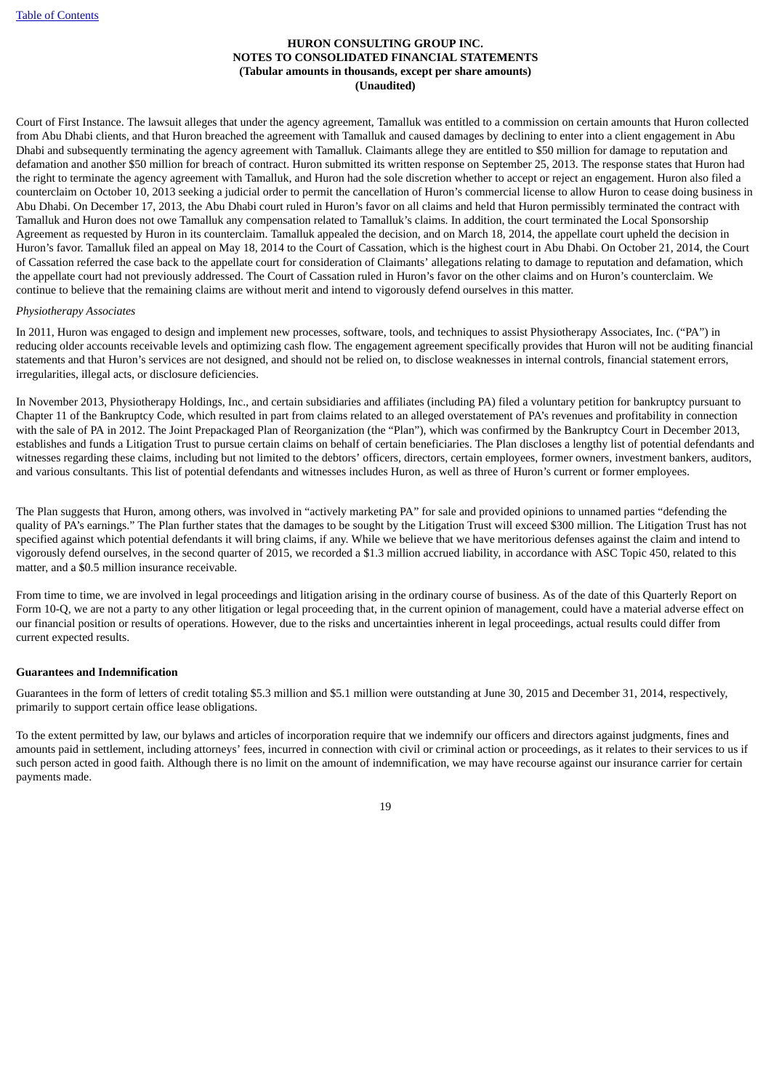Court of First Instance. The lawsuit alleges that under the agency agreement, Tamalluk was entitled to a commission on certain amounts that Huron collected from Abu Dhabi clients, and that Huron breached the agreement with Tamalluk and caused damages by declining to enter into a client engagement in Abu Dhabi and subsequently terminating the agency agreement with Tamalluk. Claimants allege they are entitled to \$50 million for damage to reputation and defamation and another \$50 million for breach of contract. Huron submitted its written response on September 25, 2013. The response states that Huron had the right to terminate the agency agreement with Tamalluk, and Huron had the sole discretion whether to accept or reject an engagement. Huron also filed a counterclaim on October 10, 2013 seeking a judicial order to permit the cancellation of Huron's commercial license to allow Huron to cease doing business in Abu Dhabi. On December 17, 2013, the Abu Dhabi court ruled in Huron's favor on all claims and held that Huron permissibly terminated the contract with Tamalluk and Huron does not owe Tamalluk any compensation related to Tamalluk's claims. In addition, the court terminated the Local Sponsorship Agreement as requested by Huron in its counterclaim. Tamalluk appealed the decision, and on March 18, 2014, the appellate court upheld the decision in Huron's favor. Tamalluk filed an appeal on May 18, 2014 to the Court of Cassation, which is the highest court in Abu Dhabi. On October 21, 2014, the Court of Cassation referred the case back to the appellate court for consideration of Claimants' allegations relating to damage to reputation and defamation, which the appellate court had not previously addressed. The Court of Cassation ruled in Huron's favor on the other claims and on Huron's counterclaim. We continue to believe that the remaining claims are without merit and intend to vigorously defend ourselves in this matter.

#### *Physiotherapy Associates*

In 2011, Huron was engaged to design and implement new processes, software, tools, and techniques to assist Physiotherapy Associates, Inc. ("PA") in reducing older accounts receivable levels and optimizing cash flow. The engagement agreement specifically provides that Huron will not be auditing financial statements and that Huron's services are not designed, and should not be relied on, to disclose weaknesses in internal controls, financial statement errors, irregularities, illegal acts, or disclosure deficiencies.

In November 2013, Physiotherapy Holdings, Inc., and certain subsidiaries and affiliates (including PA) filed a voluntary petition for bankruptcy pursuant to Chapter 11 of the Bankruptcy Code, which resulted in part from claims related to an alleged overstatement of PA's revenues and profitability in connection with the sale of PA in 2012. The Joint Prepackaged Plan of Reorganization (the "Plan"), which was confirmed by the Bankruptcy Court in December 2013, establishes and funds a Litigation Trust to pursue certain claims on behalf of certain beneficiaries. The Plan discloses a lengthy list of potential defendants and witnesses regarding these claims, including but not limited to the debtors' officers, directors, certain employees, former owners, investment bankers, auditors, and various consultants. This list of potential defendants and witnesses includes Huron, as well as three of Huron's current or former employees.

The Plan suggests that Huron, among others, was involved in "actively marketing PA" for sale and provided opinions to unnamed parties "defending the quality of PA's earnings." The Plan further states that the damages to be sought by the Litigation Trust will exceed \$300 million. The Litigation Trust has not specified against which potential defendants it will bring claims, if any. While we believe that we have meritorious defenses against the claim and intend to vigorously defend ourselves, in the second quarter of 2015, we recorded a \$1.3 million accrued liability, in accordance with ASC Topic 450, related to this matter, and a \$0.5 million insurance receivable.

From time to time, we are involved in legal proceedings and litigation arising in the ordinary course of business. As of the date of this Quarterly Report on Form 10-Q, we are not a party to any other litigation or legal proceeding that, in the current opinion of management, could have a material adverse effect on our financial position or results of operations. However, due to the risks and uncertainties inherent in legal proceedings, actual results could differ from current expected results.

#### **Guarantees and Indemnification**

Guarantees in the form of letters of credit totaling \$5.3 million and \$5.1 million were outstanding at June 30, 2015 and December 31, 2014, respectively, primarily to support certain office lease obligations.

To the extent permitted by law, our bylaws and articles of incorporation require that we indemnify our officers and directors against judgments, fines and amounts paid in settlement, including attorneys' fees, incurred in connection with civil or criminal action or proceedings, as it relates to their services to us if such person acted in good faith. Although there is no limit on the amount of indemnification, we may have recourse against our insurance carrier for certain payments made.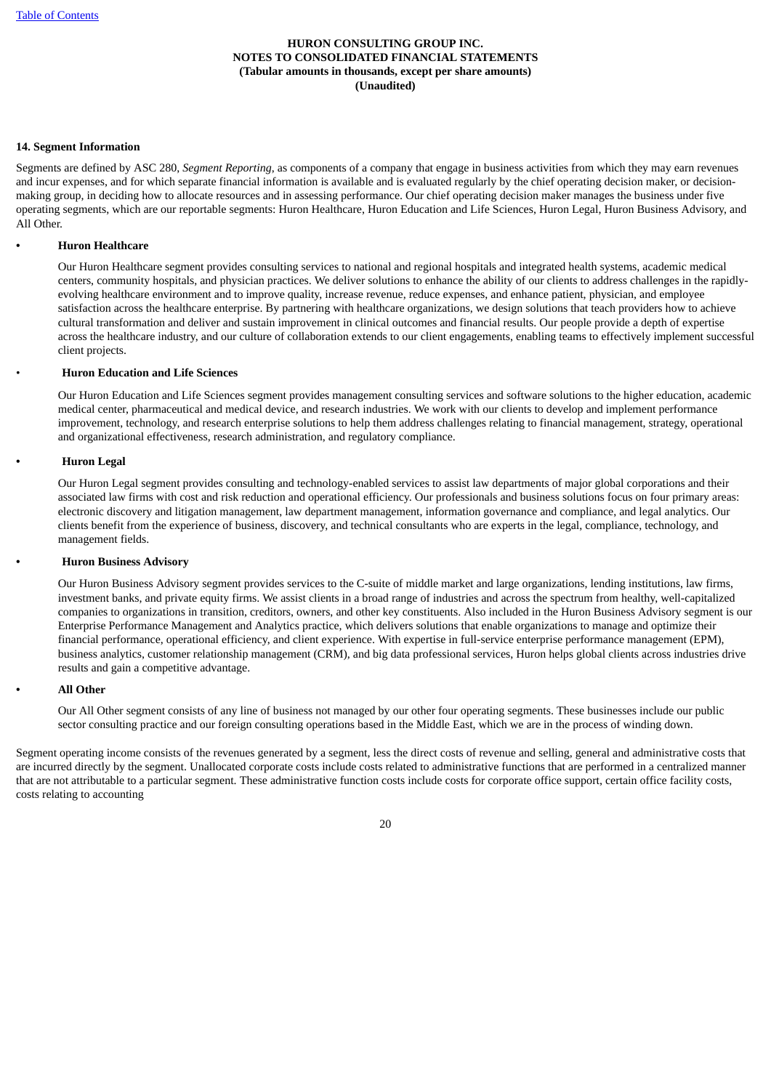#### **14. Segment Information**

Segments are defined by ASC 280, *Segment Reporting*, as components of a company that engage in business activities from which they may earn revenues and incur expenses, and for which separate financial information is available and is evaluated regularly by the chief operating decision maker, or decisionmaking group, in deciding how to allocate resources and in assessing performance. Our chief operating decision maker manages the business under five operating segments, which are our reportable segments: Huron Healthcare, Huron Education and Life Sciences, Huron Legal, Huron Business Advisory, and All Other.

#### **• Huron Healthcare**

Our Huron Healthcare segment provides consulting services to national and regional hospitals and integrated health systems, academic medical centers, community hospitals, and physician practices. We deliver solutions to enhance the ability of our clients to address challenges in the rapidlyevolving healthcare environment and to improve quality, increase revenue, reduce expenses, and enhance patient, physician, and employee satisfaction across the healthcare enterprise. By partnering with healthcare organizations, we design solutions that teach providers how to achieve cultural transformation and deliver and sustain improvement in clinical outcomes and financial results. Our people provide a depth of expertise across the healthcare industry, and our culture of collaboration extends to our client engagements, enabling teams to effectively implement successful client projects.

#### • **Huron Education and Life Sciences**

Our Huron Education and Life Sciences segment provides management consulting services and software solutions to the higher education, academic medical center, pharmaceutical and medical device, and research industries. We work with our clients to develop and implement performance improvement, technology, and research enterprise solutions to help them address challenges relating to financial management, strategy, operational and organizational effectiveness, research administration, and regulatory compliance.

#### **• Huron Legal**

Our Huron Legal segment provides consulting and technology-enabled services to assist law departments of major global corporations and their associated law firms with cost and risk reduction and operational efficiency. Our professionals and business solutions focus on four primary areas: electronic discovery and litigation management, law department management, information governance and compliance, and legal analytics. Our clients benefit from the experience of business, discovery, and technical consultants who are experts in the legal, compliance, technology, and management fields.

#### **• Huron Business Advisory**

Our Huron Business Advisory segment provides services to the C-suite of middle market and large organizations, lending institutions, law firms, investment banks, and private equity firms. We assist clients in a broad range of industries and across the spectrum from healthy, well-capitalized companies to organizations in transition, creditors, owners, and other key constituents. Also included in the Huron Business Advisory segment is our Enterprise Performance Management and Analytics practice, which delivers solutions that enable organizations to manage and optimize their financial performance, operational efficiency, and client experience. With expertise in full-service enterprise performance management (EPM), business analytics, customer relationship management (CRM), and big data professional services, Huron helps global clients across industries drive results and gain a competitive advantage.

#### **• All Other**

Our All Other segment consists of any line of business not managed by our other four operating segments. These businesses include our public sector consulting practice and our foreign consulting operations based in the Middle East, which we are in the process of winding down.

Segment operating income consists of the revenues generated by a segment, less the direct costs of revenue and selling, general and administrative costs that are incurred directly by the segment. Unallocated corporate costs include costs related to administrative functions that are performed in a centralized manner that are not attributable to a particular segment. These administrative function costs include costs for corporate office support, certain office facility costs, costs relating to accounting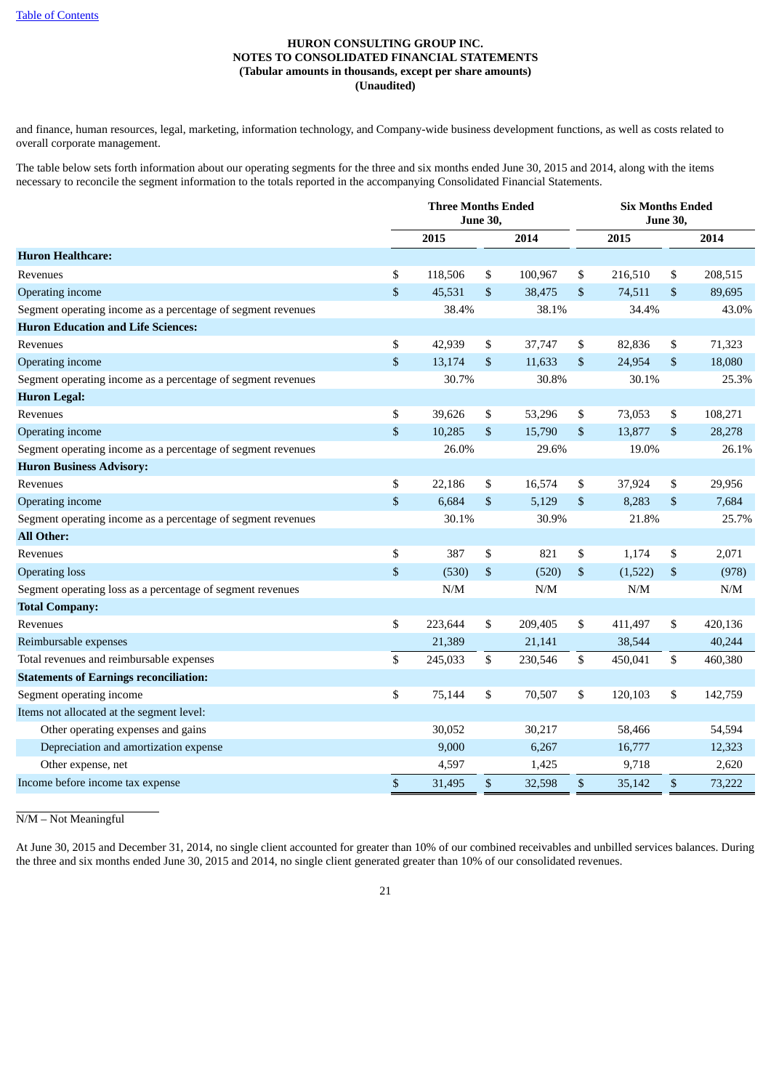and finance, human resources, legal, marketing, information technology, and Company-wide business development functions, as well as costs related to overall corporate management.

The table below sets forth information about our operating segments for the three and six months ended June 30, 2015 and 2014, along with the items necessary to reconcile the segment information to the totals reported in the accompanying Consolidated Financial Statements.

|                                                              |              | <b>Three Months Ended</b><br><b>June 30,</b>  |    |         |                           |         | <b>Six Months Ended</b><br><b>June 30,</b> |         |  |  |
|--------------------------------------------------------------|--------------|-----------------------------------------------|----|---------|---------------------------|---------|--------------------------------------------|---------|--|--|
|                                                              | 2014<br>2015 |                                               |    |         | 2015                      |         | 2014                                       |         |  |  |
| <b>Huron Healthcare:</b>                                     |              |                                               |    |         |                           |         |                                            |         |  |  |
| Revenues                                                     | \$           | 118,506                                       | \$ | 100,967 | \$                        | 216,510 | \$                                         | 208,515 |  |  |
| Operating income                                             | $\$$         | 45,531                                        | \$ | 38,475  | \$                        | 74,511  | \$                                         | 89,695  |  |  |
| Segment operating income as a percentage of segment revenues |              | 38.4%                                         |    | 38.1%   |                           | 34.4%   |                                            | 43.0%   |  |  |
| <b>Huron Education and Life Sciences:</b>                    |              |                                               |    |         |                           |         |                                            |         |  |  |
| Revenues                                                     | \$           | 42,939                                        | \$ | 37,747  | \$                        | 82,836  | \$                                         | 71,323  |  |  |
| Operating income                                             | \$           | 13,174                                        | \$ | 11,633  | \$                        | 24,954  | \$                                         | 18,080  |  |  |
| Segment operating income as a percentage of segment revenues |              | 30.7%                                         |    | 30.8%   |                           | 30.1%   |                                            | 25.3%   |  |  |
| <b>Huron Legal:</b>                                          |              |                                               |    |         |                           |         |                                            |         |  |  |
| Revenues                                                     | \$           | 39,626                                        | \$ | 53,296  | \$                        | 73,053  | \$                                         | 108,271 |  |  |
| Operating income                                             | $\$$         | 10,285                                        | \$ | 15,790  | $\mathbb{S}$              | 13,877  | \$                                         | 28,278  |  |  |
| Segment operating income as a percentage of segment revenues |              | 26.0%                                         |    | 29.6%   |                           |         | 19.0%                                      |         |  |  |
| <b>Huron Business Advisory:</b>                              |              |                                               |    |         |                           |         |                                            |         |  |  |
| Revenues                                                     | \$           | 22,186                                        | \$ | 16,574  | \$                        | 37,924  | \$                                         | 29,956  |  |  |
| Operating income                                             | $\$$         | 6,684                                         | \$ | 5,129   | \$                        | 8,283   | \$                                         | 7,684   |  |  |
| Segment operating income as a percentage of segment revenues |              | 30.1%                                         |    | 30.9%   |                           | 21.8%   |                                            | 25.7%   |  |  |
| <b>All Other:</b>                                            |              |                                               |    |         |                           |         |                                            |         |  |  |
| Revenues                                                     | \$           | 387                                           | \$ | 821     | \$                        | 1,174   | \$                                         | 2,071   |  |  |
| <b>Operating loss</b>                                        | \$           | (530)                                         | \$ | (520)   | \$                        | (1,522) | \$                                         | (978)   |  |  |
| Segment operating loss as a percentage of segment revenues   |              | $\ensuremath{\text{N}}/\ensuremath{\text{M}}$ |    | N/M     |                           | N/M     |                                            | N/M     |  |  |
| <b>Total Company:</b>                                        |              |                                               |    |         |                           |         |                                            |         |  |  |
| Revenues                                                     | \$           | 223,644                                       | \$ | 209,405 | \$                        | 411,497 | \$                                         | 420,136 |  |  |
| Reimbursable expenses                                        |              | 21,389                                        |    | 21,141  |                           | 38,544  |                                            | 40,244  |  |  |
| Total revenues and reimbursable expenses                     | \$           | 245,033                                       | \$ | 230,546 | \$                        | 450,041 | \$                                         | 460,380 |  |  |
| <b>Statements of Earnings reconciliation:</b>                |              |                                               |    |         |                           |         |                                            |         |  |  |
| Segment operating income                                     | \$           | 75,144                                        | \$ | 70,507  | \$                        | 120,103 | \$                                         | 142,759 |  |  |
| Items not allocated at the segment level:                    |              |                                               |    |         |                           |         |                                            |         |  |  |
| Other operating expenses and gains                           |              | 30,052                                        |    | 30,217  |                           | 58,466  |                                            | 54,594  |  |  |
| Depreciation and amortization expense                        |              | 9,000                                         |    | 6,267   |                           | 16,777  |                                            | 12,323  |  |  |
| Other expense, net                                           |              | 4,597                                         |    | 1,425   |                           | 9,718   |                                            | 2,620   |  |  |
| Income before income tax expense                             | \$           | 31,495                                        | \$ | 32,598  | $\boldsymbol{\mathsf{S}}$ | 35,142  | \$                                         | 73,222  |  |  |

N/M – Not Meaningful

<span id="page-22-0"></span>At June 30, 2015 and December 31, 2014, no single client accounted for greater than 10% of our combined receivables and unbilled services balances. During the three and six months ended June 30, 2015 and 2014, no single client generated greater than 10% of our consolidated revenues.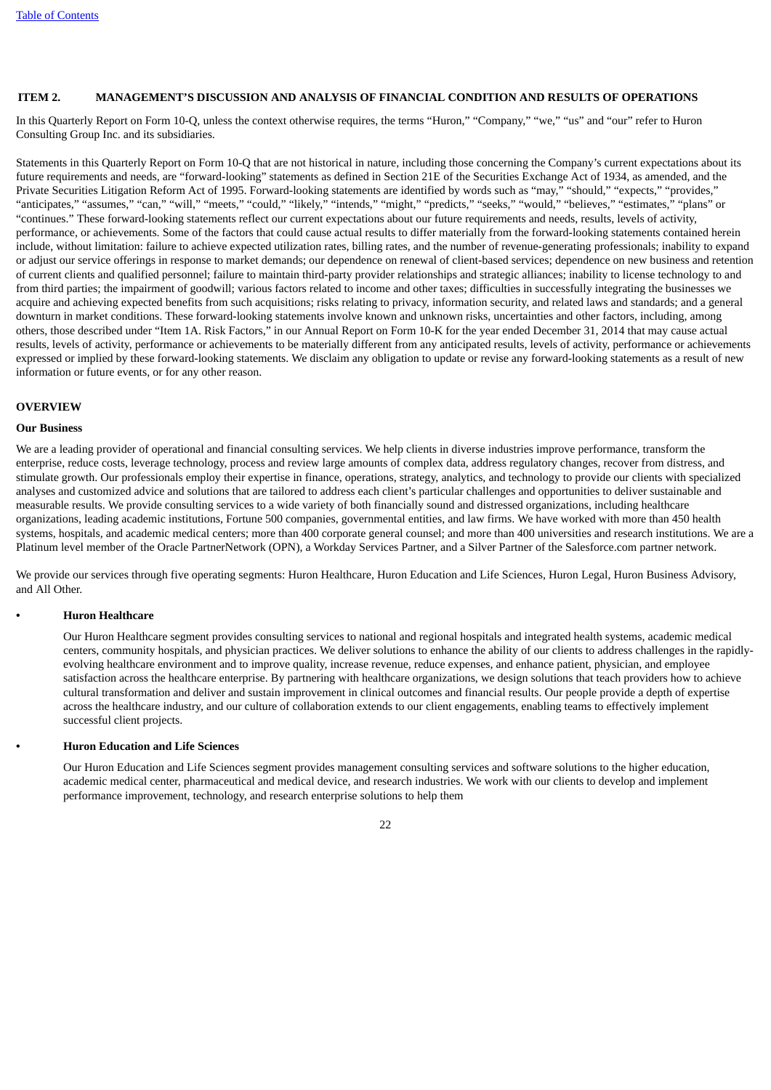## **ITEM 2. MANAGEMENT'S DISCUSSION AND ANALYSIS OF FINANCIAL CONDITION AND RESULTS OF OPERATIONS**

In this Quarterly Report on Form 10-Q, unless the context otherwise requires, the terms "Huron," "Company," "we," "us" and "our" refer to Huron Consulting Group Inc. and its subsidiaries.

Statements in this Quarterly Report on Form 10-Q that are not historical in nature, including those concerning the Company's current expectations about its future requirements and needs, are "forward-looking" statements as defined in Section 21E of the Securities Exchange Act of 1934, as amended, and the Private Securities Litigation Reform Act of 1995. Forward-looking statements are identified by words such as "may," "should," "expects," "provides," "anticipates," "assumes," "can," "will," "meets," "could," "likely," "intends," "might," "predicts," "seeks," "would," "believes," "estimates," "plans" or "continues." These forward-looking statements reflect our current expectations about our future requirements and needs, results, levels of activity, performance, or achievements. Some of the factors that could cause actual results to differ materially from the forward-looking statements contained herein include, without limitation: failure to achieve expected utilization rates, billing rates, and the number of revenue-generating professionals; inability to expand or adjust our service offerings in response to market demands; our dependence on renewal of client-based services; dependence on new business and retention of current clients and qualified personnel; failure to maintain third-party provider relationships and strategic alliances; inability to license technology to and from third parties; the impairment of goodwill; various factors related to income and other taxes; difficulties in successfully integrating the businesses we acquire and achieving expected benefits from such acquisitions; risks relating to privacy, information security, and related laws and standards; and a general downturn in market conditions. These forward-looking statements involve known and unknown risks, uncertainties and other factors, including, among others, those described under "Item 1A. Risk Factors," in our Annual Report on Form 10-K for the year ended December 31, 2014 that may cause actual results, levels of activity, performance or achievements to be materially different from any anticipated results, levels of activity, performance or achievements expressed or implied by these forward-looking statements. We disclaim any obligation to update or revise any forward-looking statements as a result of new information or future events, or for any other reason.

#### **OVERVIEW**

#### **Our Business**

We are a leading provider of operational and financial consulting services. We help clients in diverse industries improve performance, transform the enterprise, reduce costs, leverage technology, process and review large amounts of complex data, address regulatory changes, recover from distress, and stimulate growth. Our professionals employ their expertise in finance, operations, strategy, analytics, and technology to provide our clients with specialized analyses and customized advice and solutions that are tailored to address each client's particular challenges and opportunities to deliver sustainable and measurable results. We provide consulting services to a wide variety of both financially sound and distressed organizations, including healthcare organizations, leading academic institutions, Fortune 500 companies, governmental entities, and law firms. We have worked with more than 450 health systems, hospitals, and academic medical centers; more than 400 corporate general counsel; and more than 400 universities and research institutions. We are a Platinum level member of the Oracle PartnerNetwork (OPN), a Workday Services Partner, and a Silver Partner of the Salesforce.com partner network.

We provide our services through five operating segments: Huron Healthcare, Huron Education and Life Sciences, Huron Legal, Huron Business Advisory, and All Other.

## **• Huron Healthcare**

Our Huron Healthcare segment provides consulting services to national and regional hospitals and integrated health systems, academic medical centers, community hospitals, and physician practices. We deliver solutions to enhance the ability of our clients to address challenges in the rapidlyevolving healthcare environment and to improve quality, increase revenue, reduce expenses, and enhance patient, physician, and employee satisfaction across the healthcare enterprise. By partnering with healthcare organizations, we design solutions that teach providers how to achieve cultural transformation and deliver and sustain improvement in clinical outcomes and financial results. Our people provide a depth of expertise across the healthcare industry, and our culture of collaboration extends to our client engagements, enabling teams to effectively implement successful client projects.

#### **• Huron Education and Life Sciences**

Our Huron Education and Life Sciences segment provides management consulting services and software solutions to the higher education, academic medical center, pharmaceutical and medical device, and research industries. We work with our clients to develop and implement performance improvement, technology, and research enterprise solutions to help them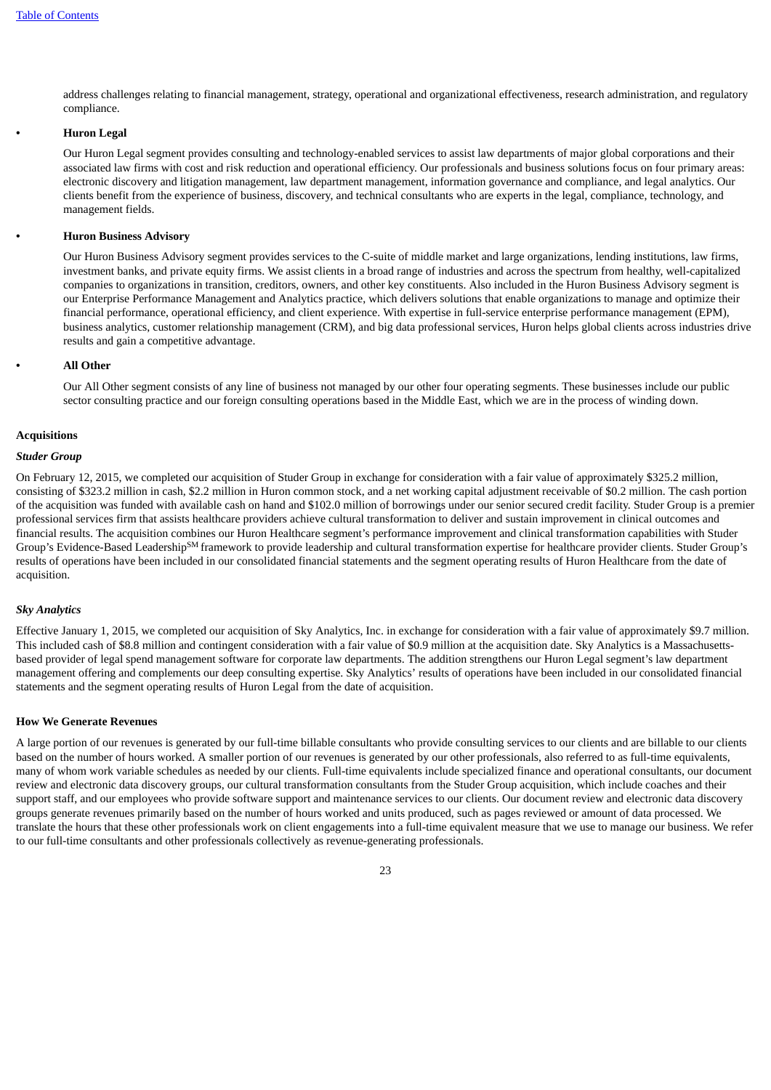address challenges relating to financial management, strategy, operational and organizational effectiveness, research administration, and regulatory compliance.

#### **• Huron Legal**

Our Huron Legal segment provides consulting and technology-enabled services to assist law departments of major global corporations and their associated law firms with cost and risk reduction and operational efficiency. Our professionals and business solutions focus on four primary areas: electronic discovery and litigation management, law department management, information governance and compliance, and legal analytics. Our clients benefit from the experience of business, discovery, and technical consultants who are experts in the legal, compliance, technology, and management fields.

#### **• Huron Business Advisory**

Our Huron Business Advisory segment provides services to the C-suite of middle market and large organizations, lending institutions, law firms, investment banks, and private equity firms. We assist clients in a broad range of industries and across the spectrum from healthy, well-capitalized companies to organizations in transition, creditors, owners, and other key constituents. Also included in the Huron Business Advisory segment is our Enterprise Performance Management and Analytics practice, which delivers solutions that enable organizations to manage and optimize their financial performance, operational efficiency, and client experience. With expertise in full-service enterprise performance management (EPM), business analytics, customer relationship management (CRM), and big data professional services, Huron helps global clients across industries drive results and gain a competitive advantage.

#### **• All Other**

Our All Other segment consists of any line of business not managed by our other four operating segments. These businesses include our public sector consulting practice and our foreign consulting operations based in the Middle East, which we are in the process of winding down.

#### **Acquisitions**

#### *Studer Group*

On February 12, 2015, we completed our acquisition of Studer Group in exchange for consideration with a fair value of approximately \$325.2 million, consisting of \$323.2 million in cash, \$2.2 million in Huron common stock, and a net working capital adjustment receivable of \$0.2 million. The cash portion of the acquisition was funded with available cash on hand and \$102.0 million of borrowings under our senior secured credit facility. Studer Group is a premier professional services firm that assists healthcare providers achieve cultural transformation to deliver and sustain improvement in clinical outcomes and financial results. The acquisition combines our Huron Healthcare segment's performance improvement and clinical transformation capabilities with Studer Group's Evidence-Based Leadership<sup>SM</sup> framework to provide leadership and cultural transformation expertise for healthcare provider clients. Studer Group's results of operations have been included in our consolidated financial statements and the segment operating results of Huron Healthcare from the date of acquisition.

#### *Sky Analytics*

Effective January 1, 2015, we completed our acquisition of Sky Analytics, Inc. in exchange for consideration with a fair value of approximately \$9.7 million. This included cash of \$8.8 million and contingent consideration with a fair value of \$0.9 million at the acquisition date. Sky Analytics is a Massachusettsbased provider of legal spend management software for corporate law departments. The addition strengthens our Huron Legal segment's law department management offering and complements our deep consulting expertise. Sky Analytics' results of operations have been included in our consolidated financial statements and the segment operating results of Huron Legal from the date of acquisition.

#### **How We Generate Revenues**

A large portion of our revenues is generated by our full-time billable consultants who provide consulting services to our clients and are billable to our clients based on the number of hours worked. A smaller portion of our revenues is generated by our other professionals, also referred to as full-time equivalents, many of whom work variable schedules as needed by our clients. Full-time equivalents include specialized finance and operational consultants, our document review and electronic data discovery groups, our cultural transformation consultants from the Studer Group acquisition, which include coaches and their support staff, and our employees who provide software support and maintenance services to our clients. Our document review and electronic data discovery groups generate revenues primarily based on the number of hours worked and units produced, such as pages reviewed or amount of data processed. We translate the hours that these other professionals work on client engagements into a full-time equivalent measure that we use to manage our business. We refer to our full-time consultants and other professionals collectively as revenue-generating professionals.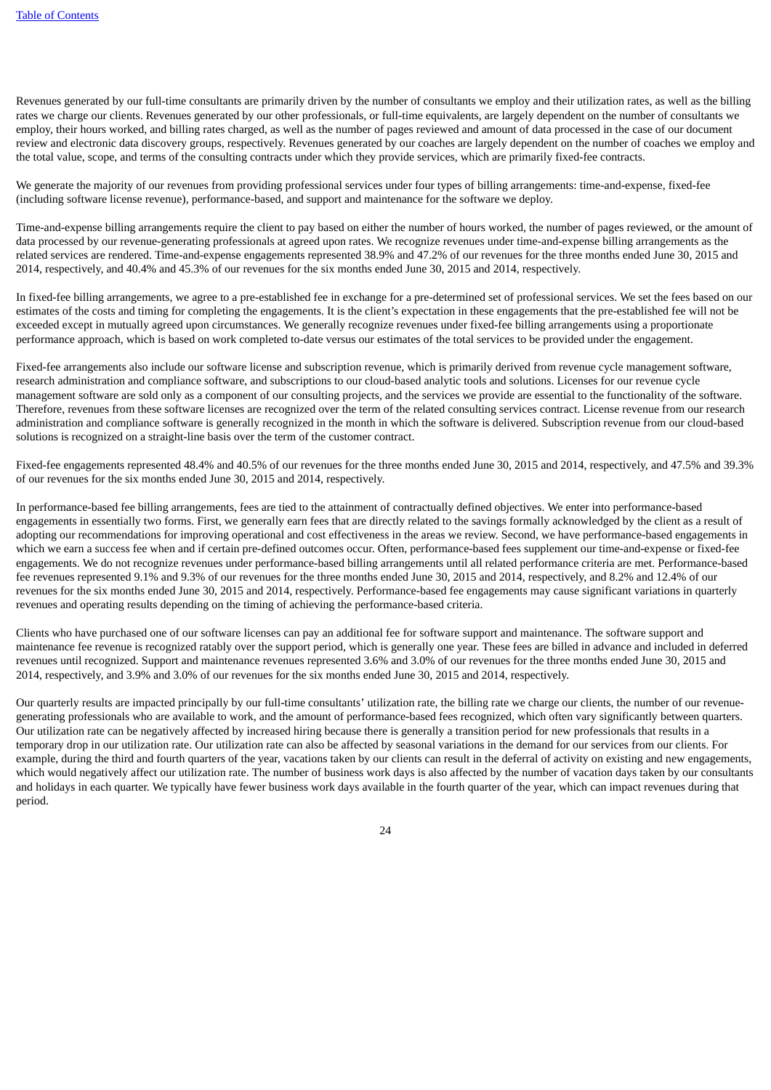Revenues generated by our full-time consultants are primarily driven by the number of consultants we employ and their utilization rates, as well as the billing rates we charge our clients. Revenues generated by our other professionals, or full-time equivalents, are largely dependent on the number of consultants we employ, their hours worked, and billing rates charged, as well as the number of pages reviewed and amount of data processed in the case of our document review and electronic data discovery groups, respectively. Revenues generated by our coaches are largely dependent on the number of coaches we employ and the total value, scope, and terms of the consulting contracts under which they provide services, which are primarily fixed-fee contracts.

We generate the majority of our revenues from providing professional services under four types of billing arrangements: time-and-expense, fixed-fee (including software license revenue), performance-based, and support and maintenance for the software we deploy.

Time-and-expense billing arrangements require the client to pay based on either the number of hours worked, the number of pages reviewed, or the amount of data processed by our revenue-generating professionals at agreed upon rates. We recognize revenues under time-and-expense billing arrangements as the related services are rendered. Time-and-expense engagements represented 38.9% and 47.2% of our revenues for the three months ended June 30, 2015 and 2014, respectively, and 40.4% and 45.3% of our revenues for the six months ended June 30, 2015 and 2014, respectively.

In fixed-fee billing arrangements, we agree to a pre-established fee in exchange for a pre-determined set of professional services. We set the fees based on our estimates of the costs and timing for completing the engagements. It is the client's expectation in these engagements that the pre-established fee will not be exceeded except in mutually agreed upon circumstances. We generally recognize revenues under fixed-fee billing arrangements using a proportionate performance approach, which is based on work completed to-date versus our estimates of the total services to be provided under the engagement.

Fixed-fee arrangements also include our software license and subscription revenue, which is primarily derived from revenue cycle management software, research administration and compliance software, and subscriptions to our cloud-based analytic tools and solutions. Licenses for our revenue cycle management software are sold only as a component of our consulting projects, and the services we provide are essential to the functionality of the software. Therefore, revenues from these software licenses are recognized over the term of the related consulting services contract. License revenue from our research administration and compliance software is generally recognized in the month in which the software is delivered. Subscription revenue from our cloud-based solutions is recognized on a straight-line basis over the term of the customer contract.

Fixed-fee engagements represented 48.4% and 40.5% of our revenues for the three months ended June 30, 2015 and 2014, respectively, and 47.5% and 39.3% of our revenues for the six months ended June 30, 2015 and 2014, respectively.

In performance-based fee billing arrangements, fees are tied to the attainment of contractually defined objectives. We enter into performance-based engagements in essentially two forms. First, we generally earn fees that are directly related to the savings formally acknowledged by the client as a result of adopting our recommendations for improving operational and cost effectiveness in the areas we review. Second, we have performance-based engagements in which we earn a success fee when and if certain pre-defined outcomes occur. Often, performance-based fees supplement our time-and-expense or fixed-fee engagements. We do not recognize revenues under performance-based billing arrangements until all related performance criteria are met. Performance-based fee revenues represented 9.1% and 9.3% of our revenues for the three months ended June 30, 2015 and 2014, respectively, and 8.2% and 12.4% of our revenues for the six months ended June 30, 2015 and 2014, respectively. Performance-based fee engagements may cause significant variations in quarterly revenues and operating results depending on the timing of achieving the performance-based criteria.

Clients who have purchased one of our software licenses can pay an additional fee for software support and maintenance. The software support and maintenance fee revenue is recognized ratably over the support period, which is generally one year. These fees are billed in advance and included in deferred revenues until recognized. Support and maintenance revenues represented 3.6% and 3.0% of our revenues for the three months ended June 30, 2015 and 2014, respectively, and 3.9% and 3.0% of our revenues for the six months ended June 30, 2015 and 2014, respectively.

Our quarterly results are impacted principally by our full-time consultants' utilization rate, the billing rate we charge our clients, the number of our revenuegenerating professionals who are available to work, and the amount of performance-based fees recognized, which often vary significantly between quarters. Our utilization rate can be negatively affected by increased hiring because there is generally a transition period for new professionals that results in a temporary drop in our utilization rate. Our utilization rate can also be affected by seasonal variations in the demand for our services from our clients. For example, during the third and fourth quarters of the year, vacations taken by our clients can result in the deferral of activity on existing and new engagements, which would negatively affect our utilization rate. The number of business work days is also affected by the number of vacation days taken by our consultants and holidays in each quarter. We typically have fewer business work days available in the fourth quarter of the year, which can impact revenues during that period.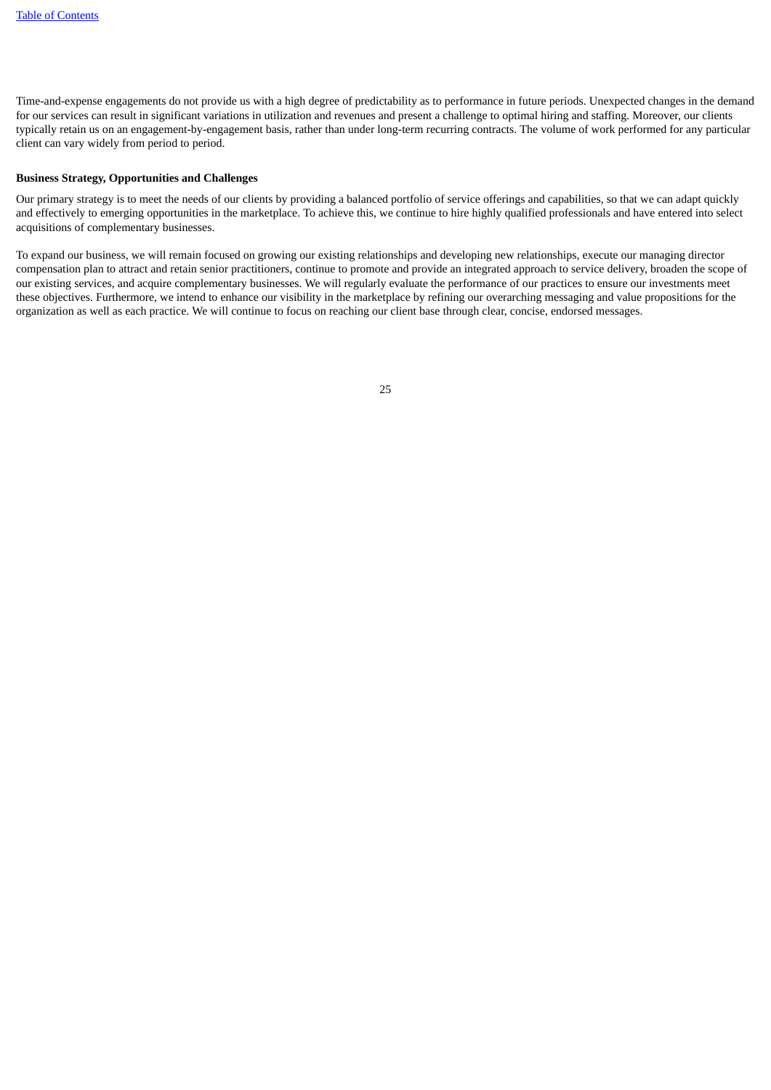Time-and-expense engagements do not provide us with a high degree of predictability as to performance in future periods. Unexpected changes in the demand for our services can result in significant variations in utilization and revenues and present a challenge to optimal hiring and staffing. Moreover, our clients typically retain us on an engagement-by-engagement basis, rather than under long-term recurring contracts. The volume of work performed for any particular client can vary widely from period to period.

#### **Business Strategy, Opportunities and Challenges**

Our primary strategy is to meet the needs of our clients by providing a balanced portfolio of service offerings and capabilities, so that we can adapt quickly and effectively to emerging opportunities in the marketplace. To achieve this, we continue to hire highly qualified professionals and have entered into select acquisitions of complementary businesses.

To expand our business, we will remain focused on growing our existing relationships and developing new relationships, execute our managing director compensation plan to attract and retain senior practitioners, continue to promote and provide an integrated approach to service delivery, broaden the scope of our existing services, and acquire complementary businesses. We will regularly evaluate the performance of our practices to ensure our investments meet these objectives. Furthermore, we intend to enhance our visibility in the marketplace by refining our overarching messaging and value propositions for the organization as well as each practice. We will continue to focus on reaching our client base through clear, concise, endorsed messages.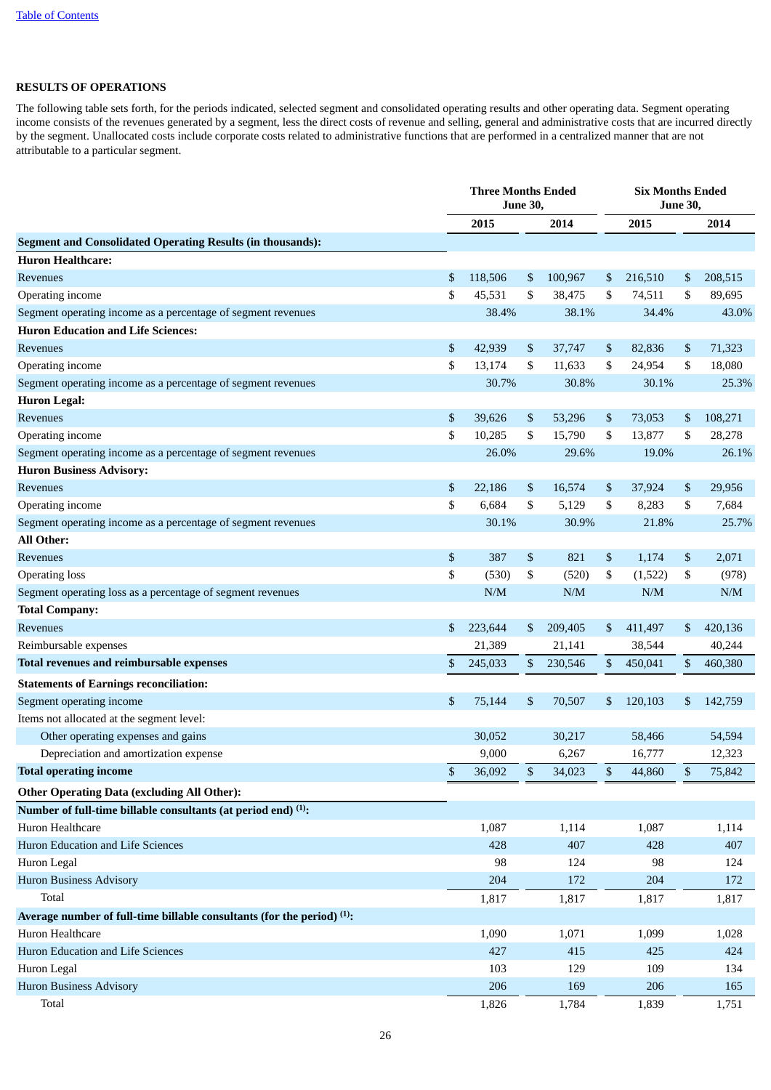## **RESULTS OF OPERATIONS**

The following table sets forth, for the periods indicated, selected segment and consolidated operating results and other operating data. Segment operating income consists of the revenues generated by a segment, less the direct costs of revenue and selling, general and administrative costs that are incurred directly by the segment. Unallocated costs include corporate costs related to administrative functions that are performed in a centralized manner that are not attributable to a particular segment.

|                                                                        |    | <b>Six Months Ended</b><br><b>June 30,</b> |      |              |    |         |    |              |
|------------------------------------------------------------------------|----|--------------------------------------------|------|--------------|----|---------|----|--------------|
|                                                                        |    | 2015                                       |      | 2014         |    | 2015    |    | 2014         |
| <b>Segment and Consolidated Operating Results (in thousands):</b>      |    |                                            |      |              |    |         |    |              |
| <b>Huron Healthcare:</b>                                               |    |                                            |      |              |    |         |    |              |
| Revenues                                                               | \$ | 118,506                                    | \$   | 100,967      | \$ | 216,510 | \$ | 208,515      |
| Operating income                                                       | \$ | 45,531                                     | \$   | 38,475       | \$ | 74,511  | \$ | 89,695       |
| Segment operating income as a percentage of segment revenues           |    | 38.4%                                      |      | 38.1%        |    | 34.4%   |    | 43.0%        |
| <b>Huron Education and Life Sciences:</b>                              |    |                                            |      |              |    |         |    |              |
| Revenues                                                               | \$ | 42,939                                     | \$   | 37,747       | \$ | 82,836  | \$ | 71,323       |
| Operating income                                                       | \$ | 13,174                                     | \$   | 11,633       | \$ | 24,954  | \$ | 18,080       |
| Segment operating income as a percentage of segment revenues           |    | 30.7%                                      |      | 30.8%        |    | 30.1%   |    | 25.3%        |
| <b>Huron Legal:</b>                                                    |    |                                            |      |              |    |         |    |              |
| Revenues                                                               | \$ | 39,626                                     | \$   | 53,296       | \$ | 73,053  | \$ | 108,271      |
| Operating income                                                       | \$ | 10,285                                     | \$   | 15,790       | \$ | 13,877  | \$ | 28,278       |
| Segment operating income as a percentage of segment revenues           |    | 26.0%                                      |      | 29.6%        |    | 19.0%   |    | 26.1%        |
| <b>Huron Business Advisory:</b>                                        |    |                                            |      |              |    |         |    |              |
| Revenues                                                               | \$ | 22,186                                     | \$   | 16,574       | \$ | 37,924  | \$ | 29,956       |
| Operating income                                                       | \$ | 6,684                                      | \$   | 5,129        | \$ | 8,283   | \$ | 7,684        |
| Segment operating income as a percentage of segment revenues           |    | 30.1%                                      |      | 30.9%        |    | 21.8%   |    | 25.7%        |
| <b>All Other:</b>                                                      |    |                                            |      |              |    |         |    |              |
| Revenues                                                               | \$ | 387                                        | $\,$ | 821          | \$ | 1,174   | \$ | 2,071        |
| <b>Operating loss</b>                                                  | \$ | (530)                                      | \$   | (520)        | \$ | (1,522) | \$ | (978)        |
| Segment operating loss as a percentage of segment revenues             |    | N/M                                        |      | N/M          |    | N/M     |    | N/M          |
| <b>Total Company:</b>                                                  |    |                                            |      |              |    |         |    |              |
| <b>Revenues</b>                                                        | \$ | 223,644                                    | \$   | 209,405      | \$ | 411,497 | \$ | 420,136      |
| Reimbursable expenses                                                  |    | 21,389                                     |      | 21,141       |    | 38,544  |    | 40,244       |
| <b>Total revenues and reimbursable expenses</b>                        | \$ | 245,033                                    | \$   | 230,546      | \$ | 450,041 | \$ | 460,380      |
| <b>Statements of Earnings reconciliation:</b>                          |    |                                            |      |              |    |         |    |              |
| Segment operating income                                               | \$ | 75,144                                     | \$   | 70,507       | \$ | 120,103 | \$ | 142,759      |
| Items not allocated at the segment level:                              |    |                                            |      |              |    |         |    |              |
| Other operating expenses and gains                                     |    | 30,052                                     |      | 30,217       |    | 58,466  |    | 54,594       |
| Depreciation and amortization expense                                  |    | 9,000                                      |      | 6,267        |    | 16,777  |    | 12,323       |
| <b>Total operating income</b>                                          | \$ | 36,092                                     | \$   | 34,023       | \$ | 44,860  | \$ | 75,842       |
| <b>Other Operating Data (excluding All Other):</b>                     |    |                                            |      |              |    |         |    |              |
| Number of full-time billable consultants (at period end) (1):          |    |                                            |      |              |    |         |    |              |
| Huron Healthcare                                                       |    | 1,087                                      |      |              |    | 1,087   |    |              |
| Huron Education and Life Sciences                                      |    | 428                                        |      | 1,114<br>407 |    | 428     |    | 1,114<br>407 |
| Huron Legal                                                            |    | 98                                         |      | 124          |    | 98      |    | 124          |
| <b>Huron Business Advisory</b>                                         |    | 204                                        |      | 172          |    | 204     |    | 172          |
| Total                                                                  |    |                                            |      |              |    |         |    |              |
|                                                                        |    | 1,817                                      |      | 1,817        |    | 1,817   |    | 1,817        |
| Average number of full-time billable consultants (for the period) (1): |    |                                            |      |              |    |         |    |              |
| Huron Healthcare                                                       |    | 1,090                                      |      | 1,071        |    | 1,099   |    | 1,028        |
| Huron Education and Life Sciences                                      |    | 427                                        |      | 415          |    | 425     |    | 424          |
| Huron Legal                                                            |    | 103                                        |      | 129          |    | 109     |    | 134          |
| <b>Huron Business Advisory</b>                                         |    | 206                                        |      | 169          |    | 206     |    | 165          |
| Total                                                                  |    | 1,826                                      |      | 1,784        |    | 1,839   |    | 1,751        |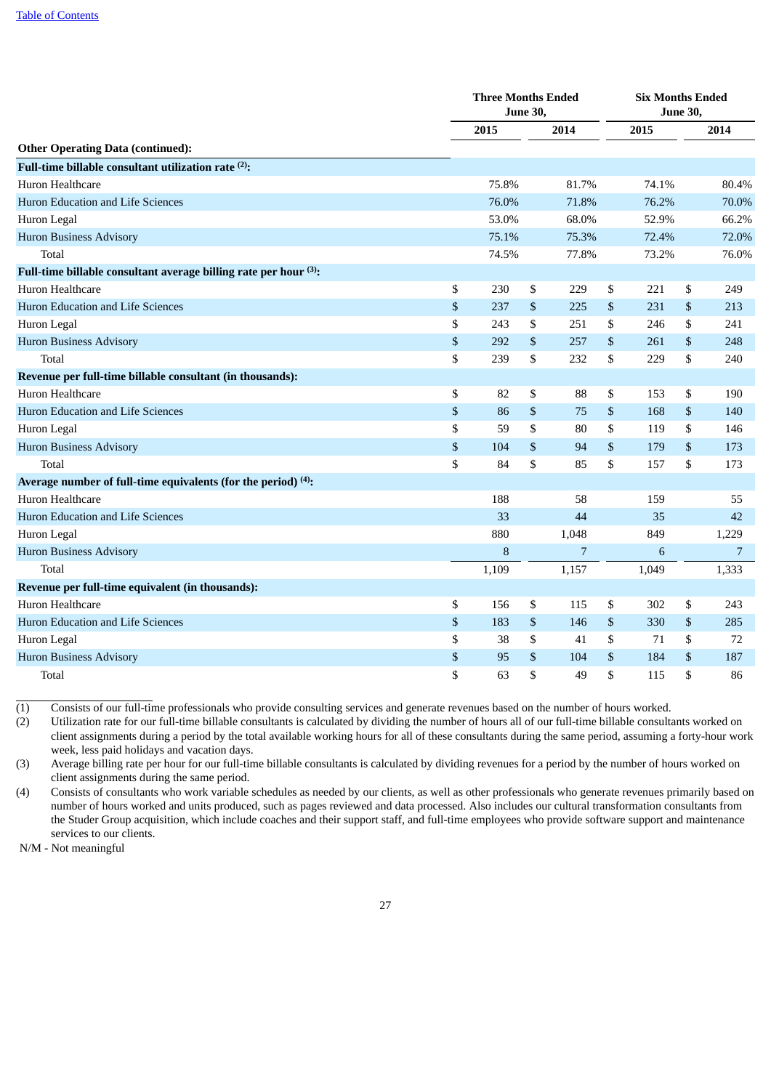|                                                                  |      | <b>Three Months Ended</b><br><b>June 30,</b> |    |       |      |       | <b>Six Months Ended</b><br><b>June 30,</b> |       |  |  |  |
|------------------------------------------------------------------|------|----------------------------------------------|----|-------|------|-------|--------------------------------------------|-------|--|--|--|
|                                                                  |      | 2015                                         |    | 2014  |      | 2015  |                                            | 2014  |  |  |  |
| <b>Other Operating Data (continued):</b>                         |      |                                              |    |       |      |       |                                            |       |  |  |  |
| Full-time billable consultant utilization rate (2):              |      |                                              |    |       |      |       |                                            |       |  |  |  |
| <b>Huron Healthcare</b>                                          |      | 75.8%                                        |    | 81.7% |      | 74.1% |                                            | 80.4% |  |  |  |
| <b>Huron Education and Life Sciences</b>                         |      | 76.0%                                        |    | 71.8% |      | 76.2% |                                            | 70.0% |  |  |  |
| Huron Legal                                                      |      | 53.0%                                        |    | 68.0% |      | 52.9% |                                            | 66.2% |  |  |  |
| <b>Huron Business Advisory</b>                                   |      | 75.1%                                        |    | 75.3% |      | 72.4% |                                            | 72.0% |  |  |  |
| Total                                                            |      | 74.5%                                        |    | 77.8% |      | 73.2% |                                            | 76.0% |  |  |  |
| Full-time billable consultant average billing rate per hour (3): |      |                                              |    |       |      |       |                                            |       |  |  |  |
| Huron Healthcare                                                 | \$   | 230                                          | \$ | 229   | \$   | 221   | \$                                         | 249   |  |  |  |
| Huron Education and Life Sciences                                | \$   | 237                                          | \$ | 225   | $\$$ | 231   | \$                                         | 213   |  |  |  |
| Huron Legal                                                      | \$   | 243                                          | \$ | 251   | \$   | 246   | \$                                         | 241   |  |  |  |
| <b>Huron Business Advisory</b>                                   | $\$$ | 292                                          | \$ | 257   | $\,$ | 261   | \$                                         | 248   |  |  |  |
| Total                                                            | \$   | 239                                          | \$ | 232   | \$   | 229   | \$                                         | 240   |  |  |  |
| Revenue per full-time billable consultant (in thousands):        |      |                                              |    |       |      |       |                                            |       |  |  |  |
| Huron Healthcare                                                 | \$   | 82                                           | \$ | 88    | \$   | 153   | \$                                         | 190   |  |  |  |
| Huron Education and Life Sciences                                | \$   | 86                                           | \$ | 75    | \$   | 168   | \$                                         | 140   |  |  |  |
| Huron Legal                                                      | \$   | 59                                           | \$ | 80    | \$   | 119   | \$                                         | 146   |  |  |  |
| <b>Huron Business Advisory</b>                                   | \$   | 104                                          | \$ | 94    | \$   | 179   | \$                                         | 173   |  |  |  |
| Total                                                            | \$   | 84                                           | \$ | 85    | \$   | 157   | \$                                         | 173   |  |  |  |
| Average number of full-time equivalents (for the period) (4):    |      |                                              |    |       |      |       |                                            |       |  |  |  |
| Huron Healthcare                                                 |      | 188                                          |    | 58    |      | 159   |                                            | 55    |  |  |  |
| Huron Education and Life Sciences                                |      | 33                                           |    | 44    |      | 35    |                                            | 42    |  |  |  |
| Huron Legal                                                      |      | 880                                          |    | 1,048 |      | 849   |                                            | 1,229 |  |  |  |
| <b>Huron Business Advisory</b>                                   |      | 8                                            |    | 7     |      | 6     |                                            | 7     |  |  |  |
| Total                                                            |      | 1,109                                        |    | 1,157 |      | 1,049 |                                            | 1,333 |  |  |  |
| Revenue per full-time equivalent (in thousands):                 |      |                                              |    |       |      |       |                                            |       |  |  |  |
| Huron Healthcare                                                 | \$   | 156                                          | \$ | 115   | \$   | 302   | \$                                         | 243   |  |  |  |
| Huron Education and Life Sciences                                | \$   | 183                                          | \$ | 146   | \$   | 330   | \$                                         | 285   |  |  |  |
| Huron Legal                                                      | \$   | 38                                           | \$ | 41    | \$   | 71    | \$                                         | 72    |  |  |  |
| <b>Huron Business Advisory</b>                                   | \$   | 95                                           | \$ | 104   | \$   | 184   | \$                                         | 187   |  |  |  |
| Total                                                            | \$   | 63                                           | \$ | 49    | \$   | 115   | \$                                         | 86    |  |  |  |

(1) Consists of our full-time professionals who provide consulting services and generate revenues based on the number of hours worked.

(2) Utilization rate for our full-time billable consultants is calculated by dividing the number of hours all of our full-time billable consultants worked on client assignments during a period by the total available working hours for all of these consultants during the same period, assuming a forty-hour work week, less paid holidays and vacation days.

(3) Average billing rate per hour for our full-time billable consultants is calculated by dividing revenues for a period by the number of hours worked on client assignments during the same period.

(4) Consists of consultants who work variable schedules as needed by our clients, as well as other professionals who generate revenues primarily based on number of hours worked and units produced, such as pages reviewed and data processed. Also includes our cultural transformation consultants from the Studer Group acquisition, which include coaches and their support staff, and full-time employees who provide software support and maintenance services to our clients.

N/M - Not meaningful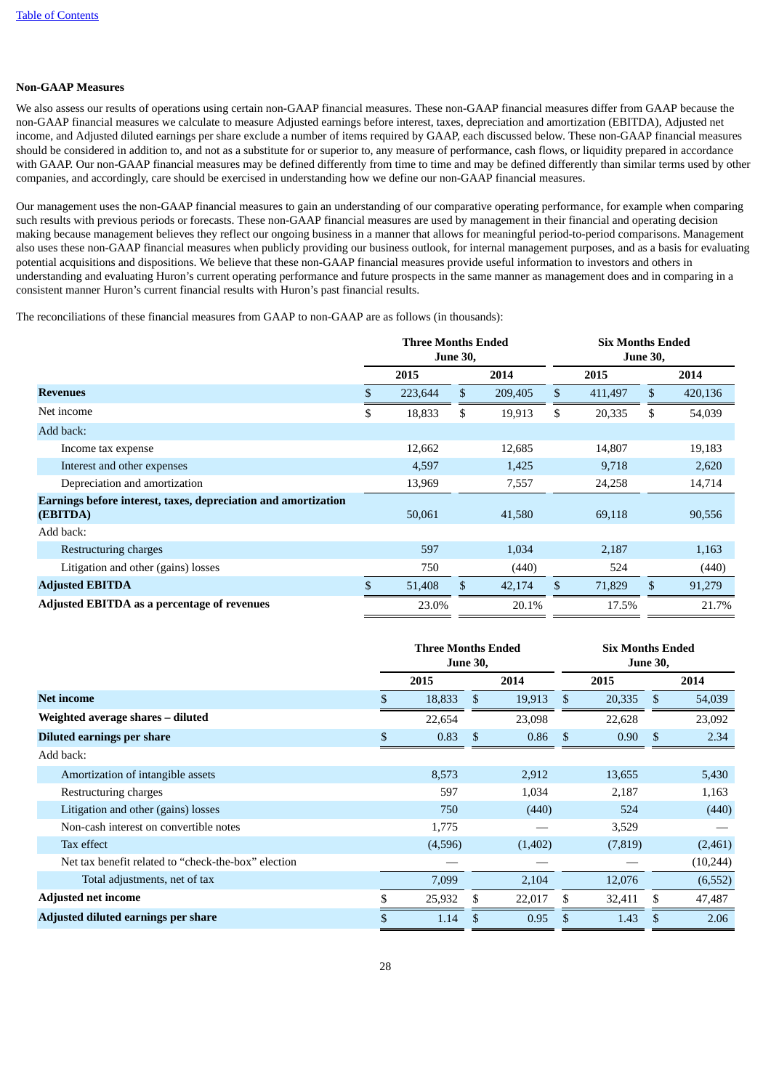## **Non-GAAP Measures**

We also assess our results of operations using certain non-GAAP financial measures. These non-GAAP financial measures differ from GAAP because the non-GAAP financial measures we calculate to measure Adjusted earnings before interest, taxes, depreciation and amortization (EBITDA), Adjusted net income, and Adjusted diluted earnings per share exclude a number of items required by GAAP, each discussed below. These non-GAAP financial measures should be considered in addition to, and not as a substitute for or superior to, any measure of performance, cash flows, or liquidity prepared in accordance with GAAP. Our non-GAAP financial measures may be defined differently from time to time and may be defined differently than similar terms used by other companies, and accordingly, care should be exercised in understanding how we define our non-GAAP financial measures.

Our management uses the non-GAAP financial measures to gain an understanding of our comparative operating performance, for example when comparing such results with previous periods or forecasts. These non-GAAP financial measures are used by management in their financial and operating decision making because management believes they reflect our ongoing business in a manner that allows for meaningful period-to-period comparisons. Management also uses these non-GAAP financial measures when publicly providing our business outlook, for internal management purposes, and as a basis for evaluating potential acquisitions and dispositions. We believe that these non-GAAP financial measures provide useful information to investors and others in understanding and evaluating Huron's current operating performance and future prospects in the same manner as management does and in comparing in a consistent manner Huron's current financial results with Huron's past financial results.

The reconciliations of these financial measures from GAAP to non-GAAP are as follows (in thousands):

|                                                                            | <b>Three Months Ended</b><br><b>June 30,</b> |      | <b>Six Months Ended</b><br><b>June 30,</b> |      |         |              |         |  |
|----------------------------------------------------------------------------|----------------------------------------------|------|--------------------------------------------|------|---------|--------------|---------|--|
|                                                                            | 2015                                         | 2014 |                                            | 2015 |         |              | 2014    |  |
| <b>Revenues</b>                                                            | 223,644                                      | \$   | 209,405                                    | \$   | 411,497 | \$           | 420,136 |  |
| Net income                                                                 | \$<br>18,833                                 | \$   | 19,913                                     | \$   | 20,335  | \$           | 54,039  |  |
| Add back:                                                                  |                                              |      |                                            |      |         |              |         |  |
| Income tax expense                                                         | 12,662                                       |      | 12,685                                     |      | 14,807  |              | 19,183  |  |
| Interest and other expenses                                                | 4,597                                        |      | 1,425                                      |      | 9,718   |              | 2,620   |  |
| Depreciation and amortization                                              | 13,969                                       |      | 7,557                                      |      | 24,258  |              | 14,714  |  |
| Earnings before interest, taxes, depreciation and amortization<br>(EBITDA) | 50,061                                       |      | 41,580                                     |      | 69,118  |              | 90,556  |  |
| Add back:                                                                  |                                              |      |                                            |      |         |              |         |  |
| Restructuring charges                                                      | 597                                          |      | 1,034                                      |      | 2,187   |              | 1,163   |  |
| Litigation and other (gains) losses                                        | 750                                          |      | (440)                                      |      | 524     |              | (440)   |  |
| <b>Adjusted EBITDA</b>                                                     | 51,408                                       | \$   | 42,174                                     | \$   | 71,829  | $\mathbb{S}$ | 91,279  |  |
| Adjusted EBITDA as a percentage of revenues                                | 23.0%                                        |      | 20.1%                                      |      | 17.5%   |              | 21.7%   |  |

|                                                     | <b>Three Months Ended</b><br><b>June 30,</b> |         |               |         | <b>Six Months Ended</b><br><b>June 30,</b> |          |               |           |  |
|-----------------------------------------------------|----------------------------------------------|---------|---------------|---------|--------------------------------------------|----------|---------------|-----------|--|
|                                                     |                                              | 2015    | 2014          |         | 2015                                       |          |               |           |  |
| <b>Net income</b>                                   |                                              | 18,833  | <sup>\$</sup> | 19,913  | <sup>\$</sup>                              | 20,335   | <sup>\$</sup> | 54,039    |  |
| Weighted average shares – diluted                   |                                              | 22,654  |               | 23,098  |                                            | 22,628   |               | 23,092    |  |
| <b>Diluted earnings per share</b>                   | \$                                           | 0.83    | \$.           | 0.86    | \$.                                        | 0.90     | \$            | 2.34      |  |
| Add back:                                           |                                              |         |               |         |                                            |          |               |           |  |
| Amortization of intangible assets                   |                                              | 8,573   |               | 2,912   |                                            | 13,655   |               | 5,430     |  |
| Restructuring charges                               |                                              | 597     |               | 1,034   |                                            | 2,187    |               | 1,163     |  |
| Litigation and other (gains) losses                 |                                              | 750     |               | (440)   |                                            | 524      |               | (440)     |  |
| Non-cash interest on convertible notes              |                                              | 1,775   |               |         |                                            | 3,529    |               |           |  |
| Tax effect                                          |                                              | (4,596) |               | (1,402) |                                            | (7, 819) |               | (2,461)   |  |
| Net tax benefit related to "check-the-box" election |                                              |         |               |         |                                            |          |               | (10, 244) |  |
| Total adjustments, net of tax                       |                                              | 7,099   |               | 2,104   |                                            | 12,076   |               | (6, 552)  |  |
| <b>Adjusted net income</b>                          |                                              | 25,932  | \$            | 22,017  | S                                          | 32,411   | \$            | 47,487    |  |
| Adjusted diluted earnings per share                 |                                              | 1.14    | \$            | 0.95    |                                            | 1.43     | \$            | 2.06      |  |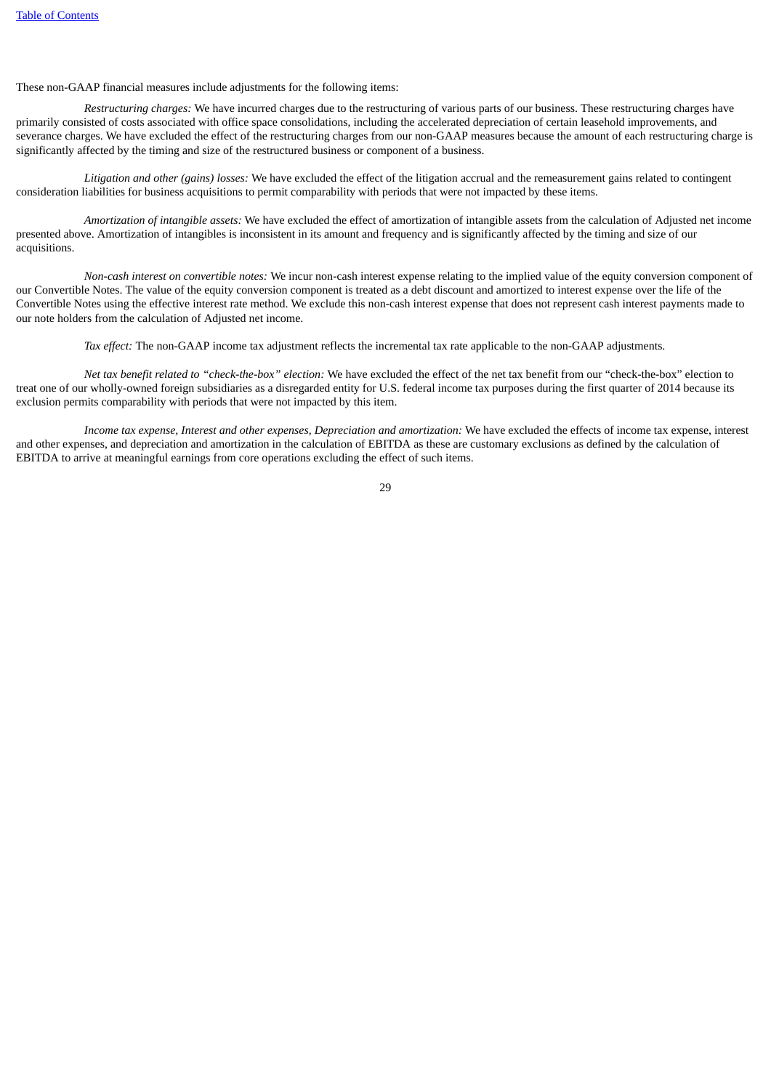These non-GAAP financial measures include adjustments for the following items:

*Restructuring charges:* We have incurred charges due to the restructuring of various parts of our business. These restructuring charges have primarily consisted of costs associated with office space consolidations, including the accelerated depreciation of certain leasehold improvements, and severance charges. We have excluded the effect of the restructuring charges from our non-GAAP measures because the amount of each restructuring charge is significantly affected by the timing and size of the restructured business or component of a business.

*Litigation and other (gains) losses:* We have excluded the effect of the litigation accrual and the remeasurement gains related to contingent consideration liabilities for business acquisitions to permit comparability with periods that were not impacted by these items.

*Amortization of intangible assets:* We have excluded the effect of amortization of intangible assets from the calculation of Adjusted net income presented above. Amortization of intangibles is inconsistent in its amount and frequency and is significantly affected by the timing and size of our acquisitions.

*Non-cash interest on convertible notes:* We incur non-cash interest expense relating to the implied value of the equity conversion component of our Convertible Notes. The value of the equity conversion component is treated as a debt discount and amortized to interest expense over the life of the Convertible Notes using the effective interest rate method. We exclude this non-cash interest expense that does not represent cash interest payments made to our note holders from the calculation of Adjusted net income.

*Tax effect:* The non-GAAP income tax adjustment reflects the incremental tax rate applicable to the non-GAAP adjustments.

*Net tax benefit related to "check-the-box" election:* We have excluded the effect of the net tax benefit from our "check-the-box" election to treat one of our wholly-owned foreign subsidiaries as a disregarded entity for U.S. federal income tax purposes during the first quarter of 2014 because its exclusion permits comparability with periods that were not impacted by this item.

*Income tax expense, Interest and other expenses, Depreciation and amortization:* We have excluded the effects of income tax expense, interest and other expenses, and depreciation and amortization in the calculation of EBITDA as these are customary exclusions as defined by the calculation of EBITDA to arrive at meaningful earnings from core operations excluding the effect of such items.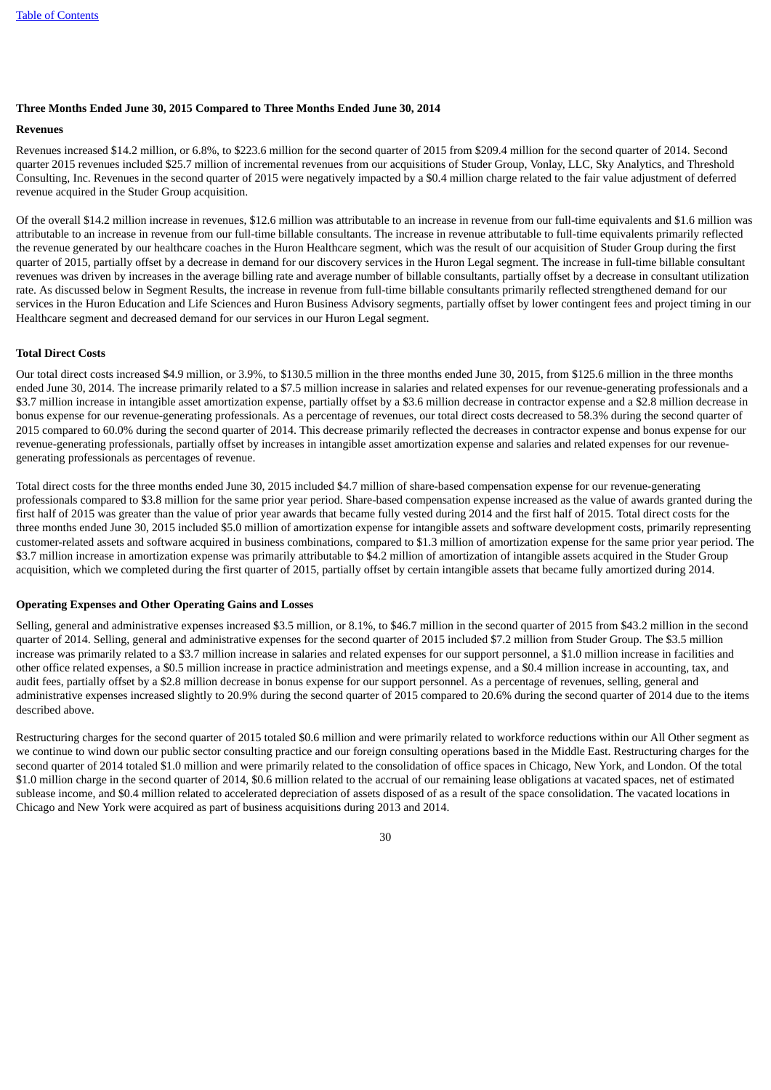## **Three Months Ended June 30, 2015 Compared to Three Months Ended June 30, 2014**

## **Revenues**

Revenues increased \$14.2 million, or 6.8%, to \$223.6 million for the second quarter of 2015 from \$209.4 million for the second quarter of 2014. Second quarter 2015 revenues included \$25.7 million of incremental revenues from our acquisitions of Studer Group, Vonlay, LLC, Sky Analytics, and Threshold Consulting, Inc. Revenues in the second quarter of 2015 were negatively impacted by a \$0.4 million charge related to the fair value adjustment of deferred revenue acquired in the Studer Group acquisition.

Of the overall \$14.2 million increase in revenues, \$12.6 million was attributable to an increase in revenue from our full-time equivalents and \$1.6 million was attributable to an increase in revenue from our full-time billable consultants. The increase in revenue attributable to full-time equivalents primarily reflected the revenue generated by our healthcare coaches in the Huron Healthcare segment, which was the result of our acquisition of Studer Group during the first quarter of 2015, partially offset by a decrease in demand for our discovery services in the Huron Legal segment. The increase in full-time billable consultant revenues was driven by increases in the average billing rate and average number of billable consultants, partially offset by a decrease in consultant utilization rate. As discussed below in Segment Results, the increase in revenue from full-time billable consultants primarily reflected strengthened demand for our services in the Huron Education and Life Sciences and Huron Business Advisory segments, partially offset by lower contingent fees and project timing in our Healthcare segment and decreased demand for our services in our Huron Legal segment.

## **Total Direct Costs**

Our total direct costs increased \$4.9 million, or 3.9%, to \$130.5 million in the three months ended June 30, 2015, from \$125.6 million in the three months ended June 30, 2014. The increase primarily related to a \$7.5 million increase in salaries and related expenses for our revenue-generating professionals and a \$3.7 million increase in intangible asset amortization expense, partially offset by a \$3.6 million decrease in contractor expense and a \$2.8 million decrease in bonus expense for our revenue-generating professionals. As a percentage of revenues, our total direct costs decreased to 58.3% during the second quarter of 2015 compared to 60.0% during the second quarter of 2014. This decrease primarily reflected the decreases in contractor expense and bonus expense for our revenue-generating professionals, partially offset by increases in intangible asset amortization expense and salaries and related expenses for our revenuegenerating professionals as percentages of revenue.

Total direct costs for the three months ended June 30, 2015 included \$4.7 million of share-based compensation expense for our revenue-generating professionals compared to \$3.8 million for the same prior year period. Share-based compensation expense increased as the value of awards granted during the first half of 2015 was greater than the value of prior year awards that became fully vested during 2014 and the first half of 2015. Total direct costs for the three months ended June 30, 2015 included \$5.0 million of amortization expense for intangible assets and software development costs, primarily representing customer-related assets and software acquired in business combinations, compared to \$1.3 million of amortization expense for the same prior year period. The \$3.7 million increase in amortization expense was primarily attributable to \$4.2 million of amortization of intangible assets acquired in the Studer Group acquisition, which we completed during the first quarter of 2015, partially offset by certain intangible assets that became fully amortized during 2014.

## **Operating Expenses and Other Operating Gains and Losses**

Selling, general and administrative expenses increased \$3.5 million, or 8.1%, to \$46.7 million in the second quarter of 2015 from \$43.2 million in the second quarter of 2014. Selling, general and administrative expenses for the second quarter of 2015 included \$7.2 million from Studer Group. The \$3.5 million increase was primarily related to a \$3.7 million increase in salaries and related expenses for our support personnel, a \$1.0 million increase in facilities and other office related expenses, a \$0.5 million increase in practice administration and meetings expense, and a \$0.4 million increase in accounting, tax, and audit fees, partially offset by a \$2.8 million decrease in bonus expense for our support personnel. As a percentage of revenues, selling, general and administrative expenses increased slightly to 20.9% during the second quarter of 2015 compared to 20.6% during the second quarter of 2014 due to the items described above.

Restructuring charges for the second quarter of 2015 totaled \$0.6 million and were primarily related to workforce reductions within our All Other segment as we continue to wind down our public sector consulting practice and our foreign consulting operations based in the Middle East. Restructuring charges for the second quarter of 2014 totaled \$1.0 million and were primarily related to the consolidation of office spaces in Chicago, New York, and London. Of the total \$1.0 million charge in the second quarter of 2014, \$0.6 million related to the accrual of our remaining lease obligations at vacated spaces, net of estimated sublease income, and \$0.4 million related to accelerated depreciation of assets disposed of as a result of the space consolidation. The vacated locations in Chicago and New York were acquired as part of business acquisitions during 2013 and 2014.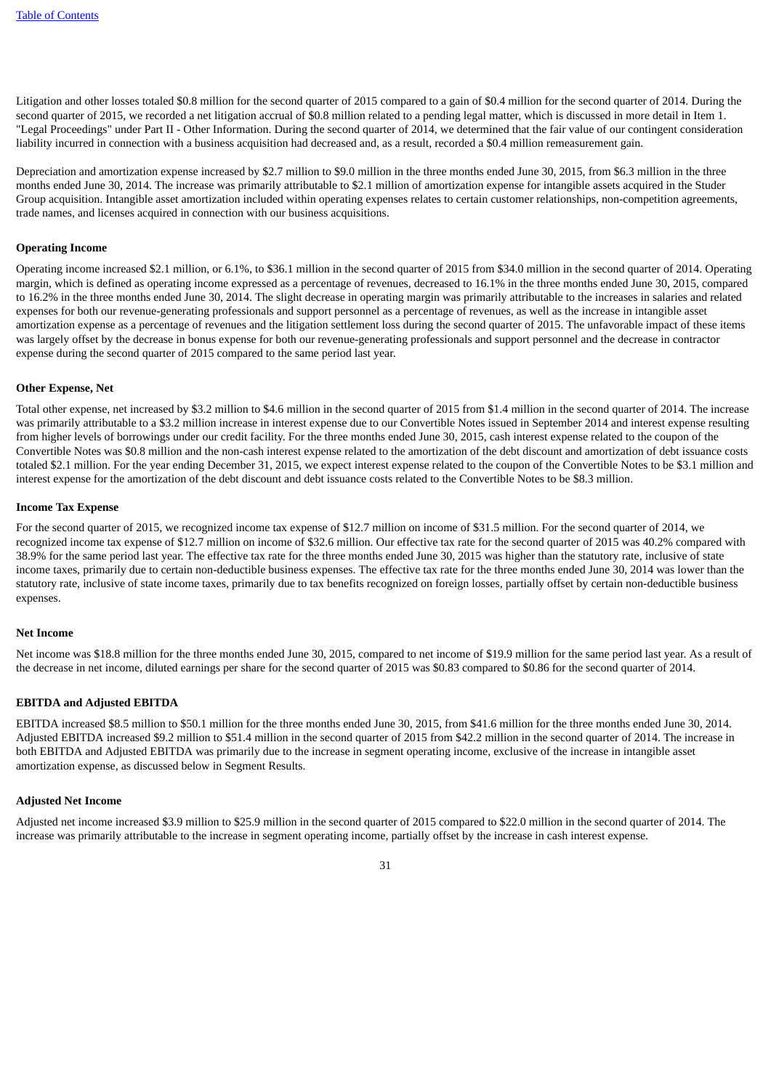Litigation and other losses totaled \$0.8 million for the second quarter of 2015 compared to a gain of \$0.4 million for the second quarter of 2014. During the second quarter of 2015, we recorded a net litigation accrual of \$0.8 million related to a pending legal matter, which is discussed in more detail in Item 1. "Legal Proceedings" under Part II - Other Information. During the second quarter of 2014, we determined that the fair value of our contingent consideration liability incurred in connection with a business acquisition had decreased and, as a result, recorded a \$0.4 million remeasurement gain.

Depreciation and amortization expense increased by \$2.7 million to \$9.0 million in the three months ended June 30, 2015, from \$6.3 million in the three months ended June 30, 2014. The increase was primarily attributable to \$2.1 million of amortization expense for intangible assets acquired in the Studer Group acquisition. Intangible asset amortization included within operating expenses relates to certain customer relationships, non-competition agreements, trade names, and licenses acquired in connection with our business acquisitions.

#### **Operating Income**

Operating income increased \$2.1 million, or 6.1%, to \$36.1 million in the second quarter of 2015 from \$34.0 million in the second quarter of 2014. Operating margin, which is defined as operating income expressed as a percentage of revenues, decreased to 16.1% in the three months ended June 30, 2015, compared to 16.2% in the three months ended June 30, 2014. The slight decrease in operating margin was primarily attributable to the increases in salaries and related expenses for both our revenue-generating professionals and support personnel as a percentage of revenues, as well as the increase in intangible asset amortization expense as a percentage of revenues and the litigation settlement loss during the second quarter of 2015. The unfavorable impact of these items was largely offset by the decrease in bonus expense for both our revenue-generating professionals and support personnel and the decrease in contractor expense during the second quarter of 2015 compared to the same period last year.

#### **Other Expense, Net**

Total other expense, net increased by \$3.2 million to \$4.6 million in the second quarter of 2015 from \$1.4 million in the second quarter of 2014. The increase was primarily attributable to a \$3.2 million increase in interest expense due to our Convertible Notes issued in September 2014 and interest expense resulting from higher levels of borrowings under our credit facility. For the three months ended June 30, 2015, cash interest expense related to the coupon of the Convertible Notes was \$0.8 million and the non-cash interest expense related to the amortization of the debt discount and amortization of debt issuance costs totaled \$2.1 million. For the year ending December 31, 2015, we expect interest expense related to the coupon of the Convertible Notes to be \$3.1 million and interest expense for the amortization of the debt discount and debt issuance costs related to the Convertible Notes to be \$8.3 million.

#### **Income Tax Expense**

For the second quarter of 2015, we recognized income tax expense of \$12.7 million on income of \$31.5 million. For the second quarter of 2014, we recognized income tax expense of \$12.7 million on income of \$32.6 million. Our effective tax rate for the second quarter of 2015 was 40.2% compared with 38.9% for the same period last year. The effective tax rate for the three months ended June 30, 2015 was higher than the statutory rate, inclusive of state income taxes, primarily due to certain non-deductible business expenses. The effective tax rate for the three months ended June 30, 2014 was lower than the statutory rate, inclusive of state income taxes, primarily due to tax benefits recognized on foreign losses, partially offset by certain non-deductible business expenses.

#### **Net Income**

Net income was \$18.8 million for the three months ended June 30, 2015, compared to net income of \$19.9 million for the same period last year. As a result of the decrease in net income, diluted earnings per share for the second quarter of 2015 was \$0.83 compared to \$0.86 for the second quarter of 2014.

#### **EBITDA and Adjusted EBITDA**

EBITDA increased \$8.5 million to \$50.1 million for the three months ended June 30, 2015, from \$41.6 million for the three months ended June 30, 2014. Adjusted EBITDA increased \$9.2 million to \$51.4 million in the second quarter of 2015 from \$42.2 million in the second quarter of 2014. The increase in both EBITDA and Adjusted EBITDA was primarily due to the increase in segment operating income, exclusive of the increase in intangible asset amortization expense, as discussed below in Segment Results.

#### **Adjusted Net Income**

Adjusted net income increased \$3.9 million to \$25.9 million in the second quarter of 2015 compared to \$22.0 million in the second quarter of 2014. The increase was primarily attributable to the increase in segment operating income, partially offset by the increase in cash interest expense.

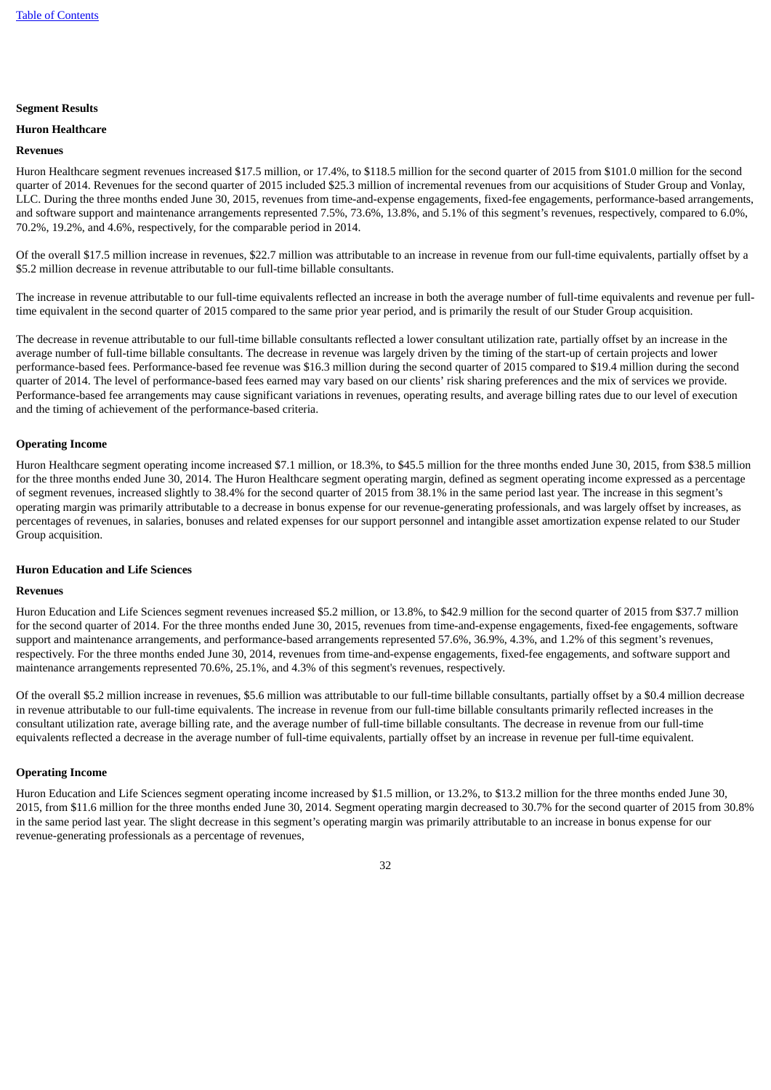#### **Segment Results**

## **Huron Healthcare**

#### **Revenues**

Huron Healthcare segment revenues increased \$17.5 million, or 17.4%, to \$118.5 million for the second quarter of 2015 from \$101.0 million for the second quarter of 2014. Revenues for the second quarter of 2015 included \$25.3 million of incremental revenues from our acquisitions of Studer Group and Vonlay, LLC. During the three months ended June 30, 2015, revenues from time-and-expense engagements, fixed-fee engagements, performance-based arrangements, and software support and maintenance arrangements represented 7.5%, 73.6%, 13.8%, and 5.1% of this segment's revenues, respectively, compared to 6.0%, 70.2%, 19.2%, and 4.6%, respectively, for the comparable period in 2014.

Of the overall \$17.5 million increase in revenues, \$22.7 million was attributable to an increase in revenue from our full-time equivalents, partially offset by a \$5.2 million decrease in revenue attributable to our full-time billable consultants.

The increase in revenue attributable to our full-time equivalents reflected an increase in both the average number of full-time equivalents and revenue per fulltime equivalent in the second quarter of 2015 compared to the same prior year period, and is primarily the result of our Studer Group acquisition.

The decrease in revenue attributable to our full-time billable consultants reflected a lower consultant utilization rate, partially offset by an increase in the average number of full-time billable consultants. The decrease in revenue was largely driven by the timing of the start-up of certain projects and lower performance-based fees. Performance-based fee revenue was \$16.3 million during the second quarter of 2015 compared to \$19.4 million during the second quarter of 2014. The level of performance-based fees earned may vary based on our clients' risk sharing preferences and the mix of services we provide. Performance-based fee arrangements may cause significant variations in revenues, operating results, and average billing rates due to our level of execution and the timing of achievement of the performance-based criteria.

## **Operating Income**

Huron Healthcare segment operating income increased \$7.1 million, or 18.3%, to \$45.5 million for the three months ended June 30, 2015, from \$38.5 million for the three months ended June 30, 2014. The Huron Healthcare segment operating margin, defined as segment operating income expressed as a percentage of segment revenues, increased slightly to 38.4% for the second quarter of 2015 from 38.1% in the same period last year. The increase in this segment's operating margin was primarily attributable to a decrease in bonus expense for our revenue-generating professionals, and was largely offset by increases, as percentages of revenues, in salaries, bonuses and related expenses for our support personnel and intangible asset amortization expense related to our Studer Group acquisition.

#### **Huron Education and Life Sciences**

#### **Revenues**

Huron Education and Life Sciences segment revenues increased \$5.2 million, or 13.8%, to \$42.9 million for the second quarter of 2015 from \$37.7 million for the second quarter of 2014. For the three months ended June 30, 2015, revenues from time-and-expense engagements, fixed-fee engagements, software support and maintenance arrangements, and performance-based arrangements represented 57.6%, 36.9%, 4.3%, and 1.2% of this segment's revenues, respectively. For the three months ended June 30, 2014, revenues from time-and-expense engagements, fixed-fee engagements, and software support and maintenance arrangements represented 70.6%, 25.1%, and 4.3% of this segment's revenues, respectively.

Of the overall \$5.2 million increase in revenues, \$5.6 million was attributable to our full-time billable consultants, partially offset by a \$0.4 million decrease in revenue attributable to our full-time equivalents. The increase in revenue from our full-time billable consultants primarily reflected increases in the consultant utilization rate, average billing rate, and the average number of full-time billable consultants. The decrease in revenue from our full-time equivalents reflected a decrease in the average number of full-time equivalents, partially offset by an increase in revenue per full-time equivalent.

## **Operating Income**

Huron Education and Life Sciences segment operating income increased by \$1.5 million, or 13.2%, to \$13.2 million for the three months ended June 30, 2015, from \$11.6 million for the three months ended June 30, 2014. Segment operating margin decreased to 30.7% for the second quarter of 2015 from 30.8% in the same period last year. The slight decrease in this segment's operating margin was primarily attributable to an increase in bonus expense for our revenue-generating professionals as a percentage of revenues,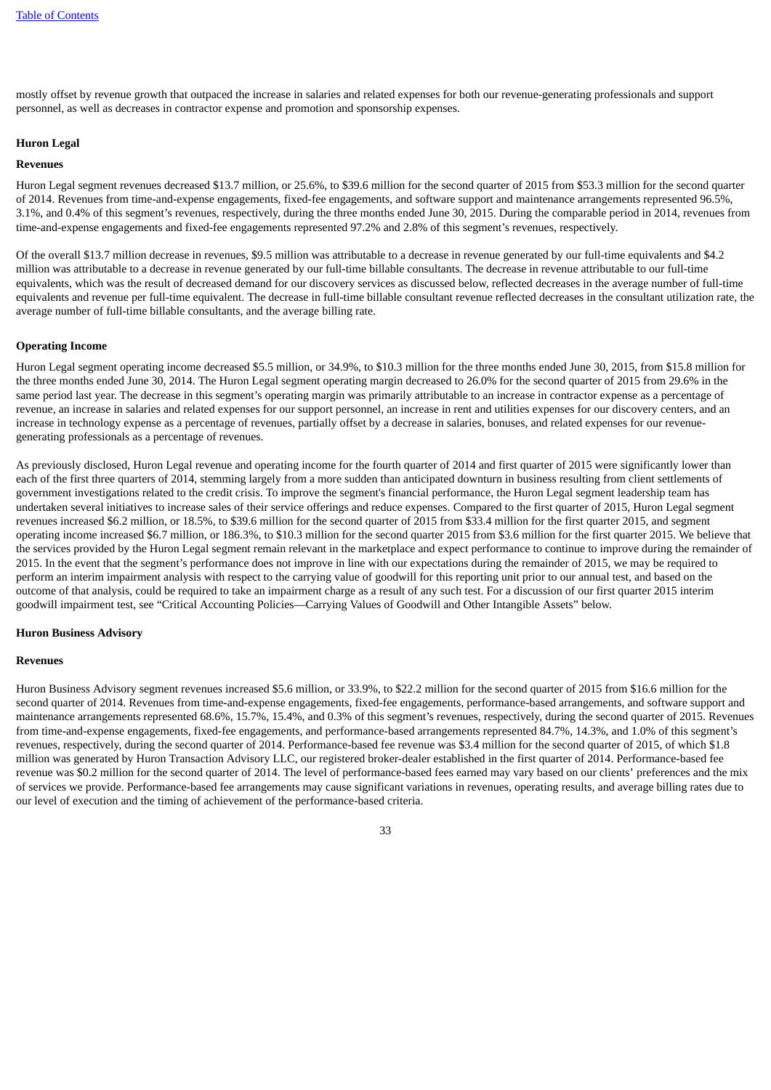mostly offset by revenue growth that outpaced the increase in salaries and related expenses for both our revenue-generating professionals and support personnel, as well as decreases in contractor expense and promotion and sponsorship expenses.

#### **Huron Legal**

#### **Revenues**

Huron Legal segment revenues decreased \$13.7 million, or 25.6%, to \$39.6 million for the second quarter of 2015 from \$53.3 million for the second quarter of 2014. Revenues from time-and-expense engagements, fixed-fee engagements, and software support and maintenance arrangements represented 96.5%, 3.1%, and 0.4% of this segment's revenues, respectively, during the three months ended June 30, 2015. During the comparable period in 2014, revenues from time-and-expense engagements and fixed-fee engagements represented 97.2% and 2.8% of this segment's revenues, respectively.

Of the overall \$13.7 million decrease in revenues, \$9.5 million was attributable to a decrease in revenue generated by our full-time equivalents and \$4.2 million was attributable to a decrease in revenue generated by our full-time billable consultants. The decrease in revenue attributable to our full-time equivalents, which was the result of decreased demand for our discovery services as discussed below, reflected decreases in the average number of full-time equivalents and revenue per full-time equivalent. The decrease in full-time billable consultant revenue reflected decreases in the consultant utilization rate, the average number of full-time billable consultants, and the average billing rate.

## **Operating Income**

Huron Legal segment operating income decreased \$5.5 million, or 34.9%, to \$10.3 million for the three months ended June 30, 2015, from \$15.8 million for the three months ended June 30, 2014. The Huron Legal segment operating margin decreased to 26.0% for the second quarter of 2015 from 29.6% in the same period last year. The decrease in this segment's operating margin was primarily attributable to an increase in contractor expense as a percentage of revenue, an increase in salaries and related expenses for our support personnel, an increase in rent and utilities expenses for our discovery centers, and an increase in technology expense as a percentage of revenues, partially offset by a decrease in salaries, bonuses, and related expenses for our revenuegenerating professionals as a percentage of revenues.

As previously disclosed, Huron Legal revenue and operating income for the fourth quarter of 2014 and first quarter of 2015 were significantly lower than each of the first three quarters of 2014, stemming largely from a more sudden than anticipated downturn in business resulting from client settlements of government investigations related to the credit crisis. To improve the segment's financial performance, the Huron Legal segment leadership team has undertaken several initiatives to increase sales of their service offerings and reduce expenses. Compared to the first quarter of 2015, Huron Legal segment revenues increased \$6.2 million, or 18.5%, to \$39.6 million for the second quarter of 2015 from \$33.4 million for the first quarter 2015, and segment operating income increased \$6.7 million, or 186.3%, to \$10.3 million for the second quarter 2015 from \$3.6 million for the first quarter 2015. We believe that the services provided by the Huron Legal segment remain relevant in the marketplace and expect performance to continue to improve during the remainder of 2015. In the event that the segment's performance does not improve in line with our expectations during the remainder of 2015, we may be required to perform an interim impairment analysis with respect to the carrying value of goodwill for this reporting unit prior to our annual test, and based on the outcome of that analysis, could be required to take an impairment charge as a result of any such test. For a discussion of our first quarter 2015 interim goodwill impairment test, see "Critical Accounting Policies—Carrying Values of Goodwill and Other Intangible Assets" below.

#### **Huron Business Advisory**

## **Revenues**

Huron Business Advisory segment revenues increased \$5.6 million, or 33.9%, to \$22.2 million for the second quarter of 2015 from \$16.6 million for the second quarter of 2014. Revenues from time-and-expense engagements, fixed-fee engagements, performance-based arrangements, and software support and maintenance arrangements represented 68.6%, 15.7%, 15.4%, and 0.3% of this segment's revenues, respectively, during the second quarter of 2015. Revenues from time-and-expense engagements, fixed-fee engagements, and performance-based arrangements represented 84.7%, 14.3%, and 1.0% of this segment's revenues, respectively, during the second quarter of 2014. Performance-based fee revenue was \$3.4 million for the second quarter of 2015, of which \$1.8 million was generated by Huron Transaction Advisory LLC, our registered broker-dealer established in the first quarter of 2014. Performance-based fee revenue was \$0.2 million for the second quarter of 2014. The level of performance-based fees earned may vary based on our clients' preferences and the mix of services we provide. Performance-based fee arrangements may cause significant variations in revenues, operating results, and average billing rates due to our level of execution and the timing of achievement of the performance-based criteria.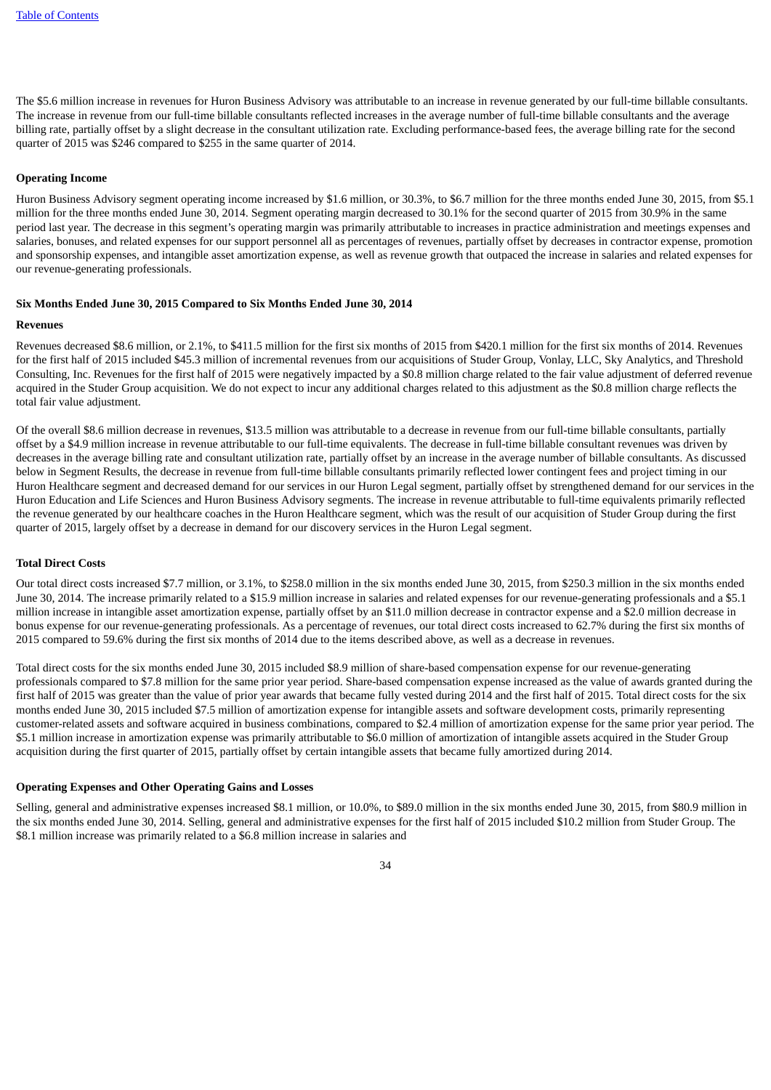The \$5.6 million increase in revenues for Huron Business Advisory was attributable to an increase in revenue generated by our full-time billable consultants. The increase in revenue from our full-time billable consultants reflected increases in the average number of full-time billable consultants and the average billing rate, partially offset by a slight decrease in the consultant utilization rate. Excluding performance-based fees, the average billing rate for the second quarter of 2015 was \$246 compared to \$255 in the same quarter of 2014.

#### **Operating Income**

Huron Business Advisory segment operating income increased by \$1.6 million, or 30.3%, to \$6.7 million for the three months ended June 30, 2015, from \$5.1 million for the three months ended June 30, 2014. Segment operating margin decreased to 30.1% for the second quarter of 2015 from 30.9% in the same period last year. The decrease in this segment's operating margin was primarily attributable to increases in practice administration and meetings expenses and salaries, bonuses, and related expenses for our support personnel all as percentages of revenues, partially offset by decreases in contractor expense, promotion and sponsorship expenses, and intangible asset amortization expense, as well as revenue growth that outpaced the increase in salaries and related expenses for our revenue-generating professionals.

#### **Six Months Ended June 30, 2015 Compared to Six Months Ended June 30, 2014**

#### **Revenues**

Revenues decreased \$8.6 million, or 2.1%, to \$411.5 million for the first six months of 2015 from \$420.1 million for the first six months of 2014. Revenues for the first half of 2015 included \$45.3 million of incremental revenues from our acquisitions of Studer Group, Vonlay, LLC, Sky Analytics, and Threshold Consulting, Inc. Revenues for the first half of 2015 were negatively impacted by a \$0.8 million charge related to the fair value adjustment of deferred revenue acquired in the Studer Group acquisition. We do not expect to incur any additional charges related to this adjustment as the \$0.8 million charge reflects the total fair value adjustment.

Of the overall \$8.6 million decrease in revenues, \$13.5 million was attributable to a decrease in revenue from our full-time billable consultants, partially offset by a \$4.9 million increase in revenue attributable to our full-time equivalents. The decrease in full-time billable consultant revenues was driven by decreases in the average billing rate and consultant utilization rate, partially offset by an increase in the average number of billable consultants. As discussed below in Segment Results, the decrease in revenue from full-time billable consultants primarily reflected lower contingent fees and project timing in our Huron Healthcare segment and decreased demand for our services in our Huron Legal segment, partially offset by strengthened demand for our services in the Huron Education and Life Sciences and Huron Business Advisory segments. The increase in revenue attributable to full-time equivalents primarily reflected the revenue generated by our healthcare coaches in the Huron Healthcare segment, which was the result of our acquisition of Studer Group during the first quarter of 2015, largely offset by a decrease in demand for our discovery services in the Huron Legal segment.

#### **Total Direct Costs**

Our total direct costs increased \$7.7 million, or 3.1%, to \$258.0 million in the six months ended June 30, 2015, from \$250.3 million in the six months ended June 30, 2014. The increase primarily related to a \$15.9 million increase in salaries and related expenses for our revenue-generating professionals and a \$5.1 million increase in intangible asset amortization expense, partially offset by an \$11.0 million decrease in contractor expense and a \$2.0 million decrease in bonus expense for our revenue-generating professionals. As a percentage of revenues, our total direct costs increased to 62.7% during the first six months of 2015 compared to 59.6% during the first six months of 2014 due to the items described above, as well as a decrease in revenues.

Total direct costs for the six months ended June 30, 2015 included \$8.9 million of share-based compensation expense for our revenue-generating professionals compared to \$7.8 million for the same prior year period. Share-based compensation expense increased as the value of awards granted during the first half of 2015 was greater than the value of prior year awards that became fully vested during 2014 and the first half of 2015. Total direct costs for the six months ended June 30, 2015 included \$7.5 million of amortization expense for intangible assets and software development costs, primarily representing customer-related assets and software acquired in business combinations, compared to \$2.4 million of amortization expense for the same prior year period. The \$5.1 million increase in amortization expense was primarily attributable to \$6.0 million of amortization of intangible assets acquired in the Studer Group acquisition during the first quarter of 2015, partially offset by certain intangible assets that became fully amortized during 2014.

#### **Operating Expenses and Other Operating Gains and Losses**

Selling, general and administrative expenses increased \$8.1 million, or 10.0%, to \$89.0 million in the six months ended June 30, 2015, from \$80.9 million in the six months ended June 30, 2014. Selling, general and administrative expenses for the first half of 2015 included \$10.2 million from Studer Group. The \$8.1 million increase was primarily related to a \$6.8 million increase in salaries and

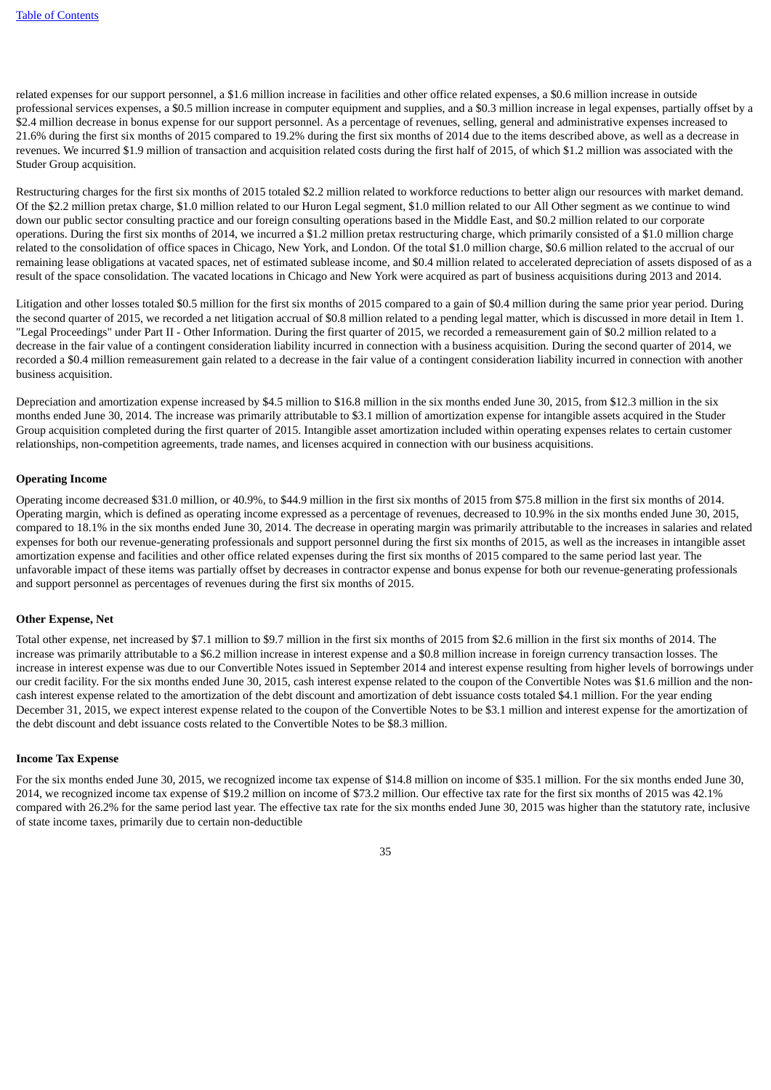related expenses for our support personnel, a \$1.6 million increase in facilities and other office related expenses, a \$0.6 million increase in outside professional services expenses, a \$0.5 million increase in computer equipment and supplies, and a \$0.3 million increase in legal expenses, partially offset by a \$2.4 million decrease in bonus expense for our support personnel. As a percentage of revenues, selling, general and administrative expenses increased to 21.6% during the first six months of 2015 compared to 19.2% during the first six months of 2014 due to the items described above, as well as a decrease in revenues. We incurred \$1.9 million of transaction and acquisition related costs during the first half of 2015, of which \$1.2 million was associated with the Studer Group acquisition.

Restructuring charges for the first six months of 2015 totaled \$2.2 million related to workforce reductions to better align our resources with market demand. Of the \$2.2 million pretax charge, \$1.0 million related to our Huron Legal segment, \$1.0 million related to our All Other segment as we continue to wind down our public sector consulting practice and our foreign consulting operations based in the Middle East, and \$0.2 million related to our corporate operations. During the first six months of 2014, we incurred a \$1.2 million pretax restructuring charge, which primarily consisted of a \$1.0 million charge related to the consolidation of office spaces in Chicago, New York, and London. Of the total \$1.0 million charge, \$0.6 million related to the accrual of our remaining lease obligations at vacated spaces, net of estimated sublease income, and \$0.4 million related to accelerated depreciation of assets disposed of as a result of the space consolidation. The vacated locations in Chicago and New York were acquired as part of business acquisitions during 2013 and 2014.

Litigation and other losses totaled \$0.5 million for the first six months of 2015 compared to a gain of \$0.4 million during the same prior year period. During the second quarter of 2015, we recorded a net litigation accrual of \$0.8 million related to a pending legal matter, which is discussed in more detail in Item 1. "Legal Proceedings" under Part II - Other Information. During the first quarter of 2015, we recorded a remeasurement gain of \$0.2 million related to a decrease in the fair value of a contingent consideration liability incurred in connection with a business acquisition. During the second quarter of 2014, we recorded a \$0.4 million remeasurement gain related to a decrease in the fair value of a contingent consideration liability incurred in connection with another business acquisition.

Depreciation and amortization expense increased by \$4.5 million to \$16.8 million in the six months ended June 30, 2015, from \$12.3 million in the six months ended June 30, 2014. The increase was primarily attributable to \$3.1 million of amortization expense for intangible assets acquired in the Studer Group acquisition completed during the first quarter of 2015. Intangible asset amortization included within operating expenses relates to certain customer relationships, non-competition agreements, trade names, and licenses acquired in connection with our business acquisitions.

#### **Operating Income**

Operating income decreased \$31.0 million, or 40.9%, to \$44.9 million in the first six months of 2015 from \$75.8 million in the first six months of 2014. Operating margin, which is defined as operating income expressed as a percentage of revenues, decreased to 10.9% in the six months ended June 30, 2015, compared to 18.1% in the six months ended June 30, 2014. The decrease in operating margin was primarily attributable to the increases in salaries and related expenses for both our revenue-generating professionals and support personnel during the first six months of 2015, as well as the increases in intangible asset amortization expense and facilities and other office related expenses during the first six months of 2015 compared to the same period last year. The unfavorable impact of these items was partially offset by decreases in contractor expense and bonus expense for both our revenue-generating professionals and support personnel as percentages of revenues during the first six months of 2015.

#### **Other Expense, Net**

Total other expense, net increased by \$7.1 million to \$9.7 million in the first six months of 2015 from \$2.6 million in the first six months of 2014. The increase was primarily attributable to a \$6.2 million increase in interest expense and a \$0.8 million increase in foreign currency transaction losses. The increase in interest expense was due to our Convertible Notes issued in September 2014 and interest expense resulting from higher levels of borrowings under our credit facility. For the six months ended June 30, 2015, cash interest expense related to the coupon of the Convertible Notes was \$1.6 million and the noncash interest expense related to the amortization of the debt discount and amortization of debt issuance costs totaled \$4.1 million. For the year ending December 31, 2015, we expect interest expense related to the coupon of the Convertible Notes to be \$3.1 million and interest expense for the amortization of the debt discount and debt issuance costs related to the Convertible Notes to be \$8.3 million.

#### **Income Tax Expense**

For the six months ended June 30, 2015, we recognized income tax expense of \$14.8 million on income of \$35.1 million. For the six months ended June 30, 2014, we recognized income tax expense of \$19.2 million on income of \$73.2 million. Our effective tax rate for the first six months of 2015 was 42.1% compared with 26.2% for the same period last year. The effective tax rate for the six months ended June 30, 2015 was higher than the statutory rate, inclusive of state income taxes, primarily due to certain non-deductible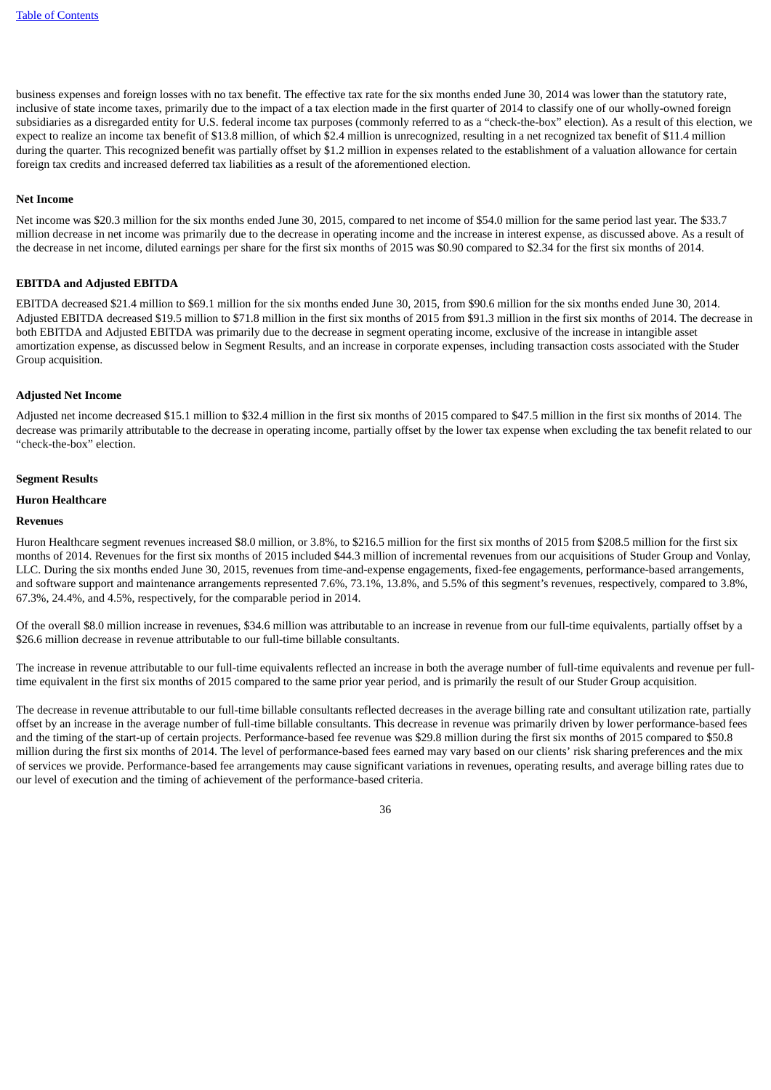business expenses and foreign losses with no tax benefit. The effective tax rate for the six months ended June 30, 2014 was lower than the statutory rate, inclusive of state income taxes, primarily due to the impact of a tax election made in the first quarter of 2014 to classify one of our wholly-owned foreign subsidiaries as a disregarded entity for U.S. federal income tax purposes (commonly referred to as a "check-the-box" election). As a result of this election, we expect to realize an income tax benefit of \$13.8 million, of which \$2.4 million is unrecognized, resulting in a net recognized tax benefit of \$11.4 million during the quarter. This recognized benefit was partially offset by \$1.2 million in expenses related to the establishment of a valuation allowance for certain foreign tax credits and increased deferred tax liabilities as a result of the aforementioned election.

#### **Net Income**

Net income was \$20.3 million for the six months ended June 30, 2015, compared to net income of \$54.0 million for the same period last year. The \$33.7 million decrease in net income was primarily due to the decrease in operating income and the increase in interest expense, as discussed above. As a result of the decrease in net income, diluted earnings per share for the first six months of 2015 was \$0.90 compared to \$2.34 for the first six months of 2014.

## **EBITDA and Adjusted EBITDA**

EBITDA decreased \$21.4 million to \$69.1 million for the six months ended June 30, 2015, from \$90.6 million for the six months ended June 30, 2014. Adjusted EBITDA decreased \$19.5 million to \$71.8 million in the first six months of 2015 from \$91.3 million in the first six months of 2014. The decrease in both EBITDA and Adjusted EBITDA was primarily due to the decrease in segment operating income, exclusive of the increase in intangible asset amortization expense, as discussed below in Segment Results, and an increase in corporate expenses, including transaction costs associated with the Studer Group acquisition.

#### **Adjusted Net Income**

Adjusted net income decreased \$15.1 million to \$32.4 million in the first six months of 2015 compared to \$47.5 million in the first six months of 2014. The decrease was primarily attributable to the decrease in operating income, partially offset by the lower tax expense when excluding the tax benefit related to our "check-the-box" election.

#### **Segment Results**

#### **Huron Healthcare**

#### **Revenues**

Huron Healthcare segment revenues increased \$8.0 million, or 3.8%, to \$216.5 million for the first six months of 2015 from \$208.5 million for the first six months of 2014. Revenues for the first six months of 2015 included \$44.3 million of incremental revenues from our acquisitions of Studer Group and Vonlay, LLC. During the six months ended June 30, 2015, revenues from time-and-expense engagements, fixed-fee engagements, performance-based arrangements, and software support and maintenance arrangements represented 7.6%, 73.1%, 13.8%, and 5.5% of this segment's revenues, respectively, compared to 3.8%, 67.3%, 24.4%, and 4.5%, respectively, for the comparable period in 2014.

Of the overall \$8.0 million increase in revenues, \$34.6 million was attributable to an increase in revenue from our full-time equivalents, partially offset by a \$26.6 million decrease in revenue attributable to our full-time billable consultants.

The increase in revenue attributable to our full-time equivalents reflected an increase in both the average number of full-time equivalents and revenue per fulltime equivalent in the first six months of 2015 compared to the same prior year period, and is primarily the result of our Studer Group acquisition.

The decrease in revenue attributable to our full-time billable consultants reflected decreases in the average billing rate and consultant utilization rate, partially offset by an increase in the average number of full-time billable consultants. This decrease in revenue was primarily driven by lower performance-based fees and the timing of the start-up of certain projects. Performance-based fee revenue was \$29.8 million during the first six months of 2015 compared to \$50.8 million during the first six months of 2014. The level of performance-based fees earned may vary based on our clients' risk sharing preferences and the mix of services we provide. Performance-based fee arrangements may cause significant variations in revenues, operating results, and average billing rates due to our level of execution and the timing of achievement of the performance-based criteria.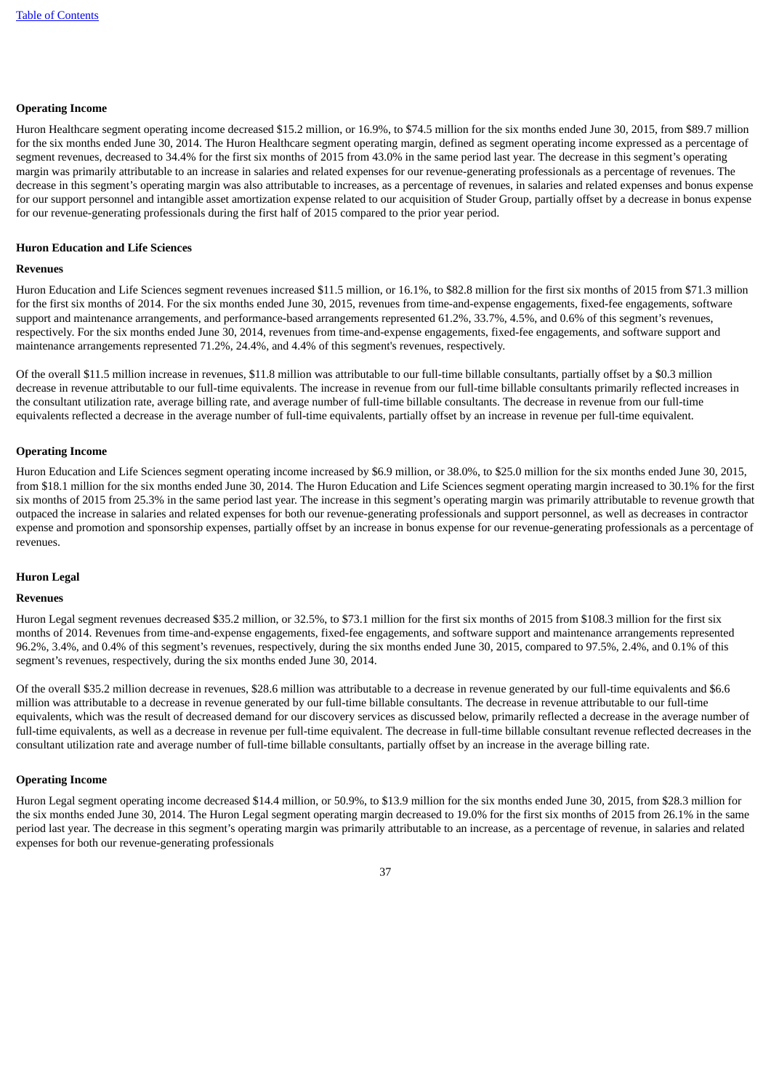## **Operating Income**

Huron Healthcare segment operating income decreased \$15.2 million, or 16.9%, to \$74.5 million for the six months ended June 30, 2015, from \$89.7 million for the six months ended June 30, 2014. The Huron Healthcare segment operating margin, defined as segment operating income expressed as a percentage of segment revenues, decreased to 34.4% for the first six months of 2015 from 43.0% in the same period last year. The decrease in this segment's operating margin was primarily attributable to an increase in salaries and related expenses for our revenue-generating professionals as a percentage of revenues. The decrease in this segment's operating margin was also attributable to increases, as a percentage of revenues, in salaries and related expenses and bonus expense for our support personnel and intangible asset amortization expense related to our acquisition of Studer Group, partially offset by a decrease in bonus expense for our revenue-generating professionals during the first half of 2015 compared to the prior year period.

## **Huron Education and Life Sciences**

#### **Revenues**

Huron Education and Life Sciences segment revenues increased \$11.5 million, or 16.1%, to \$82.8 million for the first six months of 2015 from \$71.3 million for the first six months of 2014. For the six months ended June 30, 2015, revenues from time-and-expense engagements, fixed-fee engagements, software support and maintenance arrangements, and performance-based arrangements represented 61.2%, 33.7%, 4.5%, and 0.6% of this segment's revenues, respectively. For the six months ended June 30, 2014, revenues from time-and-expense engagements, fixed-fee engagements, and software support and maintenance arrangements represented 71.2%, 24.4%, and 4.4% of this segment's revenues, respectively.

Of the overall \$11.5 million increase in revenues, \$11.8 million was attributable to our full-time billable consultants, partially offset by a \$0.3 million decrease in revenue attributable to our full-time equivalents. The increase in revenue from our full-time billable consultants primarily reflected increases in the consultant utilization rate, average billing rate, and average number of full-time billable consultants. The decrease in revenue from our full-time equivalents reflected a decrease in the average number of full-time equivalents, partially offset by an increase in revenue per full-time equivalent.

## **Operating Income**

Huron Education and Life Sciences segment operating income increased by \$6.9 million, or 38.0%, to \$25.0 million for the six months ended June 30, 2015, from \$18.1 million for the six months ended June 30, 2014. The Huron Education and Life Sciences segment operating margin increased to 30.1% for the first six months of 2015 from 25.3% in the same period last year. The increase in this segment's operating margin was primarily attributable to revenue growth that outpaced the increase in salaries and related expenses for both our revenue-generating professionals and support personnel, as well as decreases in contractor expense and promotion and sponsorship expenses, partially offset by an increase in bonus expense for our revenue-generating professionals as a percentage of revenues.

#### **Huron Legal**

#### **Revenues**

Huron Legal segment revenues decreased \$35.2 million, or 32.5%, to \$73.1 million for the first six months of 2015 from \$108.3 million for the first six months of 2014. Revenues from time-and-expense engagements, fixed-fee engagements, and software support and maintenance arrangements represented 96.2%, 3.4%, and 0.4% of this segment's revenues, respectively, during the six months ended June 30, 2015, compared to 97.5%, 2.4%, and 0.1% of this segment's revenues, respectively, during the six months ended June 30, 2014.

Of the overall \$35.2 million decrease in revenues, \$28.6 million was attributable to a decrease in revenue generated by our full-time equivalents and \$6.6 million was attributable to a decrease in revenue generated by our full-time billable consultants. The decrease in revenue attributable to our full-time equivalents, which was the result of decreased demand for our discovery services as discussed below, primarily reflected a decrease in the average number of full-time equivalents, as well as a decrease in revenue per full-time equivalent. The decrease in full-time billable consultant revenue reflected decreases in the consultant utilization rate and average number of full-time billable consultants, partially offset by an increase in the average billing rate.

## **Operating Income**

Huron Legal segment operating income decreased \$14.4 million, or 50.9%, to \$13.9 million for the six months ended June 30, 2015, from \$28.3 million for the six months ended June 30, 2014. The Huron Legal segment operating margin decreased to 19.0% for the first six months of 2015 from 26.1% in the same period last year. The decrease in this segment's operating margin was primarily attributable to an increase, as a percentage of revenue, in salaries and related expenses for both our revenue-generating professionals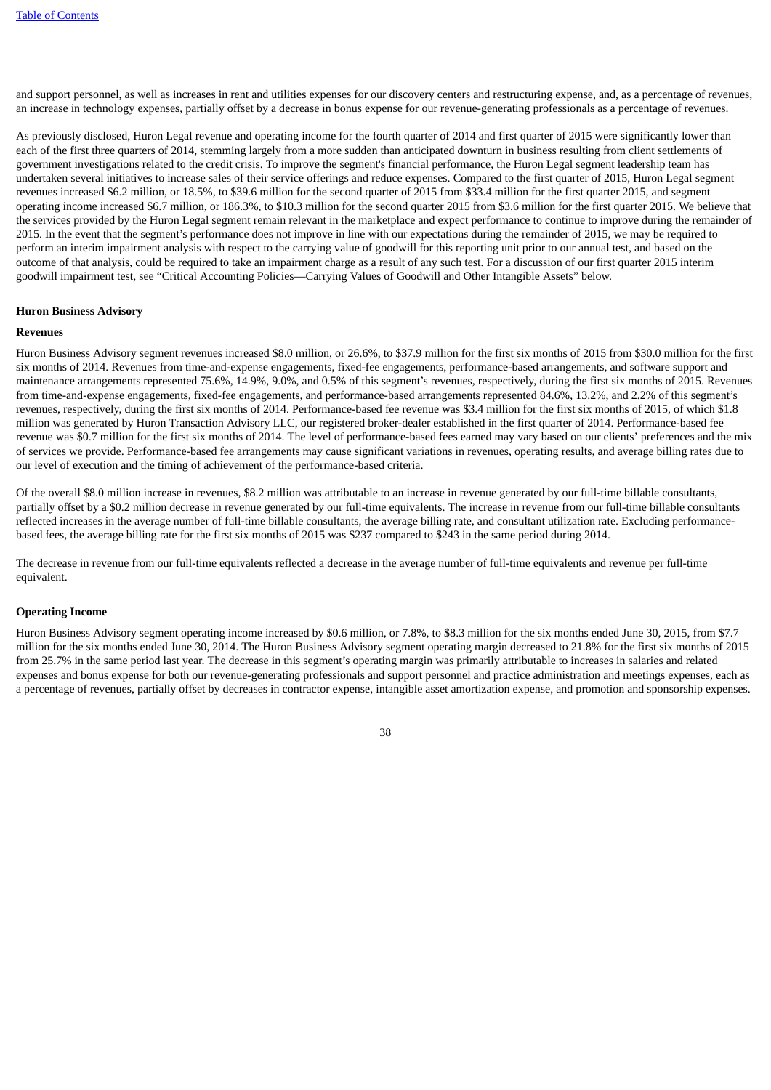and support personnel, as well as increases in rent and utilities expenses for our discovery centers and restructuring expense, and, as a percentage of revenues, an increase in technology expenses, partially offset by a decrease in bonus expense for our revenue-generating professionals as a percentage of revenues.

As previously disclosed, Huron Legal revenue and operating income for the fourth quarter of 2014 and first quarter of 2015 were significantly lower than each of the first three quarters of 2014, stemming largely from a more sudden than anticipated downturn in business resulting from client settlements of government investigations related to the credit crisis. To improve the segment's financial performance, the Huron Legal segment leadership team has undertaken several initiatives to increase sales of their service offerings and reduce expenses. Compared to the first quarter of 2015, Huron Legal segment revenues increased \$6.2 million, or 18.5%, to \$39.6 million for the second quarter of 2015 from \$33.4 million for the first quarter 2015, and segment operating income increased \$6.7 million, or 186.3%, to \$10.3 million for the second quarter 2015 from \$3.6 million for the first quarter 2015. We believe that the services provided by the Huron Legal segment remain relevant in the marketplace and expect performance to continue to improve during the remainder of 2015. In the event that the segment's performance does not improve in line with our expectations during the remainder of 2015, we may be required to perform an interim impairment analysis with respect to the carrying value of goodwill for this reporting unit prior to our annual test, and based on the outcome of that analysis, could be required to take an impairment charge as a result of any such test. For a discussion of our first quarter 2015 interim goodwill impairment test, see "Critical Accounting Policies—Carrying Values of Goodwill and Other Intangible Assets" below.

#### **Huron Business Advisory**

#### **Revenues**

Huron Business Advisory segment revenues increased \$8.0 million, or 26.6%, to \$37.9 million for the first six months of 2015 from \$30.0 million for the first six months of 2014. Revenues from time-and-expense engagements, fixed-fee engagements, performance-based arrangements, and software support and maintenance arrangements represented 75.6%, 14.9%, 9.0%, and 0.5% of this segment's revenues, respectively, during the first six months of 2015. Revenues from time-and-expense engagements, fixed-fee engagements, and performance-based arrangements represented 84.6%, 13.2%, and 2.2% of this segment's revenues, respectively, during the first six months of 2014. Performance-based fee revenue was \$3.4 million for the first six months of 2015, of which \$1.8 million was generated by Huron Transaction Advisory LLC, our registered broker-dealer established in the first quarter of 2014. Performance-based fee revenue was \$0.7 million for the first six months of 2014. The level of performance-based fees earned may vary based on our clients' preferences and the mix of services we provide. Performance-based fee arrangements may cause significant variations in revenues, operating results, and average billing rates due to our level of execution and the timing of achievement of the performance-based criteria.

Of the overall \$8.0 million increase in revenues, \$8.2 million was attributable to an increase in revenue generated by our full-time billable consultants, partially offset by a \$0.2 million decrease in revenue generated by our full-time equivalents. The increase in revenue from our full-time billable consultants reflected increases in the average number of full-time billable consultants, the average billing rate, and consultant utilization rate. Excluding performancebased fees, the average billing rate for the first six months of 2015 was \$237 compared to \$243 in the same period during 2014.

The decrease in revenue from our full-time equivalents reflected a decrease in the average number of full-time equivalents and revenue per full-time equivalent.

## **Operating Income**

Huron Business Advisory segment operating income increased by \$0.6 million, or 7.8%, to \$8.3 million for the six months ended June 30, 2015, from \$7.7 million for the six months ended June 30, 2014. The Huron Business Advisory segment operating margin decreased to 21.8% for the first six months of 2015 from 25.7% in the same period last year. The decrease in this segment's operating margin was primarily attributable to increases in salaries and related expenses and bonus expense for both our revenue-generating professionals and support personnel and practice administration and meetings expenses, each as a percentage of revenues, partially offset by decreases in contractor expense, intangible asset amortization expense, and promotion and sponsorship expenses.

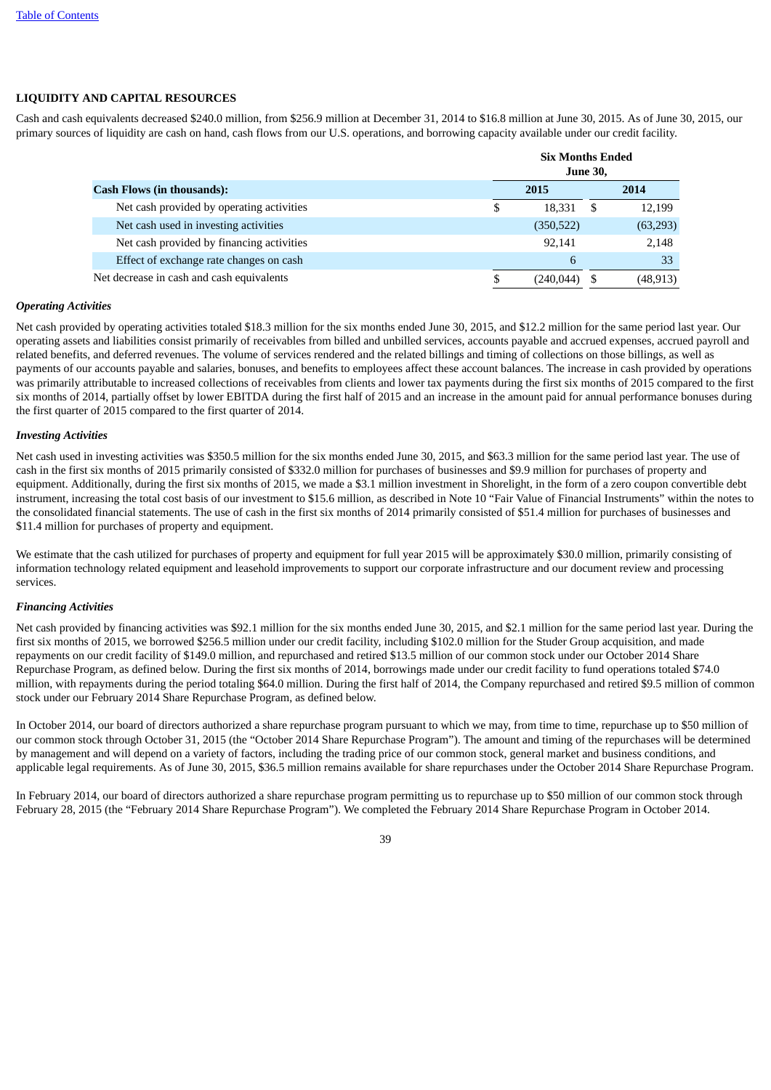## **LIQUIDITY AND CAPITAL RESOURCES**

Cash and cash equivalents decreased \$240.0 million, from \$256.9 million at December 31, 2014 to \$16.8 million at June 30, 2015. As of June 30, 2015, our primary sources of liquidity are cash on hand, cash flows from our U.S. operations, and borrowing capacity available under our credit facility.

|                                           | <b>Six Months Ended</b><br><b>June 30,</b> |            |      |           |  |
|-------------------------------------------|--------------------------------------------|------------|------|-----------|--|
| <b>Cash Flows (in thousands):</b>         |                                            | 2015       |      | 2014      |  |
| Net cash provided by operating activities | \$                                         | 18.331     | - \$ | 12,199    |  |
| Net cash used in investing activities     |                                            | (350, 522) |      | (63,293)  |  |
| Net cash provided by financing activities |                                            | 92.141     |      | 2,148     |  |
| Effect of exchange rate changes on cash   |                                            | 6          |      | 33        |  |
| Net decrease in cash and cash equivalents | S                                          | (240, 044) |      | (48, 913) |  |

#### *Operating Activities*

Net cash provided by operating activities totaled \$18.3 million for the six months ended June 30, 2015, and \$12.2 million for the same period last year. Our operating assets and liabilities consist primarily of receivables from billed and unbilled services, accounts payable and accrued expenses, accrued payroll and related benefits, and deferred revenues. The volume of services rendered and the related billings and timing of collections on those billings, as well as payments of our accounts payable and salaries, bonuses, and benefits to employees affect these account balances. The increase in cash provided by operations was primarily attributable to increased collections of receivables from clients and lower tax payments during the first six months of 2015 compared to the first six months of 2014, partially offset by lower EBITDA during the first half of 2015 and an increase in the amount paid for annual performance bonuses during the first quarter of 2015 compared to the first quarter of 2014.

#### *Investing Activities*

Net cash used in investing activities was \$350.5 million for the six months ended June 30, 2015, and \$63.3 million for the same period last year. The use of cash in the first six months of 2015 primarily consisted of \$332.0 million for purchases of businesses and \$9.9 million for purchases of property and equipment. Additionally, during the first six months of 2015, we made a \$3.1 million investment in Shorelight, in the form of a zero coupon convertible debt instrument, increasing the total cost basis of our investment to \$15.6 million, as described in Note 10 "Fair Value of Financial Instruments" within the notes to the consolidated financial statements. The use of cash in the first six months of 2014 primarily consisted of \$51.4 million for purchases of businesses and \$11.4 million for purchases of property and equipment.

We estimate that the cash utilized for purchases of property and equipment for full year 2015 will be approximately \$30.0 million, primarily consisting of information technology related equipment and leasehold improvements to support our corporate infrastructure and our document review and processing services.

#### *Financing Activities*

Net cash provided by financing activities was \$92.1 million for the six months ended June 30, 2015, and \$2.1 million for the same period last year. During the first six months of 2015, we borrowed \$256.5 million under our credit facility, including \$102.0 million for the Studer Group acquisition, and made repayments on our credit facility of \$149.0 million, and repurchased and retired \$13.5 million of our common stock under our October 2014 Share Repurchase Program, as defined below. During the first six months of 2014, borrowings made under our credit facility to fund operations totaled \$74.0 million, with repayments during the period totaling \$64.0 million. During the first half of 2014, the Company repurchased and retired \$9.5 million of common stock under our February 2014 Share Repurchase Program, as defined below.

In October 2014, our board of directors authorized a share repurchase program pursuant to which we may, from time to time, repurchase up to \$50 million of our common stock through October 31, 2015 (the "October 2014 Share Repurchase Program"). The amount and timing of the repurchases will be determined by management and will depend on a variety of factors, including the trading price of our common stock, general market and business conditions, and applicable legal requirements. As of June 30, 2015, \$36.5 million remains available for share repurchases under the October 2014 Share Repurchase Program.

In February 2014, our board of directors authorized a share repurchase program permitting us to repurchase up to \$50 million of our common stock through February 28, 2015 (the "February 2014 Share Repurchase Program"). We completed the February 2014 Share Repurchase Program in October 2014.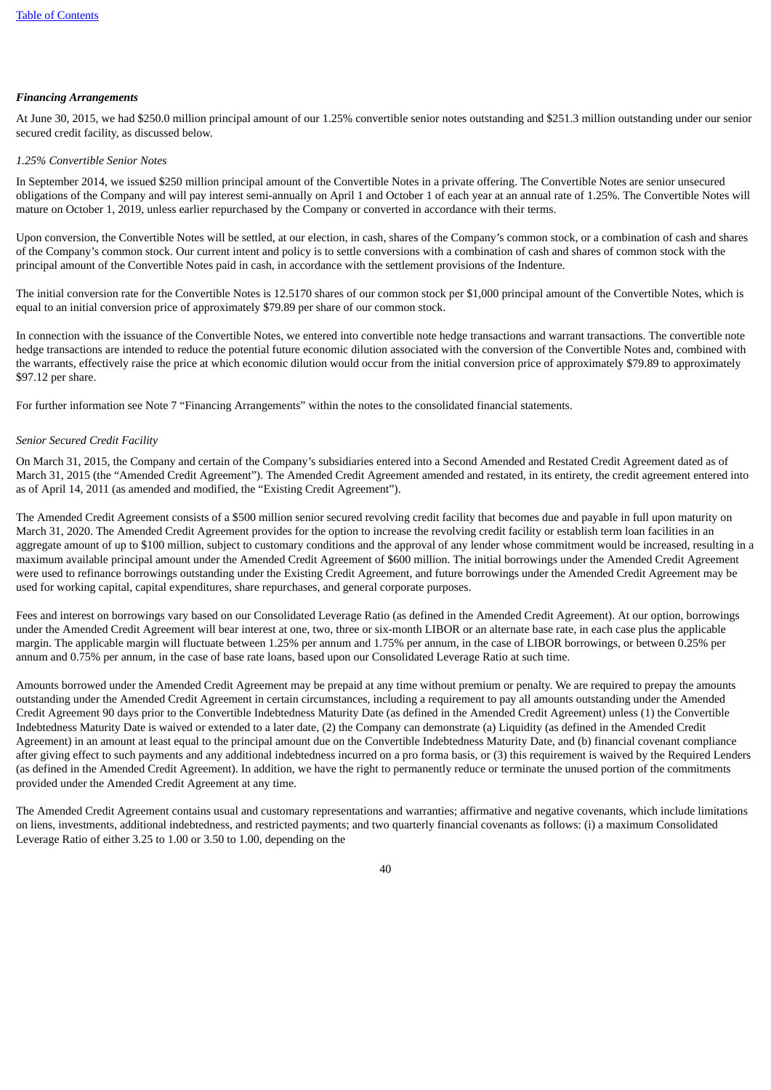## *Financing Arrangements*

At June 30, 2015, we had \$250.0 million principal amount of our 1.25% convertible senior notes outstanding and \$251.3 million outstanding under our senior secured credit facility, as discussed below.

## *1.25% Convertible Senior Notes*

In September 2014, we issued \$250 million principal amount of the Convertible Notes in a private offering. The Convertible Notes are senior unsecured obligations of the Company and will pay interest semi-annually on April 1 and October 1 of each year at an annual rate of 1.25%. The Convertible Notes will mature on October 1, 2019, unless earlier repurchased by the Company or converted in accordance with their terms.

Upon conversion, the Convertible Notes will be settled, at our election, in cash, shares of the Company's common stock, or a combination of cash and shares of the Company's common stock. Our current intent and policy is to settle conversions with a combination of cash and shares of common stock with the principal amount of the Convertible Notes paid in cash, in accordance with the settlement provisions of the Indenture.

The initial conversion rate for the Convertible Notes is 12.5170 shares of our common stock per \$1,000 principal amount of the Convertible Notes, which is equal to an initial conversion price of approximately \$79.89 per share of our common stock.

In connection with the issuance of the Convertible Notes, we entered into convertible note hedge transactions and warrant transactions. The convertible note hedge transactions are intended to reduce the potential future economic dilution associated with the conversion of the Convertible Notes and, combined with the warrants, effectively raise the price at which economic dilution would occur from the initial conversion price of approximately \$79.89 to approximately \$97.12 per share.

For further information see Note 7 "Financing Arrangements" within the notes to the consolidated financial statements.

## *Senior Secured Credit Facility*

On March 31, 2015, the Company and certain of the Company's subsidiaries entered into a Second Amended and Restated Credit Agreement dated as of March 31, 2015 (the "Amended Credit Agreement"). The Amended Credit Agreement amended and restated, in its entirety, the credit agreement entered into as of April 14, 2011 (as amended and modified, the "Existing Credit Agreement").

The Amended Credit Agreement consists of a \$500 million senior secured revolving credit facility that becomes due and payable in full upon maturity on March 31, 2020. The Amended Credit Agreement provides for the option to increase the revolving credit facility or establish term loan facilities in an aggregate amount of up to \$100 million, subject to customary conditions and the approval of any lender whose commitment would be increased, resulting in a maximum available principal amount under the Amended Credit Agreement of \$600 million. The initial borrowings under the Amended Credit Agreement were used to refinance borrowings outstanding under the Existing Credit Agreement, and future borrowings under the Amended Credit Agreement may be used for working capital, capital expenditures, share repurchases, and general corporate purposes.

Fees and interest on borrowings vary based on our Consolidated Leverage Ratio (as defined in the Amended Credit Agreement). At our option, borrowings under the Amended Credit Agreement will bear interest at one, two, three or six-month LIBOR or an alternate base rate, in each case plus the applicable margin. The applicable margin will fluctuate between 1.25% per annum and 1.75% per annum, in the case of LIBOR borrowings, or between 0.25% per annum and 0.75% per annum, in the case of base rate loans, based upon our Consolidated Leverage Ratio at such time.

Amounts borrowed under the Amended Credit Agreement may be prepaid at any time without premium or penalty. We are required to prepay the amounts outstanding under the Amended Credit Agreement in certain circumstances, including a requirement to pay all amounts outstanding under the Amended Credit Agreement 90 days prior to the Convertible Indebtedness Maturity Date (as defined in the Amended Credit Agreement) unless (1) the Convertible Indebtedness Maturity Date is waived or extended to a later date, (2) the Company can demonstrate (a) Liquidity (as defined in the Amended Credit Agreement) in an amount at least equal to the principal amount due on the Convertible Indebtedness Maturity Date, and (b) financial covenant compliance after giving effect to such payments and any additional indebtedness incurred on a pro forma basis, or (3) this requirement is waived by the Required Lenders (as defined in the Amended Credit Agreement). In addition, we have the right to permanently reduce or terminate the unused portion of the commitments provided under the Amended Credit Agreement at any time.

The Amended Credit Agreement contains usual and customary representations and warranties; affirmative and negative covenants, which include limitations on liens, investments, additional indebtedness, and restricted payments; and two quarterly financial covenants as follows: (i) a maximum Consolidated Leverage Ratio of either 3.25 to 1.00 or 3.50 to 1.00, depending on the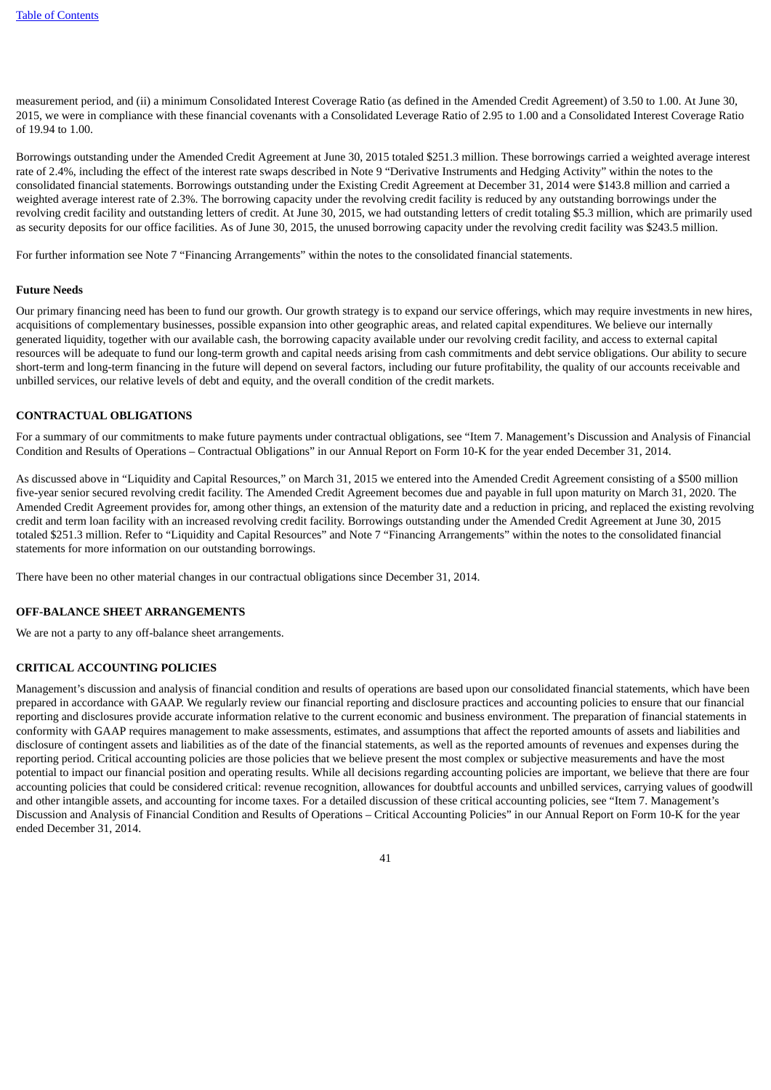measurement period, and (ii) a minimum Consolidated Interest Coverage Ratio (as defined in the Amended Credit Agreement) of 3.50 to 1.00. At June 30, 2015, we were in compliance with these financial covenants with a Consolidated Leverage Ratio of 2.95 to 1.00 and a Consolidated Interest Coverage Ratio of 19.94 to 1.00.

Borrowings outstanding under the Amended Credit Agreement at June 30, 2015 totaled \$251.3 million. These borrowings carried a weighted average interest rate of 2.4%, including the effect of the interest rate swaps described in Note 9 "Derivative Instruments and Hedging Activity" within the notes to the consolidated financial statements. Borrowings outstanding under the Existing Credit Agreement at December 31, 2014 were \$143.8 million and carried a weighted average interest rate of 2.3%. The borrowing capacity under the revolving credit facility is reduced by any outstanding borrowings under the revolving credit facility and outstanding letters of credit. At June 30, 2015, we had outstanding letters of credit totaling \$5.3 million, which are primarily used as security deposits for our office facilities. As of June 30, 2015, the unused borrowing capacity under the revolving credit facility was \$243.5 million.

For further information see Note 7 "Financing Arrangements" within the notes to the consolidated financial statements.

#### **Future Needs**

Our primary financing need has been to fund our growth. Our growth strategy is to expand our service offerings, which may require investments in new hires, acquisitions of complementary businesses, possible expansion into other geographic areas, and related capital expenditures. We believe our internally generated liquidity, together with our available cash, the borrowing capacity available under our revolving credit facility, and access to external capital resources will be adequate to fund our long-term growth and capital needs arising from cash commitments and debt service obligations. Our ability to secure short-term and long-term financing in the future will depend on several factors, including our future profitability, the quality of our accounts receivable and unbilled services, our relative levels of debt and equity, and the overall condition of the credit markets.

#### **CONTRACTUAL OBLIGATIONS**

For a summary of our commitments to make future payments under contractual obligations, see "Item 7. Management's Discussion and Analysis of Financial Condition and Results of Operations – Contractual Obligations" in our Annual Report on Form 10-K for the year ended December 31, 2014.

As discussed above in "Liquidity and Capital Resources," on March 31, 2015 we entered into the Amended Credit Agreement consisting of a \$500 million five-year senior secured revolving credit facility. The Amended Credit Agreement becomes due and payable in full upon maturity on March 31, 2020. The Amended Credit Agreement provides for, among other things, an extension of the maturity date and a reduction in pricing, and replaced the existing revolving credit and term loan facility with an increased revolving credit facility. Borrowings outstanding under the Amended Credit Agreement at June 30, 2015 totaled \$251.3 million. Refer to "Liquidity and Capital Resources" and Note 7 "Financing Arrangements" within the notes to the consolidated financial statements for more information on our outstanding borrowings.

There have been no other material changes in our contractual obligations since December 31, 2014.

## **OFF-BALANCE SHEET ARRANGEMENTS**

We are not a party to any off-balance sheet arrangements.

#### **CRITICAL ACCOUNTING POLICIES**

Management's discussion and analysis of financial condition and results of operations are based upon our consolidated financial statements, which have been prepared in accordance with GAAP. We regularly review our financial reporting and disclosure practices and accounting policies to ensure that our financial reporting and disclosures provide accurate information relative to the current economic and business environment. The preparation of financial statements in conformity with GAAP requires management to make assessments, estimates, and assumptions that affect the reported amounts of assets and liabilities and disclosure of contingent assets and liabilities as of the date of the financial statements, as well as the reported amounts of revenues and expenses during the reporting period. Critical accounting policies are those policies that we believe present the most complex or subjective measurements and have the most potential to impact our financial position and operating results. While all decisions regarding accounting policies are important, we believe that there are four accounting policies that could be considered critical: revenue recognition, allowances for doubtful accounts and unbilled services, carrying values of goodwill and other intangible assets, and accounting for income taxes. For a detailed discussion of these critical accounting policies, see "Item 7. Management's Discussion and Analysis of Financial Condition and Results of Operations – Critical Accounting Policies" in our Annual Report on Form 10-K for the year ended December 31, 2014.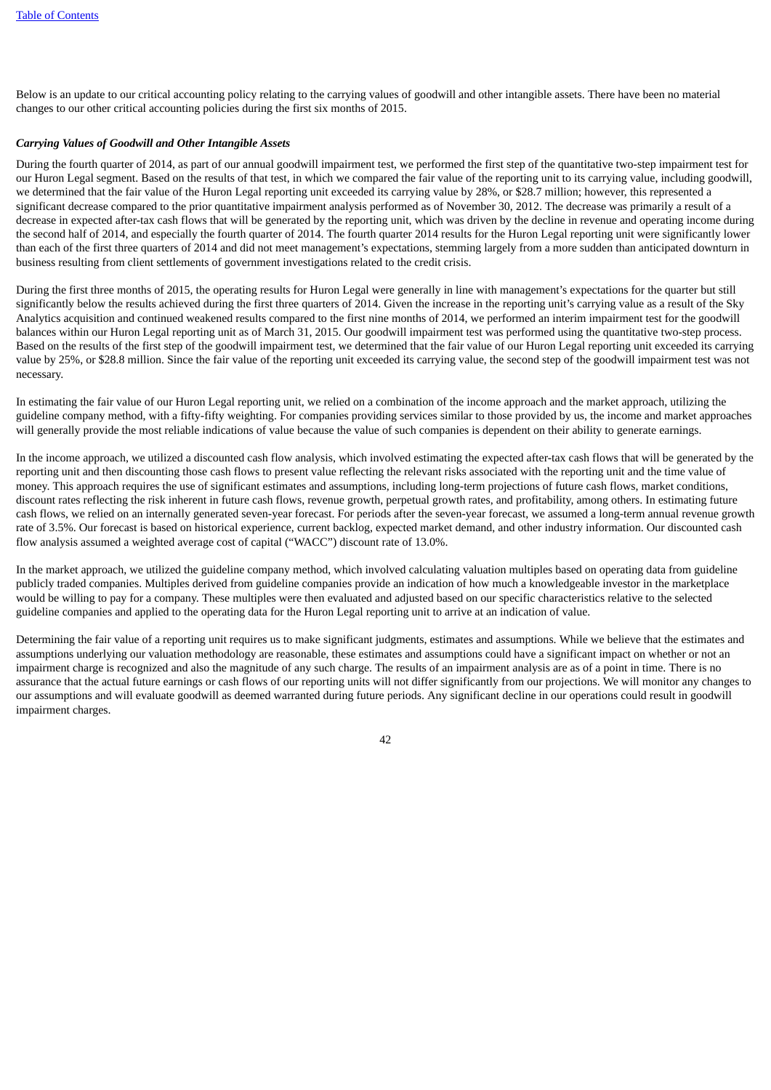Below is an update to our critical accounting policy relating to the carrying values of goodwill and other intangible assets. There have been no material changes to our other critical accounting policies during the first six months of 2015.

#### *Carrying Values of Goodwill and Other Intangible Assets*

During the fourth quarter of 2014, as part of our annual goodwill impairment test, we performed the first step of the quantitative two-step impairment test for our Huron Legal segment. Based on the results of that test, in which we compared the fair value of the reporting unit to its carrying value, including goodwill, we determined that the fair value of the Huron Legal reporting unit exceeded its carrying value by 28%, or \$28.7 million; however, this represented a significant decrease compared to the prior quantitative impairment analysis performed as of November 30, 2012. The decrease was primarily a result of a decrease in expected after-tax cash flows that will be generated by the reporting unit, which was driven by the decline in revenue and operating income during the second half of 2014, and especially the fourth quarter of 2014. The fourth quarter 2014 results for the Huron Legal reporting unit were significantly lower than each of the first three quarters of 2014 and did not meet management's expectations, stemming largely from a more sudden than anticipated downturn in business resulting from client settlements of government investigations related to the credit crisis.

During the first three months of 2015, the operating results for Huron Legal were generally in line with management's expectations for the quarter but still significantly below the results achieved during the first three quarters of 2014. Given the increase in the reporting unit's carrying value as a result of the Sky Analytics acquisition and continued weakened results compared to the first nine months of 2014, we performed an interim impairment test for the goodwill balances within our Huron Legal reporting unit as of March 31, 2015. Our goodwill impairment test was performed using the quantitative two-step process. Based on the results of the first step of the goodwill impairment test, we determined that the fair value of our Huron Legal reporting unit exceeded its carrying value by 25%, or \$28.8 million. Since the fair value of the reporting unit exceeded its carrying value, the second step of the goodwill impairment test was not necessary.

In estimating the fair value of our Huron Legal reporting unit, we relied on a combination of the income approach and the market approach, utilizing the guideline company method, with a fifty-fifty weighting. For companies providing services similar to those provided by us, the income and market approaches will generally provide the most reliable indications of value because the value of such companies is dependent on their ability to generate earnings.

In the income approach, we utilized a discounted cash flow analysis, which involved estimating the expected after-tax cash flows that will be generated by the reporting unit and then discounting those cash flows to present value reflecting the relevant risks associated with the reporting unit and the time value of money. This approach requires the use of significant estimates and assumptions, including long-term projections of future cash flows, market conditions, discount rates reflecting the risk inherent in future cash flows, revenue growth, perpetual growth rates, and profitability, among others. In estimating future cash flows, we relied on an internally generated seven-year forecast. For periods after the seven-year forecast, we assumed a long-term annual revenue growth rate of 3.5%. Our forecast is based on historical experience, current backlog, expected market demand, and other industry information. Our discounted cash flow analysis assumed a weighted average cost of capital ("WACC") discount rate of 13.0%.

In the market approach, we utilized the guideline company method, which involved calculating valuation multiples based on operating data from guideline publicly traded companies. Multiples derived from guideline companies provide an indication of how much a knowledgeable investor in the marketplace would be willing to pay for a company. These multiples were then evaluated and adjusted based on our specific characteristics relative to the selected guideline companies and applied to the operating data for the Huron Legal reporting unit to arrive at an indication of value.

Determining the fair value of a reporting unit requires us to make significant judgments, estimates and assumptions. While we believe that the estimates and assumptions underlying our valuation methodology are reasonable, these estimates and assumptions could have a significant impact on whether or not an impairment charge is recognized and also the magnitude of any such charge. The results of an impairment analysis are as of a point in time. There is no assurance that the actual future earnings or cash flows of our reporting units will not differ significantly from our projections. We will monitor any changes to our assumptions and will evaluate goodwill as deemed warranted during future periods. Any significant decline in our operations could result in goodwill impairment charges.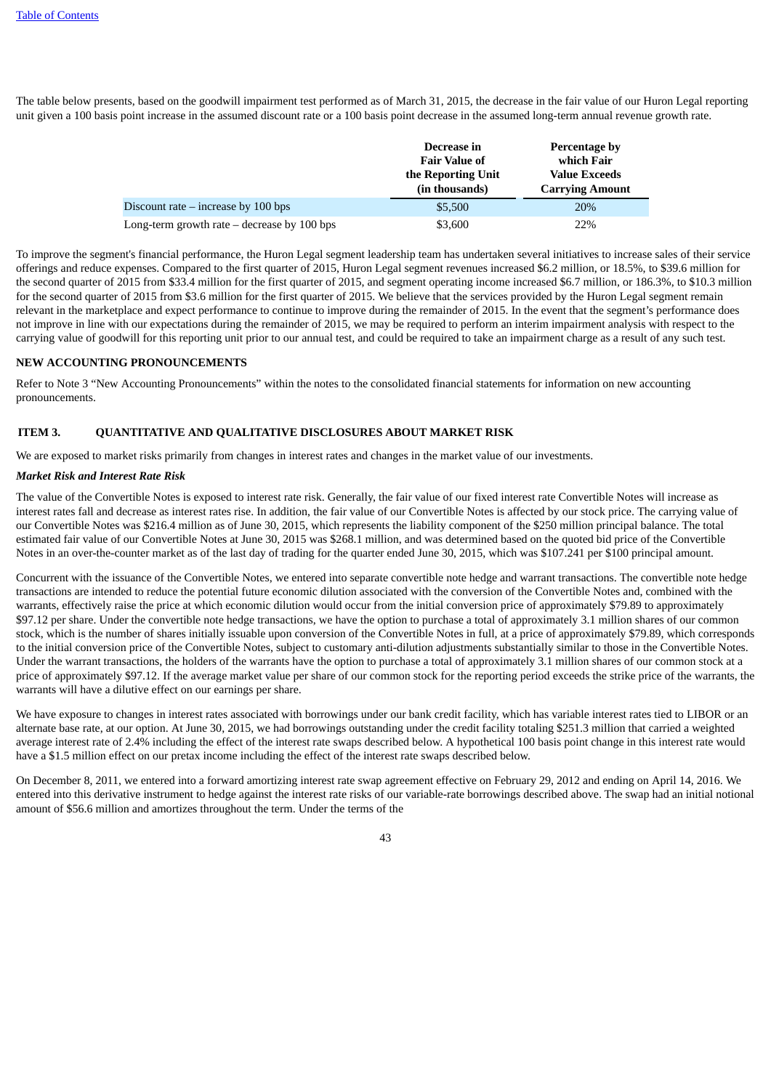The table below presents, based on the goodwill impairment test performed as of March 31, 2015, the decrease in the fair value of our Huron Legal reporting unit given a 100 basis point increase in the assumed discount rate or a 100 basis point decrease in the assumed long-term annual revenue growth rate.

|                                               | Decrease in<br><b>Fair Value of</b><br>the Reporting Unit<br>(in thousands) | Percentage by<br>which Fair<br><b>Value Exceeds</b><br><b>Carrying Amount</b> |
|-----------------------------------------------|-----------------------------------------------------------------------------|-------------------------------------------------------------------------------|
| Discount rate $-$ increase by 100 bps         | \$5,500                                                                     | <b>20%</b>                                                                    |
| Long-term growth rate $-$ decrease by 100 bps | \$3,600                                                                     | 22%                                                                           |

To improve the segment's financial performance, the Huron Legal segment leadership team has undertaken several initiatives to increase sales of their service offerings and reduce expenses. Compared to the first quarter of 2015, Huron Legal segment revenues increased \$6.2 million, or 18.5%, to \$39.6 million for the second quarter of 2015 from \$33.4 million for the first quarter of 2015, and segment operating income increased \$6.7 million, or 186.3%, to \$10.3 million for the second quarter of 2015 from \$3.6 million for the first quarter of 2015. We believe that the services provided by the Huron Legal segment remain relevant in the marketplace and expect performance to continue to improve during the remainder of 2015. In the event that the segment's performance does not improve in line with our expectations during the remainder of 2015, we may be required to perform an interim impairment analysis with respect to the carrying value of goodwill for this reporting unit prior to our annual test, and could be required to take an impairment charge as a result of any such test.

## **NEW ACCOUNTING PRONOUNCEMENTS**

Refer to Note 3 "New Accounting Pronouncements" within the notes to the consolidated financial statements for information on new accounting pronouncements.

## <span id="page-44-0"></span>**ITEM 3. QUANTITATIVE AND QUALITATIVE DISCLOSURES ABOUT MARKET RISK**

We are exposed to market risks primarily from changes in interest rates and changes in the market value of our investments.

## *Market Risk and Interest Rate Risk*

The value of the Convertible Notes is exposed to interest rate risk. Generally, the fair value of our fixed interest rate Convertible Notes will increase as interest rates fall and decrease as interest rates rise. In addition, the fair value of our Convertible Notes is affected by our stock price. The carrying value of our Convertible Notes was \$216.4 million as of June 30, 2015, which represents the liability component of the \$250 million principal balance. The total estimated fair value of our Convertible Notes at June 30, 2015 was \$268.1 million, and was determined based on the quoted bid price of the Convertible Notes in an over-the-counter market as of the last day of trading for the quarter ended June 30, 2015, which was \$107.241 per \$100 principal amount.

Concurrent with the issuance of the Convertible Notes, we entered into separate convertible note hedge and warrant transactions. The convertible note hedge transactions are intended to reduce the potential future economic dilution associated with the conversion of the Convertible Notes and, combined with the warrants, effectively raise the price at which economic dilution would occur from the initial conversion price of approximately \$79.89 to approximately \$97.12 per share. Under the convertible note hedge transactions, we have the option to purchase a total of approximately 3.1 million shares of our common stock, which is the number of shares initially issuable upon conversion of the Convertible Notes in full, at a price of approximately \$79.89, which corresponds to the initial conversion price of the Convertible Notes, subject to customary anti-dilution adjustments substantially similar to those in the Convertible Notes. Under the warrant transactions, the holders of the warrants have the option to purchase a total of approximately 3.1 million shares of our common stock at a price of approximately \$97.12. If the average market value per share of our common stock for the reporting period exceeds the strike price of the warrants, the warrants will have a dilutive effect on our earnings per share.

We have exposure to changes in interest rates associated with borrowings under our bank credit facility, which has variable interest rates tied to LIBOR or an alternate base rate, at our option. At June 30, 2015, we had borrowings outstanding under the credit facility totaling \$251.3 million that carried a weighted average interest rate of 2.4% including the effect of the interest rate swaps described below. A hypothetical 100 basis point change in this interest rate would have a \$1.5 million effect on our pretax income including the effect of the interest rate swaps described below.

On December 8, 2011, we entered into a forward amortizing interest rate swap agreement effective on February 29, 2012 and ending on April 14, 2016. We entered into this derivative instrument to hedge against the interest rate risks of our variable-rate borrowings described above. The swap had an initial notional amount of \$56.6 million and amortizes throughout the term. Under the terms of the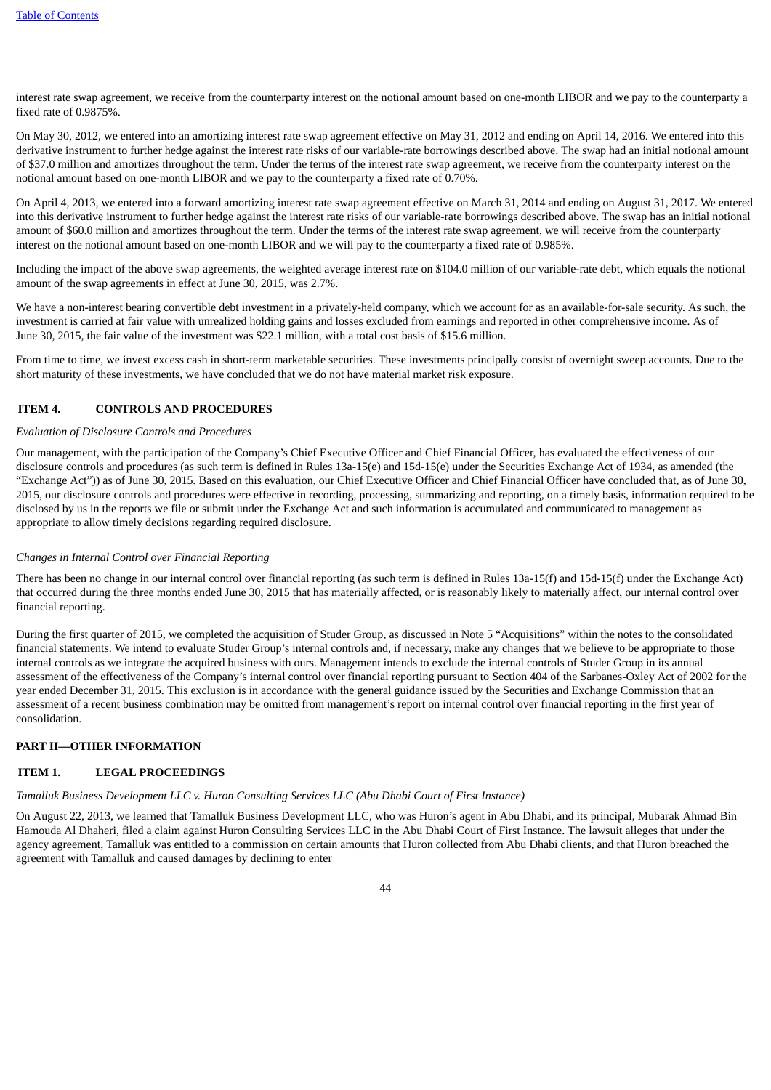interest rate swap agreement, we receive from the counterparty interest on the notional amount based on one-month LIBOR and we pay to the counterparty a fixed rate of 0.9875%.

On May 30, 2012, we entered into an amortizing interest rate swap agreement effective on May 31, 2012 and ending on April 14, 2016. We entered into this derivative instrument to further hedge against the interest rate risks of our variable-rate borrowings described above. The swap had an initial notional amount of \$37.0 million and amortizes throughout the term. Under the terms of the interest rate swap agreement, we receive from the counterparty interest on the notional amount based on one-month LIBOR and we pay to the counterparty a fixed rate of 0.70%.

On April 4, 2013, we entered into a forward amortizing interest rate swap agreement effective on March 31, 2014 and ending on August 31, 2017. We entered into this derivative instrument to further hedge against the interest rate risks of our variable-rate borrowings described above. The swap has an initial notional amount of \$60.0 million and amortizes throughout the term. Under the terms of the interest rate swap agreement, we will receive from the counterparty interest on the notional amount based on one-month LIBOR and we will pay to the counterparty a fixed rate of 0.985%.

Including the impact of the above swap agreements, the weighted average interest rate on \$104.0 million of our variable-rate debt, which equals the notional amount of the swap agreements in effect at June 30, 2015, was 2.7%.

We have a non-interest bearing convertible debt investment in a privately-held company, which we account for as an available-for-sale security. As such, the investment is carried at fair value with unrealized holding gains and losses excluded from earnings and reported in other comprehensive income. As of June 30, 2015, the fair value of the investment was \$22.1 million, with a total cost basis of \$15.6 million.

From time to time, we invest excess cash in short-term marketable securities. These investments principally consist of overnight sweep accounts. Due to the short maturity of these investments, we have concluded that we do not have material market risk exposure.

## <span id="page-45-0"></span>**ITEM 4. CONTROLS AND PROCEDURES**

#### *Evaluation of Disclosure Controls and Procedures*

Our management, with the participation of the Company's Chief Executive Officer and Chief Financial Officer, has evaluated the effectiveness of our disclosure controls and procedures (as such term is defined in Rules 13a-15(e) and 15d-15(e) under the Securities Exchange Act of 1934, as amended (the "Exchange Act")) as of June 30, 2015. Based on this evaluation, our Chief Executive Officer and Chief Financial Officer have concluded that, as of June 30, 2015, our disclosure controls and procedures were effective in recording, processing, summarizing and reporting, on a timely basis, information required to be disclosed by us in the reports we file or submit under the Exchange Act and such information is accumulated and communicated to management as appropriate to allow timely decisions regarding required disclosure.

## *Changes in Internal Control over Financial Reporting*

There has been no change in our internal control over financial reporting (as such term is defined in Rules 13a-15(f) and 15d-15(f) under the Exchange Act) that occurred during the three months ended June 30, 2015 that has materially affected, or is reasonably likely to materially affect, our internal control over financial reporting.

During the first quarter of 2015, we completed the acquisition of Studer Group, as discussed in Note 5 "Acquisitions" within the notes to the consolidated financial statements. We intend to evaluate Studer Group's internal controls and, if necessary, make any changes that we believe to be appropriate to those internal controls as we integrate the acquired business with ours. Management intends to exclude the internal controls of Studer Group in its annual assessment of the effectiveness of the Company's internal control over financial reporting pursuant to Section 404 of the Sarbanes-Oxley Act of 2002 for the year ended December 31, 2015. This exclusion is in accordance with the general guidance issued by the Securities and Exchange Commission that an assessment of a recent business combination may be omitted from management's report on internal control over financial reporting in the first year of consolidation.

## <span id="page-45-1"></span>**PART II—OTHER INFORMATION**

## <span id="page-45-2"></span>**ITEM 1. LEGAL PROCEEDINGS**

## *Tamalluk Business Development LLC v. Huron Consulting Services LLC (Abu Dhabi Court of First Instance)*

On August 22, 2013, we learned that Tamalluk Business Development LLC, who was Huron's agent in Abu Dhabi, and its principal, Mubarak Ahmad Bin Hamouda Al Dhaheri, filed a claim against Huron Consulting Services LLC in the Abu Dhabi Court of First Instance. The lawsuit alleges that under the agency agreement, Tamalluk was entitled to a commission on certain amounts that Huron collected from Abu Dhabi clients, and that Huron breached the agreement with Tamalluk and caused damages by declining to enter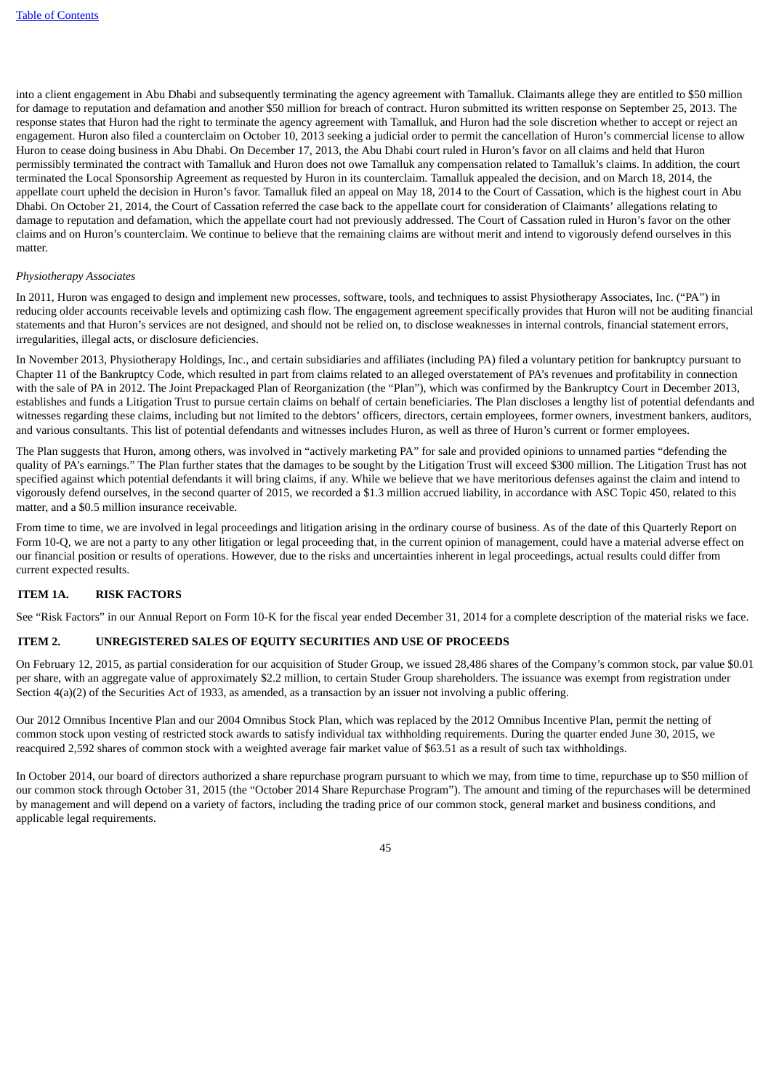into a client engagement in Abu Dhabi and subsequently terminating the agency agreement with Tamalluk. Claimants allege they are entitled to \$50 million for damage to reputation and defamation and another \$50 million for breach of contract. Huron submitted its written response on September 25, 2013. The response states that Huron had the right to terminate the agency agreement with Tamalluk, and Huron had the sole discretion whether to accept or reject an engagement. Huron also filed a counterclaim on October 10, 2013 seeking a judicial order to permit the cancellation of Huron's commercial license to allow Huron to cease doing business in Abu Dhabi. On December 17, 2013, the Abu Dhabi court ruled in Huron's favor on all claims and held that Huron permissibly terminated the contract with Tamalluk and Huron does not owe Tamalluk any compensation related to Tamalluk's claims. In addition, the court terminated the Local Sponsorship Agreement as requested by Huron in its counterclaim. Tamalluk appealed the decision, and on March 18, 2014, the appellate court upheld the decision in Huron's favor. Tamalluk filed an appeal on May 18, 2014 to the Court of Cassation, which is the highest court in Abu Dhabi. On October 21, 2014, the Court of Cassation referred the case back to the appellate court for consideration of Claimants' allegations relating to damage to reputation and defamation, which the appellate court had not previously addressed. The Court of Cassation ruled in Huron's favor on the other claims and on Huron's counterclaim. We continue to believe that the remaining claims are without merit and intend to vigorously defend ourselves in this matter.

#### *Physiotherapy Associates*

In 2011, Huron was engaged to design and implement new processes, software, tools, and techniques to assist Physiotherapy Associates, Inc. ("PA") in reducing older accounts receivable levels and optimizing cash flow. The engagement agreement specifically provides that Huron will not be auditing financial statements and that Huron's services are not designed, and should not be relied on, to disclose weaknesses in internal controls, financial statement errors, irregularities, illegal acts, or disclosure deficiencies.

In November 2013, Physiotherapy Holdings, Inc., and certain subsidiaries and affiliates (including PA) filed a voluntary petition for bankruptcy pursuant to Chapter 11 of the Bankruptcy Code, which resulted in part from claims related to an alleged overstatement of PA's revenues and profitability in connection with the sale of PA in 2012. The Joint Prepackaged Plan of Reorganization (the "Plan"), which was confirmed by the Bankruptcy Court in December 2013, establishes and funds a Litigation Trust to pursue certain claims on behalf of certain beneficiaries. The Plan discloses a lengthy list of potential defendants and witnesses regarding these claims, including but not limited to the debtors' officers, directors, certain employees, former owners, investment bankers, auditors, and various consultants. This list of potential defendants and witnesses includes Huron, as well as three of Huron's current or former employees.

The Plan suggests that Huron, among others, was involved in "actively marketing PA" for sale and provided opinions to unnamed parties "defending the quality of PA's earnings." The Plan further states that the damages to be sought by the Litigation Trust will exceed \$300 million. The Litigation Trust has not specified against which potential defendants it will bring claims, if any. While we believe that we have meritorious defenses against the claim and intend to vigorously defend ourselves, in the second quarter of 2015, we recorded a \$1.3 million accrued liability, in accordance with ASC Topic 450, related to this matter, and a \$0.5 million insurance receivable.

From time to time, we are involved in legal proceedings and litigation arising in the ordinary course of business. As of the date of this Quarterly Report on Form 10-Q, we are not a party to any other litigation or legal proceeding that, in the current opinion of management, could have a material adverse effect on our financial position or results of operations. However, due to the risks and uncertainties inherent in legal proceedings, actual results could differ from current expected results.

## <span id="page-46-0"></span>**ITEM 1A. RISK FACTORS**

<span id="page-46-1"></span>See "Risk Factors" in our Annual Report on Form 10-K for the fiscal year ended December 31, 2014 for a complete description of the material risks we face.

## **ITEM 2. UNREGISTERED SALES OF EQUITY SECURITIES AND USE OF PROCEEDS**

On February 12, 2015, as partial consideration for our acquisition of Studer Group, we issued 28,486 shares of the Company's common stock, par value \$0.01 per share, with an aggregate value of approximately \$2.2 million, to certain Studer Group shareholders. The issuance was exempt from registration under Section 4(a)(2) of the Securities Act of 1933, as amended, as a transaction by an issuer not involving a public offering.

Our 2012 Omnibus Incentive Plan and our 2004 Omnibus Stock Plan, which was replaced by the 2012 Omnibus Incentive Plan, permit the netting of common stock upon vesting of restricted stock awards to satisfy individual tax withholding requirements. During the quarter ended June 30, 2015, we reacquired 2,592 shares of common stock with a weighted average fair market value of \$63.51 as a result of such tax withholdings.

In October 2014, our board of directors authorized a share repurchase program pursuant to which we may, from time to time, repurchase up to \$50 million of our common stock through October 31, 2015 (the "October 2014 Share Repurchase Program"). The amount and timing of the repurchases will be determined by management and will depend on a variety of factors, including the trading price of our common stock, general market and business conditions, and applicable legal requirements.

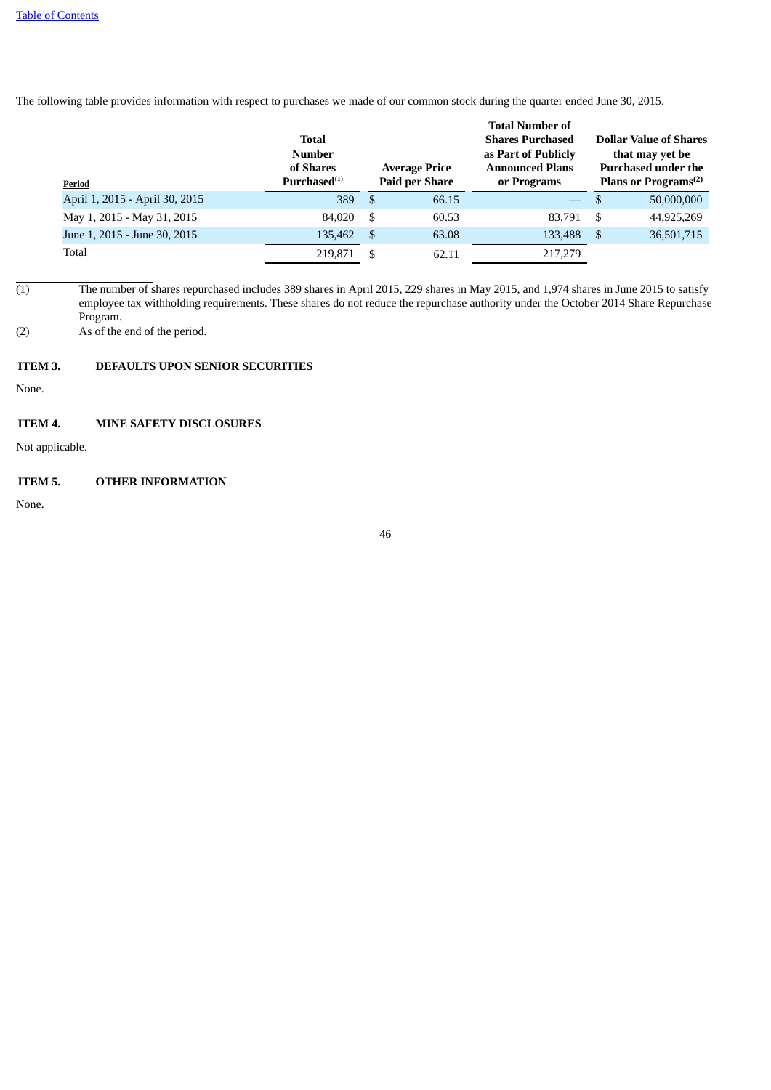The following table provides information with respect to purchases we made of our common stock during the quarter ended June 30, 2015.

| Period                         | Total<br><b>Number</b><br>of Shares<br>Purchase $d^{(1)}$ |          | <b>Average Price</b><br><b>Paid per Share</b> | <b>Total Number of</b><br><b>Shares Purchased</b><br>as Part of Publicly<br><b>Announced Plans</b><br>or Programs | <b>Dollar Value of Shares</b><br>that may yet be<br><b>Purchased under the</b><br>Plans or Programs $^{(2)}$ |            |  |
|--------------------------------|-----------------------------------------------------------|----------|-----------------------------------------------|-------------------------------------------------------------------------------------------------------------------|--------------------------------------------------------------------------------------------------------------|------------|--|
| April 1, 2015 - April 30, 2015 | 389                                                       | <b>S</b> | 66.15                                         |                                                                                                                   | -S                                                                                                           | 50,000,000 |  |
| May 1, 2015 - May 31, 2015     | 84.020                                                    | - \$     | 60.53                                         | 83,791                                                                                                            | S.                                                                                                           | 44,925,269 |  |
| June 1, 2015 - June 30, 2015   | 135,462                                                   | - \$     | 63.08                                         | 133,488                                                                                                           | S                                                                                                            | 36,501,715 |  |
| Total                          | 219.871                                                   | .S       | 62.11                                         | 217,279                                                                                                           |                                                                                                              |            |  |

(1) The number of shares repurchased includes 389 shares in April 2015, 229 shares in May 2015, and 1,974 shares in June 2015 to satisfy employee tax withholding requirements. These shares do not reduce the repurchase authority under the October 2014 Share Repurchase Program.

<span id="page-47-0"></span>(2) As of the end of the period.

## **ITEM 3. DEFAULTS UPON SENIOR SECURITIES**

<span id="page-47-1"></span>None.

## **ITEM 4. MINE SAFETY DISCLOSURES**

<span id="page-47-2"></span>Not applicable.

## **ITEM 5. OTHER INFORMATION**

<span id="page-47-3"></span>None.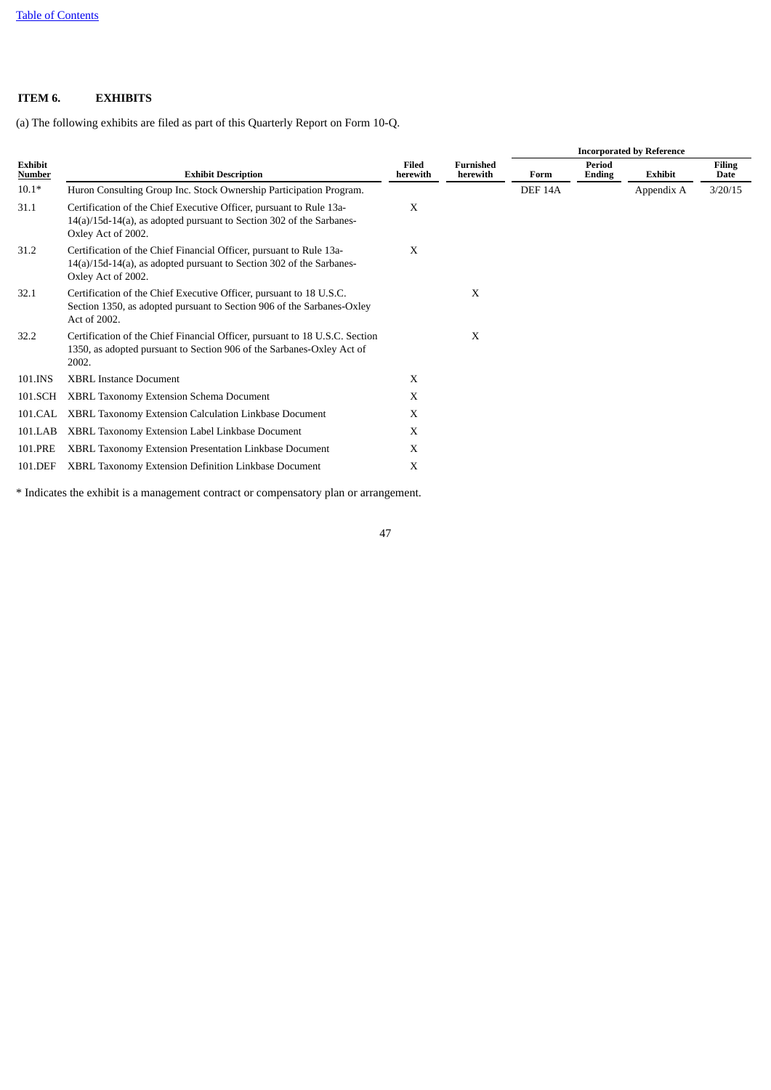## **ITEM 6. EXHIBITS**

(a) The following exhibits are filed as part of this Quarterly Report on Form 10-Q.

|                                 |                                                                                                                                                                      |                   |                              | <b>Incorporated by Reference</b> |                         |                |                              |  |  |  |
|---------------------------------|----------------------------------------------------------------------------------------------------------------------------------------------------------------------|-------------------|------------------------------|----------------------------------|-------------------------|----------------|------------------------------|--|--|--|
| <b>Exhibit</b><br><b>Number</b> | <b>Exhibit Description</b>                                                                                                                                           | Filed<br>herewith | <b>Furnished</b><br>herewith | Form                             | Period<br><b>Ending</b> | <b>Exhibit</b> | <b>Filing</b><br><b>Date</b> |  |  |  |
| $10.1*$                         | Huron Consulting Group Inc. Stock Ownership Participation Program.                                                                                                   |                   |                              | DEF <sub>14</sub> A              |                         | Appendix A     | 3/20/15                      |  |  |  |
| 31.1                            | Certification of the Chief Executive Officer, pursuant to Rule 13a-<br>$14(a)/15d-14(a)$ , as adopted pursuant to Section 302 of the Sarbanes-<br>Oxley Act of 2002. | $\mathbf X$       |                              |                                  |                         |                |                              |  |  |  |
| 31.2                            | Certification of the Chief Financial Officer, pursuant to Rule 13a-<br>14(a)/15d-14(a), as adopted pursuant to Section 302 of the Sarbanes-<br>Oxley Act of 2002.    | X                 |                              |                                  |                         |                |                              |  |  |  |
| 32.1                            | Certification of the Chief Executive Officer, pursuant to 18 U.S.C.<br>Section 1350, as adopted pursuant to Section 906 of the Sarbanes-Oxley<br>Act of 2002.        |                   | X                            |                                  |                         |                |                              |  |  |  |
| 32.2                            | Certification of the Chief Financial Officer, pursuant to 18 U.S.C. Section<br>1350, as adopted pursuant to Section 906 of the Sarbanes-Oxley Act of<br>2002.        |                   | X                            |                                  |                         |                |                              |  |  |  |
| 101.INS                         | <b>XBRL Instance Document</b>                                                                                                                                        | X                 |                              |                                  |                         |                |                              |  |  |  |
| 101.SCH                         | XBRL Taxonomy Extension Schema Document                                                                                                                              | X                 |                              |                                  |                         |                |                              |  |  |  |
| 101.CAL                         | XBRL Taxonomy Extension Calculation Linkbase Document                                                                                                                | X                 |                              |                                  |                         |                |                              |  |  |  |
| 101.LAB                         | XBRL Taxonomy Extension Label Linkbase Document                                                                                                                      | X                 |                              |                                  |                         |                |                              |  |  |  |
| 101.PRE                         | XBRL Taxonomy Extension Presentation Linkbase Document                                                                                                               | $\mathbf X$       |                              |                                  |                         |                |                              |  |  |  |
| 101.DEF                         | XBRL Taxonomy Extension Definition Linkbase Document                                                                                                                 | X                 |                              |                                  |                         |                |                              |  |  |  |
|                                 |                                                                                                                                                                      |                   |                              |                                  |                         |                |                              |  |  |  |

<span id="page-48-0"></span>\* Indicates the exhibit is a management contract or compensatory plan or arrangement.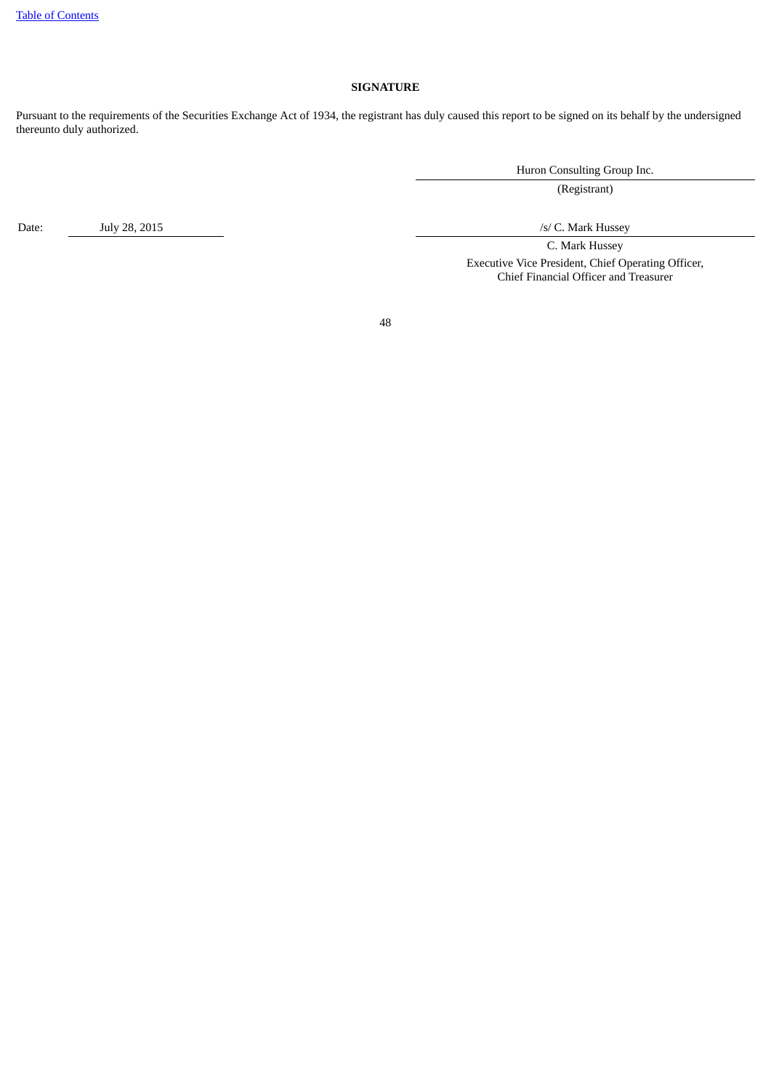## **SIGNATURE**

Pursuant to the requirements of the Securities Exchange Act of 1934, the registrant has duly caused this report to be signed on its behalf by the undersigned thereunto duly authorized.

Huron Consulting Group Inc.

(Registrant)

Date: July 28, 2015 July 28, 2015

C. Mark Hussey Executive Vice President, Chief Operating Officer, Chief Financial Officer and Treasurer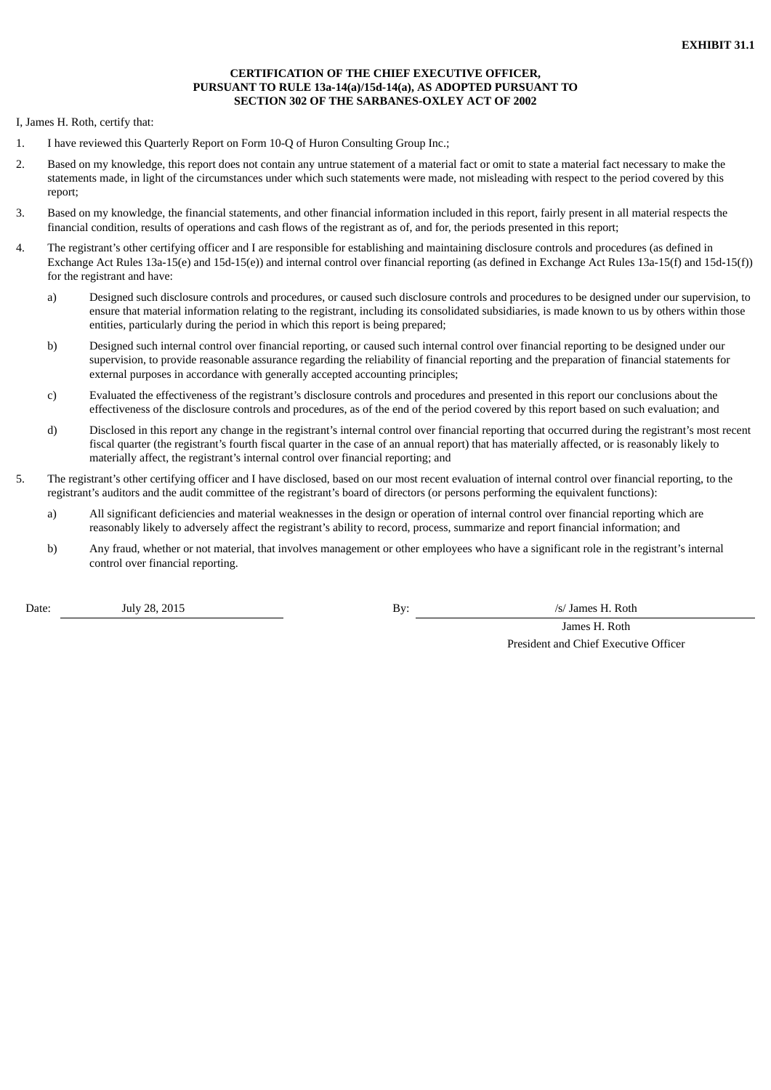## **CERTIFICATION OF THE CHIEF EXECUTIVE OFFICER, PURSUANT TO RULE 13a-14(a)/15d-14(a), AS ADOPTED PURSUANT TO SECTION 302 OF THE SARBANES-OXLEY ACT OF 2002**

I, James H. Roth, certify that:

- 1. I have reviewed this Quarterly Report on Form 10-Q of Huron Consulting Group Inc.;
- 2. Based on my knowledge, this report does not contain any untrue statement of a material fact or omit to state a material fact necessary to make the statements made, in light of the circumstances under which such statements were made, not misleading with respect to the period covered by this report;
- 3. Based on my knowledge, the financial statements, and other financial information included in this report, fairly present in all material respects the financial condition, results of operations and cash flows of the registrant as of, and for, the periods presented in this report;
- 4. The registrant's other certifying officer and I are responsible for establishing and maintaining disclosure controls and procedures (as defined in Exchange Act Rules 13a-15(e) and 15d-15(e)) and internal control over financial reporting (as defined in Exchange Act Rules 13a-15(f) and 15d-15(f)) for the registrant and have:
	- a) Designed such disclosure controls and procedures, or caused such disclosure controls and procedures to be designed under our supervision, to ensure that material information relating to the registrant, including its consolidated subsidiaries, is made known to us by others within those entities, particularly during the period in which this report is being prepared;
	- b) Designed such internal control over financial reporting, or caused such internal control over financial reporting to be designed under our supervision, to provide reasonable assurance regarding the reliability of financial reporting and the preparation of financial statements for external purposes in accordance with generally accepted accounting principles;
	- c) Evaluated the effectiveness of the registrant's disclosure controls and procedures and presented in this report our conclusions about the effectiveness of the disclosure controls and procedures, as of the end of the period covered by this report based on such evaluation; and
	- d) Disclosed in this report any change in the registrant's internal control over financial reporting that occurred during the registrant's most recent fiscal quarter (the registrant's fourth fiscal quarter in the case of an annual report) that has materially affected, or is reasonably likely to materially affect, the registrant's internal control over financial reporting; and
- 5. The registrant's other certifying officer and I have disclosed, based on our most recent evaluation of internal control over financial reporting, to the registrant's auditors and the audit committee of the registrant's board of directors (or persons performing the equivalent functions):
	- a) All significant deficiencies and material weaknesses in the design or operation of internal control over financial reporting which are reasonably likely to adversely affect the registrant's ability to record, process, summarize and report financial information; and
	- b) Any fraud, whether or not material, that involves management or other employees who have a significant role in the registrant's internal control over financial reporting.

Date: July 28, 2015 **By:** By: /s/ James H. Roth

James H. Roth President and Chief Executive Officer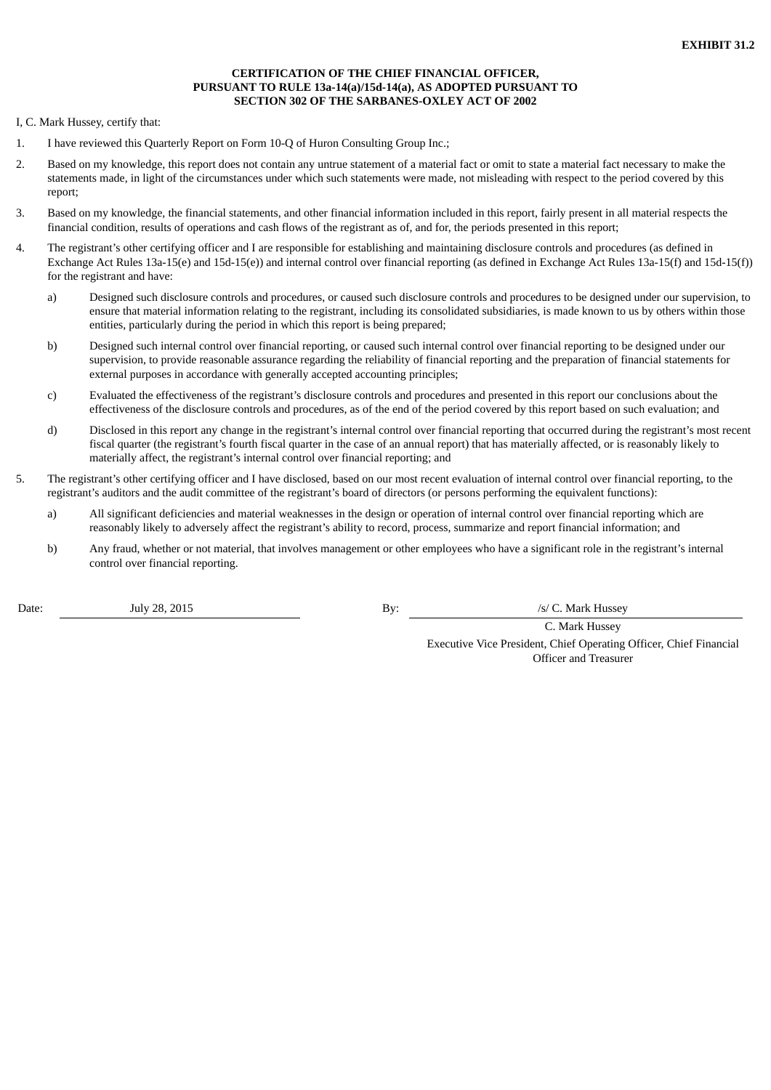#### **CERTIFICATION OF THE CHIEF FINANCIAL OFFICER, PURSUANT TO RULE 13a-14(a)/15d-14(a), AS ADOPTED PURSUANT TO SECTION 302 OF THE SARBANES-OXLEY ACT OF 2002**

I, C. Mark Hussey, certify that:

- 1. I have reviewed this Quarterly Report on Form 10-Q of Huron Consulting Group Inc.;
- 2. Based on my knowledge, this report does not contain any untrue statement of a material fact or omit to state a material fact necessary to make the statements made, in light of the circumstances under which such statements were made, not misleading with respect to the period covered by this report;
- 3. Based on my knowledge, the financial statements, and other financial information included in this report, fairly present in all material respects the financial condition, results of operations and cash flows of the registrant as of, and for, the periods presented in this report;
- 4. The registrant's other certifying officer and I are responsible for establishing and maintaining disclosure controls and procedures (as defined in Exchange Act Rules 13a-15(e) and 15d-15(e)) and internal control over financial reporting (as defined in Exchange Act Rules 13a-15(f) and 15d-15(f)) for the registrant and have:
	- a) Designed such disclosure controls and procedures, or caused such disclosure controls and procedures to be designed under our supervision, to ensure that material information relating to the registrant, including its consolidated subsidiaries, is made known to us by others within those entities, particularly during the period in which this report is being prepared;
	- b) Designed such internal control over financial reporting, or caused such internal control over financial reporting to be designed under our supervision, to provide reasonable assurance regarding the reliability of financial reporting and the preparation of financial statements for external purposes in accordance with generally accepted accounting principles;
	- c) Evaluated the effectiveness of the registrant's disclosure controls and procedures and presented in this report our conclusions about the effectiveness of the disclosure controls and procedures, as of the end of the period covered by this report based on such evaluation; and
	- d) Disclosed in this report any change in the registrant's internal control over financial reporting that occurred during the registrant's most recent fiscal quarter (the registrant's fourth fiscal quarter in the case of an annual report) that has materially affected, or is reasonably likely to materially affect, the registrant's internal control over financial reporting; and
- 5. The registrant's other certifying officer and I have disclosed, based on our most recent evaluation of internal control over financial reporting, to the registrant's auditors and the audit committee of the registrant's board of directors (or persons performing the equivalent functions):
	- a) All significant deficiencies and material weaknesses in the design or operation of internal control over financial reporting which are reasonably likely to adversely affect the registrant's ability to record, process, summarize and report financial information; and
	- b) Any fraud, whether or not material, that involves management or other employees who have a significant role in the registrant's internal control over financial reporting.

Date: July 28, 2015 **By:** By: *Internal By: Internal By: Internal By: Internal By: Internal By: Internal By: Internal By: Internal By: Internal By: Internal By: Internal By: Internal By: Internal By* 

C. Mark Hussey

Executive Vice President, Chief Operating Officer, Chief Financial Officer and Treasurer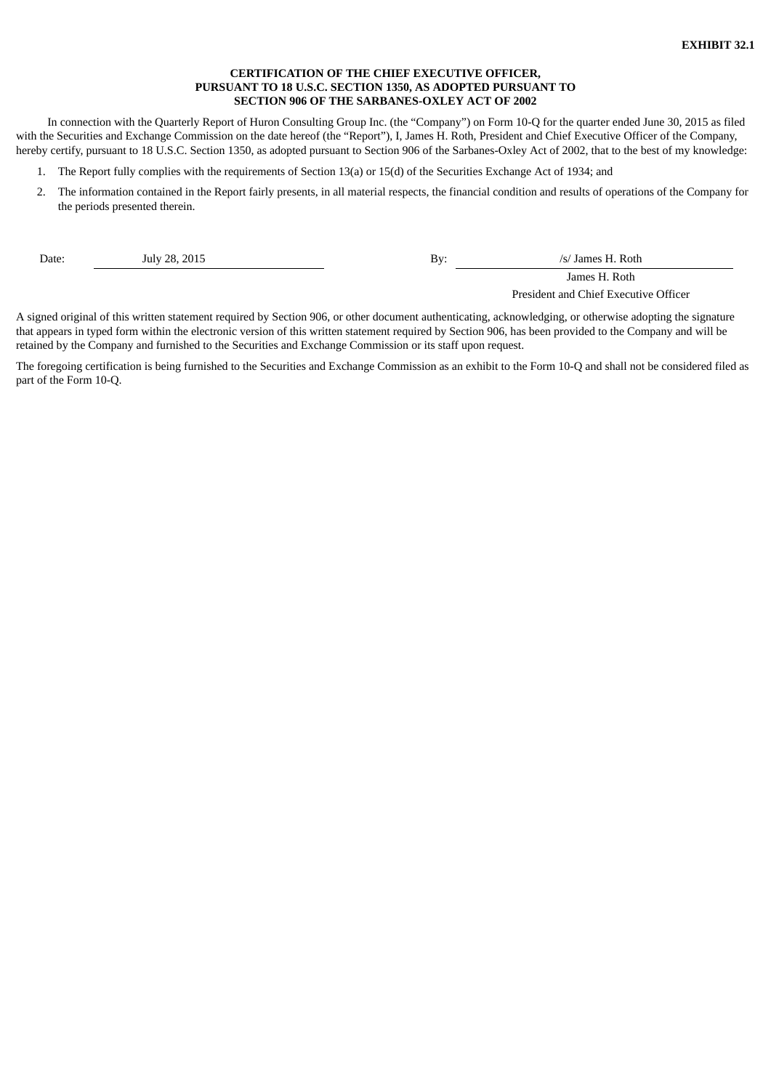#### **CERTIFICATION OF THE CHIEF EXECUTIVE OFFICER, PURSUANT TO 18 U.S.C. SECTION 1350, AS ADOPTED PURSUANT TO SECTION 906 OF THE SARBANES-OXLEY ACT OF 2002**

In connection with the Quarterly Report of Huron Consulting Group Inc. (the "Company") on Form 10-Q for the quarter ended June 30, 2015 as filed with the Securities and Exchange Commission on the date hereof (the "Report"), I, James H. Roth, President and Chief Executive Officer of the Company, hereby certify, pursuant to 18 U.S.C. Section 1350, as adopted pursuant to Section 906 of the Sarbanes-Oxley Act of 2002, that to the best of my knowledge:

- 1. The Report fully complies with the requirements of Section 13(a) or 15(d) of the Securities Exchange Act of 1934; and
- 2. The information contained in the Report fairly presents, in all material respects, the financial condition and results of operations of the Company for the periods presented therein.

Date: July 28, 2015 **By:** *Index 10. 28, 2015* **By:** *Index 10. 28, 2015* 

James H. Roth

President and Chief Executive Officer

A signed original of this written statement required by Section 906, or other document authenticating, acknowledging, or otherwise adopting the signature that appears in typed form within the electronic version of this written statement required by Section 906, has been provided to the Company and will be retained by the Company and furnished to the Securities and Exchange Commission or its staff upon request.

The foregoing certification is being furnished to the Securities and Exchange Commission as an exhibit to the Form 10-Q and shall not be considered filed as part of the Form 10-Q.